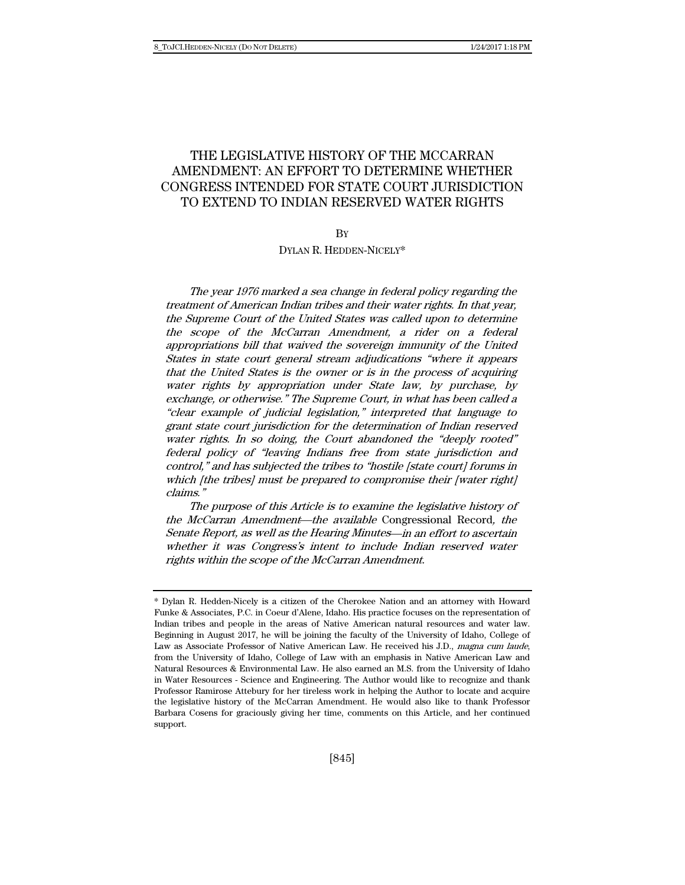# THE LEGISLATIVE HISTORY OF THE MCCARRAN AMENDMENT: AN EFFORT TO DETERMINE WHETHER CONGRESS INTENDED FOR STATE COURT JURISDICTION TO EXTEND TO INDIAN RESERVED WATER RIGHTS

## **R**<sub>V</sub>

DYLAN R. HEDDEN-NICELY\*

The year 1976 marked a sea change in federal policy regarding the treatment of American Indian tribes and their water rights. In that year, the Supreme Court of the United States was called upon to determine the scope of the McCarran Amendment, a rider on a federal appropriations bill that waived the sovereign immunity of the United States in state court general stream adjudications "where it appears that the United States is the owner or is in the process of acquiring water rights by appropriation under State law, by purchase, by exchange, or otherwise." The Supreme Court, in what has been called a "clear example of judicial legislation," interpreted that language to grant state court jurisdiction for the determination of Indian reserved water rights. In so doing, the Court abandoned the "deeply rooted" federal policy of "leaving Indians free from state jurisdiction and control," and has subjected the tribes to "hostile [state court] forums in which [the tribes] must be prepared to compromise their [water right] claims."

The purpose of this Article is to examine the legislative history of the McCarran Amendment—the available Congressional Record, the Senate Report, as well as the Hearing Minutes—in an effort to ascertain whether it was Congress's intent to include Indian reserved water rights within the scope of the McCarran Amendment.

<sup>\*</sup> Dylan R. Hedden-Nicely is a citizen of the Cherokee Nation and an attorney with Howard Funke & Associates, P.C. in Coeur d'Alene, Idaho. His practice focuses on the representation of Indian tribes and people in the areas of Native American natural resources and water law. Beginning in August 2017, he will be joining the faculty of the University of Idaho, College of Law as Associate Professor of Native American Law. He received his J.D., magna cum laude, from the University of Idaho, College of Law with an emphasis in Native American Law and Natural Resources & Environmental Law. He also earned an M.S. from the University of Idaho in Water Resources - Science and Engineering. The Author would like to recognize and thank Professor Ramirose Attebury for her tireless work in helping the Author to locate and acquire the legislative history of the McCarran Amendment. He would also like to thank Professor Barbara Cosens for graciously giving her time, comments on this Article, and her continued support.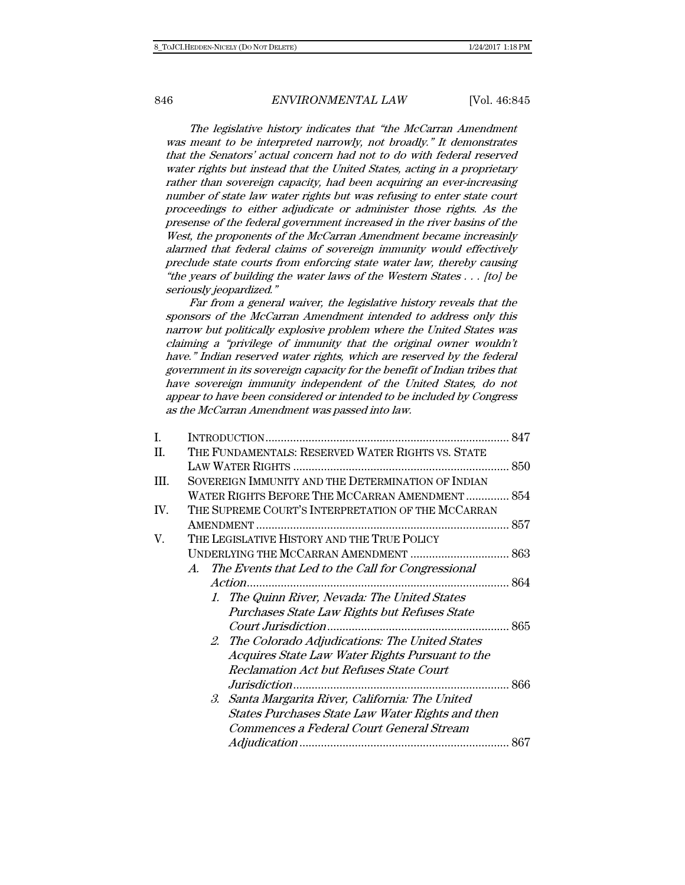The legislative history indicates that "the McCarran Amendment was meant to be interpreted narrowly, not broadly." It demonstrates that the Senators' actual concern had not to do with federal reserved water rights but instead that the United States, acting in a proprietary rather than sovereign capacity, had been acquiring an ever-increasing number of state law water rights but was refusing to enter state court proceedings to either adjudicate or administer those rights. As the presense of the federal government increased in the river basins of the West, the proponents of the McCarran Amendment became increasinly alarmed that federal claims of sovereign immunity would effectively preclude state courts from enforcing state water law, thereby causing "the years of building the water laws of the Western States . . . [to] be seriously jeopardized."

Far from a general waiver, the legislative history reveals that the sponsors of the McCarran Amendment intended to address only this narrow but politically explosive problem where the United States was claiming a "privilege of immunity that the original owner wouldn't have." Indian reserved water rights, which are reserved by the federal government in its sovereign capacity for the benefit of Indian tribes that have sovereign immunity independent of the United States, do not appear to have been considered or intended to be included by Congress as the McCarran Amendment was passed into law.

| I.   |                                                         |  |
|------|---------------------------------------------------------|--|
| II.  | THE FUNDAMENTALS: RESERVED WATER RIGHTS VS. STATE       |  |
|      |                                                         |  |
| III. | SOVEREIGN IMMUNITY AND THE DETERMINATION OF INDIAN      |  |
|      | WATER RIGHTS BEFORE THE MCCARRAN AMENDMENT  854         |  |
| IV.  | THE SUPREME COURT'S INTERPRETATION OF THE MCCARRAN      |  |
|      |                                                         |  |
| V.   | THE LEGISLATIVE HISTORY AND THE TRUE POLICY             |  |
|      |                                                         |  |
|      | The Events that Led to the Call for Congressional<br>A. |  |
|      |                                                         |  |
|      | 1. The Quinn River, Nevada: The United States           |  |
|      | Purchases State Law Rights but Refuses State            |  |
|      |                                                         |  |
|      | 2. The Colorado Adjudications: The United States        |  |
|      | Acquires State Law Water Rights Pursuant to the         |  |
|      | Reclamation Act but Refuses State Court                 |  |
|      |                                                         |  |
|      | 3. Santa Margarita River, California: The United        |  |
|      | States Purchases State Law Water Rights and then        |  |
|      | Commences a Federal Court General Stream                |  |
|      |                                                         |  |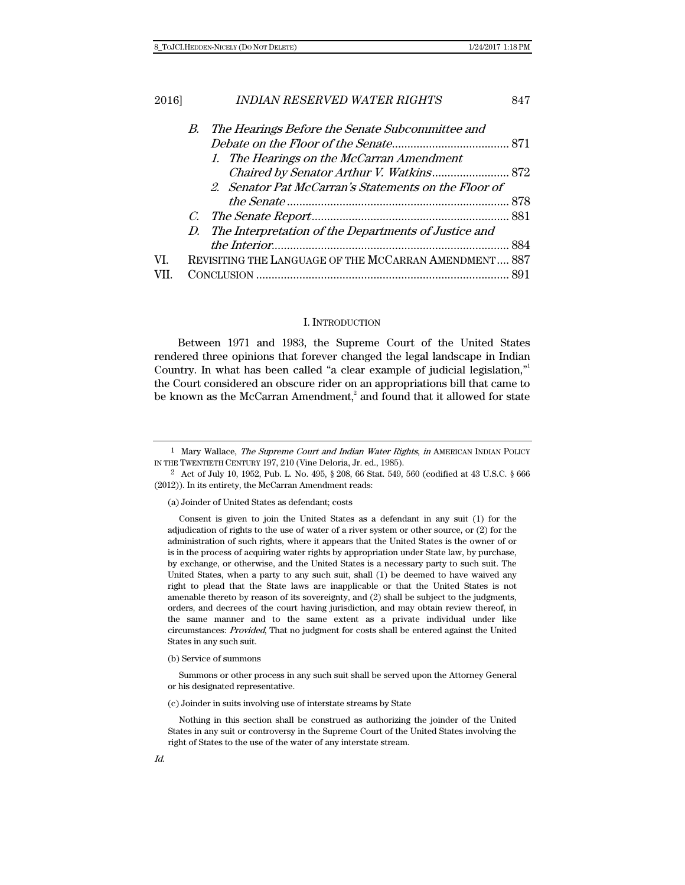| 2016] |    | <b>INDIAN RESERVED WATER RIGHTS</b>                     | 847 |
|-------|----|---------------------------------------------------------|-----|
|       | В. | The Hearings Before the Senate Subcommittee and         |     |
|       |    |                                                         |     |
|       |    | 1. The Hearings on the McCarran Amendment               |     |
|       |    |                                                         |     |
|       |    | 2. Senator Pat McCarran's Statements on the Floor of    |     |
|       |    |                                                         |     |
|       |    |                                                         |     |
|       |    | D. The Interpretation of the Departments of Justice and |     |
|       |    |                                                         | 884 |
| VI.   |    | REVISITING THE LANGUAGE OF THE MCCARRAN AMENDMENT 887   |     |
|       |    |                                                         |     |
|       |    |                                                         |     |

#### I. INTRODUCTION

Between 1971 and 1983, the Supreme Court of the United States rendered three opinions that forever changed the legal landscape in Indian Country. In what has been called "a clear example of judicial legislation," the Court considered an obscure rider on an appropriations bill that came to be known as the McCarran Amendment, $^2$  and found that it allowed for state

(a) Joinder of United States as defendant; costs

 Consent is given to join the United States as a defendant in any suit (1) for the adjudication of rights to the use of water of a river system or other source, or (2) for the administration of such rights, where it appears that the United States is the owner of or is in the process of acquiring water rights by appropriation under State law, by purchase, by exchange, or otherwise, and the United States is a necessary party to such suit. The United States, when a party to any such suit, shall (1) be deemed to have waived any right to plead that the State laws are inapplicable or that the United States is not amenable thereto by reason of its sovereignty, and (2) shall be subject to the judgments, orders, and decrees of the court having jurisdiction, and may obtain review thereof, in the same manner and to the same extent as a private individual under like circumstances: Provided, That no judgment for costs shall be entered against the United States in any such suit.

(b) Service of summons

 Summons or other process in any such suit shall be served upon the Attorney General or his designated representative.

(c) Joinder in suits involving use of interstate streams by State

 Nothing in this section shall be construed as authorizing the joinder of the United States in any suit or controversy in the Supreme Court of the United States involving the right of States to the use of the water of any interstate stream.

<sup>&</sup>lt;sup>1</sup> Mary Wallace, *The Supreme Court and Indian Water Rights*, *in* AMERICAN INDIAN POLICY IN THE TWENTIETH CENTURY 197, 210 (Vine Deloria, Jr. ed., 1985).

<sup>2</sup> Act of July 10, 1952, Pub. L. No. 495, § 208, 66 Stat. 549, 560 (codified at 43 U.S.C. § 666 (2012)). In its entirety, the McCarran Amendment reads: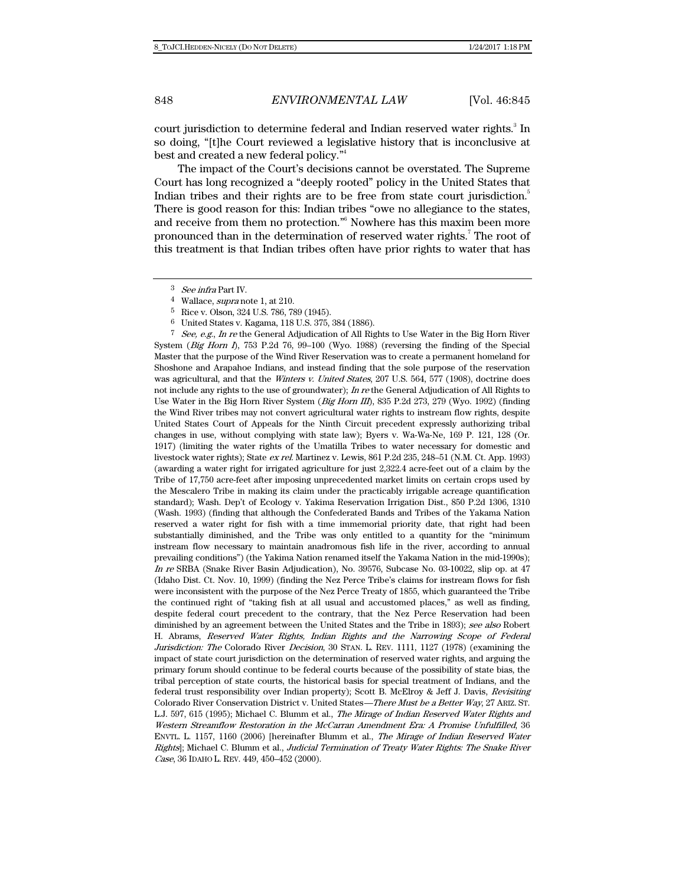court jurisdiction to determine federal and Indian reserved water rights.<sup>3</sup> In so doing, "[t]he Court reviewed a legislative history that is inconclusive at best and created a new federal policy."4

The impact of the Court's decisions cannot be overstated. The Supreme Court has long recognized a "deeply rooted" policy in the United States that Indian tribes and their rights are to be free from state court jurisdiction.<sup>5</sup> There is good reason for this: Indian tribes "owe no allegiance to the states, and receive from them no protection."6 Nowhere has this maxim been more pronounced than in the determination of reserved water rights.<sup>7</sup> The root of this treatment is that Indian tribes often have prior rights to water that has

<sup>7</sup> See, e.g., In re the General Adjudication of All Rights to Use Water in the Big Horn River System (*Big Horn I*), 753 P.2d 76, 99-100 (Wyo. 1988) (reversing the finding of the Special Master that the purpose of the Wind River Reservation was to create a permanent homeland for Shoshone and Arapahoe Indians, and instead finding that the sole purpose of the reservation was agricultural, and that the Winters v. United States, 207 U.S. 564, 577 (1908), doctrine does not include any rights to the use of groundwater); In re the General Adjudication of All Rights to Use Water in the Big Horn River System (*Big Horn III*), 835 P.2d 273, 279 (Wyo. 1992) (finding the Wind River tribes may not convert agricultural water rights to instream flow rights, despite United States Court of Appeals for the Ninth Circuit precedent expressly authorizing tribal changes in use, without complying with state law); Byers v. Wa-Wa-Ne, 169 P. 121, 128 (Or. 1917) (limiting the water rights of the Umatilla Tribes to water necessary for domestic and livestock water rights); State ex rel. Martinez v. Lewis, 861 P.2d 235, 248–51 (N.M. Ct. App. 1993) (awarding a water right for irrigated agriculture for just 2,322.4 acre-feet out of a claim by the Tribe of 17,750 acre-feet after imposing unprecedented market limits on certain crops used by the Mescalero Tribe in making its claim under the practicably irrigable acreage quantification standard); Wash. Dep't of Ecology v. Yakima Reservation Irrigation Dist., 850 P.2d 1306, 1310 (Wash. 1993) (finding that although the Confederated Bands and Tribes of the Yakama Nation reserved a water right for fish with a time immemorial priority date, that right had been substantially diminished, and the Tribe was only entitled to a quantity for the "minimum instream flow necessary to maintain anadromous fish life in the river, according to annual prevailing conditions") (the Yakima Nation renamed itself the Yakama Nation in the mid-1990s); In re SRBA (Snake River Basin Adjudication), No. 39576, Subcase No. 03-10022, slip op. at 47 (Idaho Dist. Ct. Nov. 10, 1999) (finding the Nez Perce Tribe's claims for instream flows for fish were inconsistent with the purpose of the Nez Perce Treaty of 1855, which guaranteed the Tribe the continued right of "taking fish at all usual and accustomed places," as well as finding, despite federal court precedent to the contrary, that the Nez Perce Reservation had been diminished by an agreement between the United States and the Tribe in 1893); see also Robert H. Abrams, Reserved Water Rights, Indian Rights and the Narrowing Scope of Federal Jurisdiction: The Colorado River *Decision*, 30 STAN. L. REV. 1111, 1127 (1978) (examining the impact of state court jurisdiction on the determination of reserved water rights, and arguing the primary forum should continue to be federal courts because of the possibility of state bias, the tribal perception of state courts, the historical basis for special treatment of Indians, and the federal trust responsibility over Indian property); Scott B. McElroy & Jeff J. Davis, Revisiting Colorado River Conservation District v. United States—There Must be a Better Way, 27 ARIZ. ST. L.J. 597, 615 (1995); Michael C. Blumm et al., The Mirage of Indian Reserved Water Rights and Western Streamflow Restoration in the McCarran Amendment Era: A Promise Unfulfilled, 36 ENVTL. L. 1157, 1160 (2006) [hereinafter Blumm et al., The Mirage of Indian Reserved Water Rights]; Michael C. Blumm et al., Judicial Termination of Treaty Water Rights: The Snake River Case, 36 IDAHO L. REV. 449, 450–452 (2000).

<sup>3</sup> See infra Part IV.

<sup>4</sup> Wallace, supra note 1, at 210.

<sup>5</sup> Rice v. Olson, 324 U.S. 786, 789 (1945).

<sup>6</sup> United States v. Kagama, 118 U.S. 375, 384 (1886).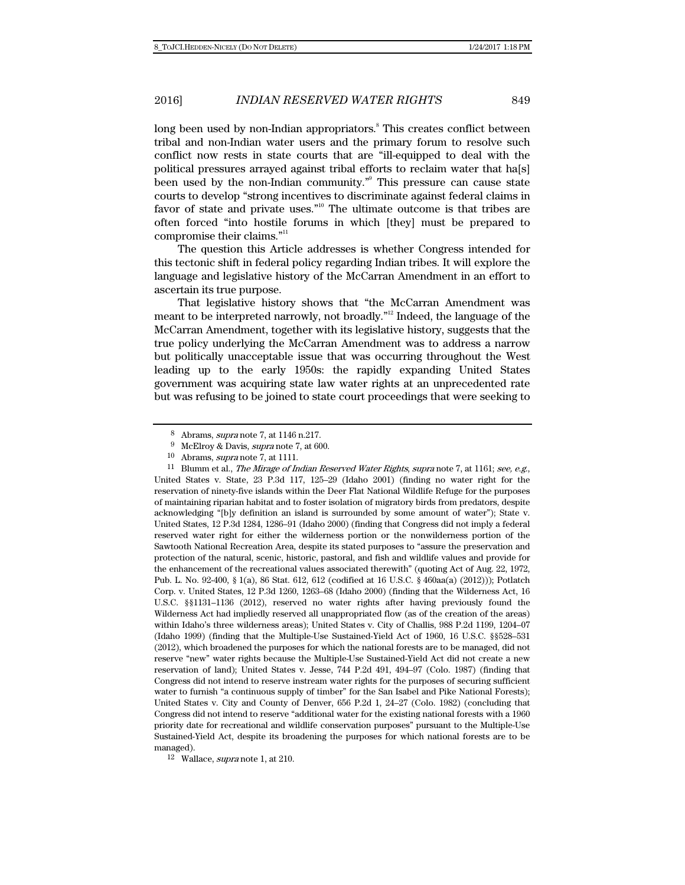long been used by non-Indian appropriators.<sup>8</sup> This creates conflict between tribal and non-Indian water users and the primary forum to resolve such conflict now rests in state courts that are "ill-equipped to deal with the political pressures arrayed against tribal efforts to reclaim water that ha[s] been used by the non-Indian community."<sup>9</sup> This pressure can cause state courts to develop "strong incentives to discriminate against federal claims in favor of state and private uses."<sup>10</sup> The ultimate outcome is that tribes are often forced "into hostile forums in which [they] must be prepared to compromise their claims."<sup>11</sup>

The question this Article addresses is whether Congress intended for this tectonic shift in federal policy regarding Indian tribes. It will explore the language and legislative history of the McCarran Amendment in an effort to ascertain its true purpose.

That legislative history shows that "the McCarran Amendment was meant to be interpreted narrowly, not broadly."12 Indeed, the language of the McCarran Amendment, together with its legislative history, suggests that the true policy underlying the McCarran Amendment was to address a narrow but politically unacceptable issue that was occurring throughout the West leading up to the early 1950s: the rapidly expanding United States government was acquiring state law water rights at an unprecedented rate but was refusing to be joined to state court proceedings that were seeking to

<sup>11</sup> Blumm et al., *The Mirage of Indian Reserved Water Rights, supra* note 7, at 1161; see, e.g., United States v. State, 23 P.3d 117, 125–29 (Idaho 2001) (finding no water right for the reservation of ninety-five islands within the Deer Flat National Wildlife Refuge for the purposes of maintaining riparian habitat and to foster isolation of migratory birds from predators, despite acknowledging "[b]y definition an island is surrounded by some amount of water"); State v. United States, 12 P.3d 1284, 1286–91 (Idaho 2000) (finding that Congress did not imply a federal reserved water right for either the wilderness portion or the nonwilderness portion of the Sawtooth National Recreation Area, despite its stated purposes to "assure the preservation and protection of the natural, scenic, historic, pastoral, and fish and wildlife values and provide for the enhancement of the recreational values associated therewith" (quoting Act of Aug. 22, 1972, Pub. L. No. 92-400, § 1(a), 86 Stat. 612, 612 (codified at 16 U.S.C. § 460aa(a) (2012))); Potlatch Corp. v. United States, 12 P.3d 1260, 1263–68 (Idaho 2000) (finding that the Wilderness Act, 16 U.S.C. §§1131–1136 (2012), reserved no water rights after having previously found the Wilderness Act had impliedly reserved all unappropriated flow (as of the creation of the areas) within Idaho's three wilderness areas); United States v. City of Challis, 988 P.2d 1199, 1204–07 (Idaho 1999) (finding that the Multiple-Use Sustained-Yield Act of 1960, 16 U.S.C. §§528–531 (2012), which broadened the purposes for which the national forests are to be managed, did not reserve "new" water rights because the Multiple-Use Sustained-Yield Act did not create a new reservation of land); United States v. Jesse, 744 P.2d 491, 494–97 (Colo. 1987) (finding that Congress did not intend to reserve instream water rights for the purposes of securing sufficient water to furnish "a continuous supply of timber" for the San Isabel and Pike National Forests); United States v. City and County of Denver, 656 P.2d 1, 24–27 (Colo. 1982) (concluding that Congress did not intend to reserve "additional water for the existing national forests with a 1960 priority date for recreational and wildlife conservation purposes" pursuant to the Multiple-Use Sustained-Yield Act, despite its broadening the purposes for which national forests are to be managed).

12 Wallace, supra note 1, at 210.

<sup>8</sup> Abrams, supra note 7, at 1146 n.217.

<sup>9</sup> McElroy & Davis, supra note 7, at 600.

 $10$  Abrams, *supra* note 7, at 1111.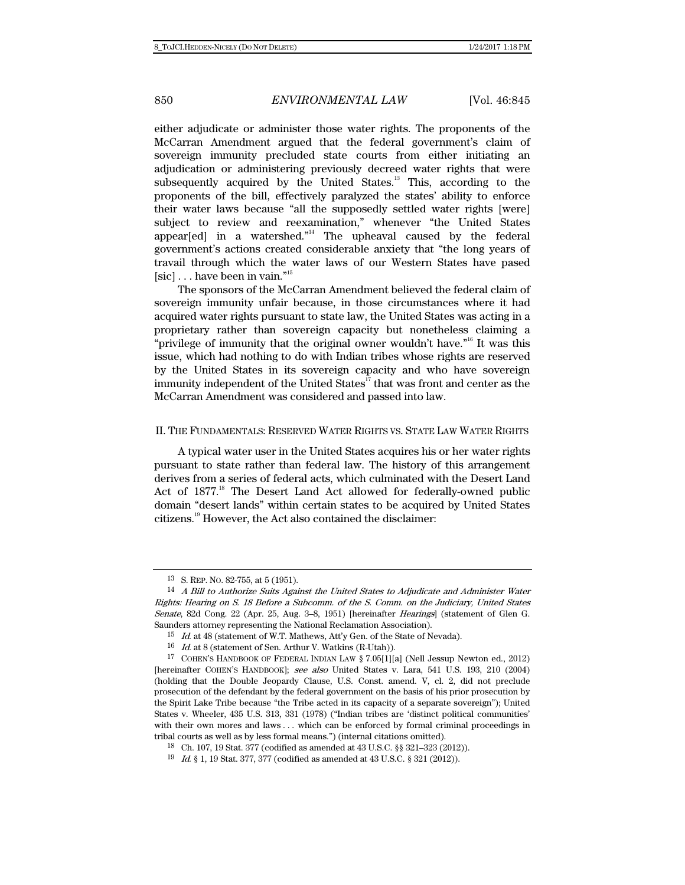either adjudicate or administer those water rights. The proponents of the McCarran Amendment argued that the federal government's claim of sovereign immunity precluded state courts from either initiating an adjudication or administering previously decreed water rights that were subsequently acquired by the United States.<sup>13</sup> This, according to the proponents of the bill, effectively paralyzed the states' ability to enforce their water laws because "all the supposedly settled water rights [were] subject to review and reexamination," whenever "the United States appear[ed] in a watershed."<sup>14</sup> The upheaval caused by the federal government's actions created considerable anxiety that "the long years of travail through which the water laws of our Western States have pased  $[\mathrm{sic}]$  . . . have been in vain."<br>  $\real^{n_{15}}$ 

The sponsors of the McCarran Amendment believed the federal claim of sovereign immunity unfair because, in those circumstances where it had acquired water rights pursuant to state law, the United States was acting in a proprietary rather than sovereign capacity but nonetheless claiming a "privilege of immunity that the original owner wouldn't have."<sup>16</sup> It was this issue, which had nothing to do with Indian tribes whose rights are reserved by the United States in its sovereign capacity and who have sovereign immunity independent of the United States $17$  that was front and center as the McCarran Amendment was considered and passed into law.

#### II. THE FUNDAMENTALS: RESERVED WATER RIGHTS VS. STATE LAW WATER RIGHTS

A typical water user in the United States acquires his or her water rights pursuant to state rather than federal law. The history of this arrangement derives from a series of federal acts, which culminated with the Desert Land Act of 1877.<sup>18</sup> The Desert Land Act allowed for federally-owned public domain "desert lands" within certain states to be acquired by United States citizens.19 However, the Act also contained the disclaimer:

<sup>13</sup> S. REP. NO. 82-755, at 5 (1951).

<sup>14</sup> A Bill to Authorize Suits Against the United States to Adjudicate and Administer Water Rights: Hearing on S. 18 Before a Subcomm. of the S. Comm. on the Judiciary, United States Senate, 82d Cong. 22 (Apr. 25, Aug. 3–8, 1951) [hereinafter Hearings] (statement of Glen G. Saunders attorney representing the National Reclamation Association).

<sup>&</sup>lt;sup>15</sup> Id. at 48 (statement of W.T. Mathews, Att'y Gen. of the State of Nevada).

<sup>16</sup> Id. at 8 (statement of Sen. Arthur V. Watkins (R-Utah)).

<sup>17</sup> COHEN'S HANDBOOK OF FEDERAL INDIAN LAW § 7.05[1][a] (Nell Jessup Newton ed., 2012) [hereinafter COHEN'S HANDBOOK]; see also United States v. Lara, 541 U.S. 193, 210 (2004) (holding that the Double Jeopardy Clause, U.S. Const. amend. V, cl. 2, did not preclude prosecution of the defendant by the federal government on the basis of his prior prosecution by the Spirit Lake Tribe because "the Tribe acted in its capacity of a separate sovereign"); United States v. Wheeler, 435 U.S. 313, 331 (1978) ("Indian tribes are 'distinct political communities' with their own mores and laws . . . which can be enforced by formal criminal proceedings in tribal courts as well as by less formal means.") (internal citations omitted).

<sup>18</sup> Ch. 107, 19 Stat. 377 (codified as amended at 43 U.S.C. §§ 321–323 (2012)).

<sup>19</sup> Id. § 1, 19 Stat. 377, 377 (codified as amended at 43 U.S.C. § 321 (2012)).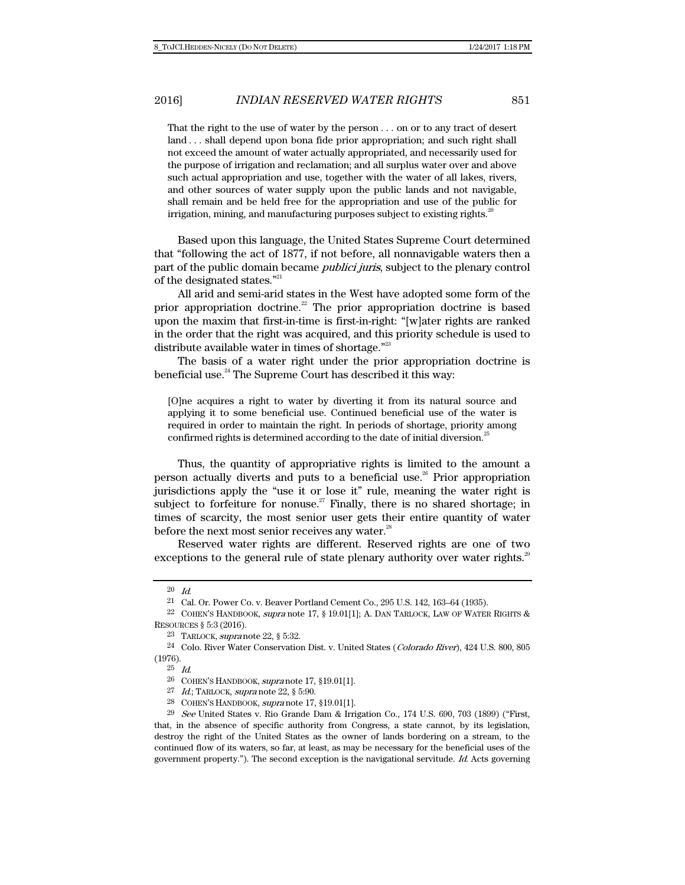That the right to the use of water by the person . . . on or to any tract of desert land . . . shall depend upon bona fide prior appropriation; and such right shall not exceed the amount of water actually appropriated, and necessarily used for the purpose of irrigation and reclamation; and all surplus water over and above such actual appropriation and use, together with the water of all lakes, rivers, and other sources of water supply upon the public lands and not navigable, shall remain and be held free for the appropriation and use of the public for irrigation, mining, and manufacturing purposes subject to existing rights.<sup>20</sup>

Based upon this language, the United States Supreme Court determined that "following the act of 1877, if not before, all nonnavigable waters then a part of the public domain became publici juris, subject to the plenary control of the designated states."<sup>21</sup>

All arid and semi-arid states in the West have adopted some form of the prior appropriation doctrine.<sup>22</sup> The prior appropriation doctrine is based upon the maxim that first-in-time is first-in-right: "[w]ater rights are ranked in the order that the right was acquired, and this priority schedule is used to distribute available water in times of shortage."<sup>23</sup>

The basis of a water right under the prior appropriation doctrine is beneficial use.<sup>24</sup> The Supreme Court has described it this way:

[O]ne acquires a right to water by diverting it from its natural source and applying it to some beneficial use. Continued beneficial use of the water is required in order to maintain the right. In periods of shortage, priority among confirmed rights is determined according to the date of initial diversion.<sup>25</sup>

Thus, the quantity of appropriative rights is limited to the amount a person actually diverts and puts to a beneficial use.<sup>26</sup> Prior appropriation jurisdictions apply the "use it or lose it" rule, meaning the water right is subject to forfeiture for nonuse.<sup>27</sup> Finally, there is no shared shortage; in times of scarcity, the most senior user gets their entire quantity of water before the next most senior receives any water.<sup>28</sup>

Reserved water rights are different. Reserved rights are one of two exceptions to the general rule of state plenary authority over water rights. $29$ 

<sup>20</sup> Id.

<sup>21</sup> Cal. Or. Power Co. v. Beaver Portland Cement Co., 295 U.S. 142, 163–64 (1935).

<sup>22</sup> COHEN'S HANDBOOK, supra note 17, § 19.01[1]; A. DAN TARLOCK, LAW OF WATER RIGHTS & RESOURCES § 5:3 (2016).

<sup>23</sup> TARLOCK, supra note 22, § 5:32.

<sup>24</sup> Colo. River Water Conservation Dist. v. United States (Colorado River), 424 U.S. 800, 805 (1976).

<sup>25</sup> Id.

<sup>26</sup> COHEN'S HANDBOOK, supra note 17, §19.01[1].

 $27$  Id.; TARLOCK, supra note 22, § 5:90.

<sup>28</sup> COHEN'S HANDBOOK, supra note 17, §19.01[1].

 $29$  See United States v. Rio Grande Dam & Irrigation Co., 174 U.S. 690, 703 (1899) ("First, that, in the absence of specific authority from Congress, a state cannot, by its legislation, destroy the right of the United States as the owner of lands bordering on a stream, to the continued flow of its waters, so far, at least, as may be necessary for the beneficial uses of the government property."). The second exception is the navigational servitude.  $Id$ . Acts governing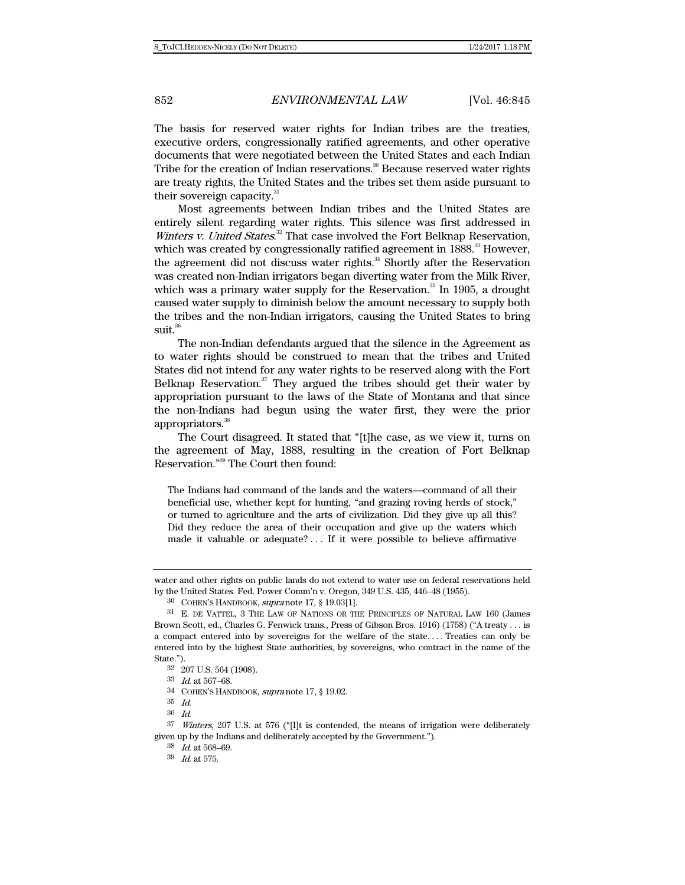The basis for reserved water rights for Indian tribes are the treaties, executive orders, congressionally ratified agreements, and other operative documents that were negotiated between the United States and each Indian Tribe for the creation of Indian reservations.<sup>30</sup> Because reserved water rights are treaty rights, the United States and the tribes set them aside pursuant to their sovereign capacity.<sup>31</sup>

Most agreements between Indian tribes and the United States are entirely silent regarding water rights. This silence was first addressed in Winters v. United States.<sup>32</sup> That case involved the Fort Belknap Reservation, which was created by congressionally ratified agreement in 1888.<sup>33</sup> However, the agreement did not discuss water rights.<sup>34</sup> Shortly after the Reservation was created non-Indian irrigators began diverting water from the Milk River, which was a primary water supply for the Reservation. $35$  In 1905, a drought caused water supply to diminish below the amount necessary to supply both the tribes and the non-Indian irrigators, causing the United States to bring  $suit<sup>36</sup>$ 

The non-Indian defendants argued that the silence in the Agreement as to water rights should be construed to mean that the tribes and United States did not intend for any water rights to be reserved along with the Fort Belknap Reservation. $37$  They argued the tribes should get their water by appropriation pursuant to the laws of the State of Montana and that since the non-Indians had begun using the water first, they were the prior appropriators.<sup>38</sup>

The Court disagreed. It stated that "[t]he case, as we view it, turns on the agreement of May, 1888, resulting in the creation of Fort Belknap Reservation."39 The Court then found:

The Indians had command of the lands and the waters—command of all their beneficial use, whether kept for hunting, "and grazing roving herds of stock," or turned to agriculture and the arts of civilization. Did they give up all this? Did they reduce the area of their occupation and give up the waters which made it valuable or adequate? . . . If it were possible to believe affirmative

water and other rights on public lands do not extend to water use on federal reservations held by the United States. Fed. Power Comm'n v. Oregon, 349 U.S. 435, 446–48 (1955).

<sup>30</sup> COHEN'S HANDBOOK, supra note 17, § 19.03[1].

<sup>31</sup> E. DE VATTEL, 3 THE LAW OF NATIONS OR THE PRINCIPLES OF NATURAL LAW 160 (James Brown Scott, ed., Charles G. Fenwick trans., Press of Gibson Bros. 1916) (1758) ("A treaty . . . is a compact entered into by sovereigns for the welfare of the state. . . . Treaties can only be entered into by the highest State authorities, by sovereigns, who contract in the name of the State.").

<sup>32 207</sup> U.S. 564 (1908).

<sup>33</sup> Id. at 567–68.

<sup>34</sup> COHEN'S HANDBOOK, supra note 17, § 19.02.

<sup>35</sup> Id.

<sup>36</sup> Id.

 $37$  Winters, 207 U.S. at 576 ("[I]t is contended, the means of irrigation were deliberately given up by the Indians and deliberately accepted by the Government.").

<sup>38</sup> Id. at 568–69.

<sup>39</sup> Id. at 575.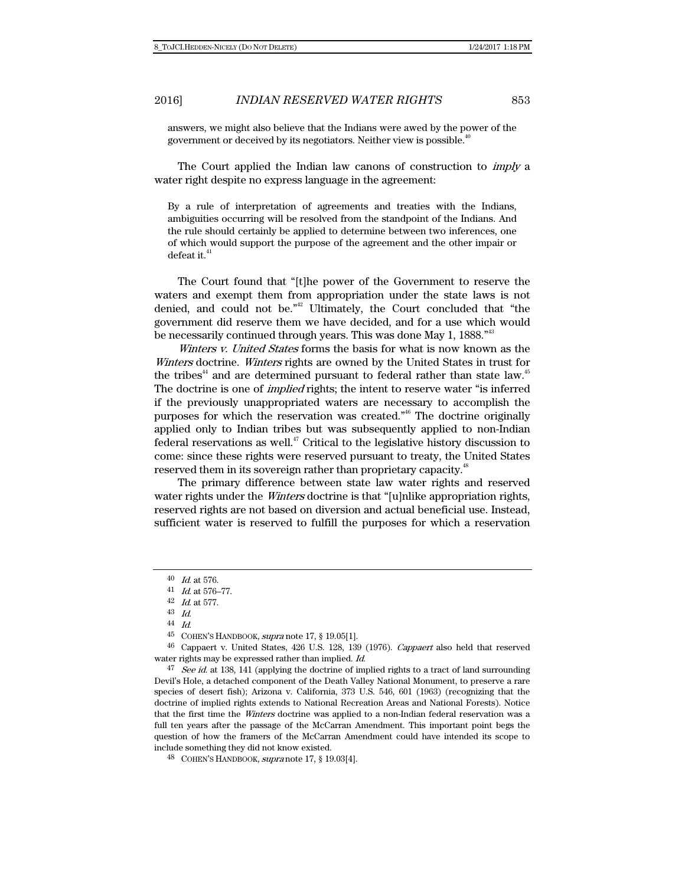answers, we might also believe that the Indians were awed by the power of the government or deceived by its negotiators. Neither view is possible.<sup>4</sup>

The Court applied the Indian law canons of construction to *imply* a water right despite no express language in the agreement:

By a rule of interpretation of agreements and treaties with the Indians, ambiguities occurring will be resolved from the standpoint of the Indians. And the rule should certainly be applied to determine between two inferences, one of which would support the purpose of the agreement and the other impair or defeat it.<sup>41</sup>

The Court found that "[t]he power of the Government to reserve the waters and exempt them from appropriation under the state laws is not denied, and could not be."42 Ultimately, the Court concluded that "the government did reserve them we have decided, and for a use which would be necessarily continued through years. This was done May 1, 1888."<sup>43</sup>

Winters v. United States forms the basis for what is now known as the Winters doctrine. Winters rights are owned by the United States in trust for the tribes<sup>44</sup> and are determined pursuant to federal rather than state law.<sup>45</sup> The doctrine is one of *implied* rights; the intent to reserve water "is inferred if the previously unappropriated waters are necessary to accomplish the purposes for which the reservation was created."46 The doctrine originally applied only to Indian tribes but was subsequently applied to non-Indian federal reservations as well. $47$  Critical to the legislative history discussion to come: since these rights were reserved pursuant to treaty, the United States reserved them in its sovereign rather than proprietary capacity.<sup>48</sup>

The primary difference between state law water rights and reserved water rights under the *Winters* doctrine is that "[u]nlike appropriation rights, reserved rights are not based on diversion and actual beneficial use. Instead, sufficient water is reserved to fulfill the purposes for which a reservation

<sup>40</sup> Id. at 576.

<sup>41</sup> Id. at 576–77.

<sup>42</sup> Id. at 577.

<sup>43</sup> Id.

<sup>44</sup> Id.

<sup>45</sup> COHEN'S HANDBOOK, supra note 17, § 19.05[1].

<sup>46</sup> Cappaert v. United States, 426 U.S. 128, 139 (1976). Cappaert also held that reserved water rights may be expressed rather than implied. Id.

<sup>&</sup>lt;sup>47</sup> See id. at 138, 141 (applying the doctrine of implied rights to a tract of land surrounding Devil's Hole, a detached component of the Death Valley National Monument, to preserve a rare species of desert fish); Arizona v. California, 373 U.S. 546, 601 (1963) (recognizing that the doctrine of implied rights extends to National Recreation Areas and National Forests). Notice that the first time the Winters doctrine was applied to a non-Indian federal reservation was a full ten years after the passage of the McCarran Amendment. This important point begs the question of how the framers of the McCarran Amendment could have intended its scope to include something they did not know existed.

<sup>48</sup> COHEN'S HANDBOOK, supra note 17, § 19.03[4].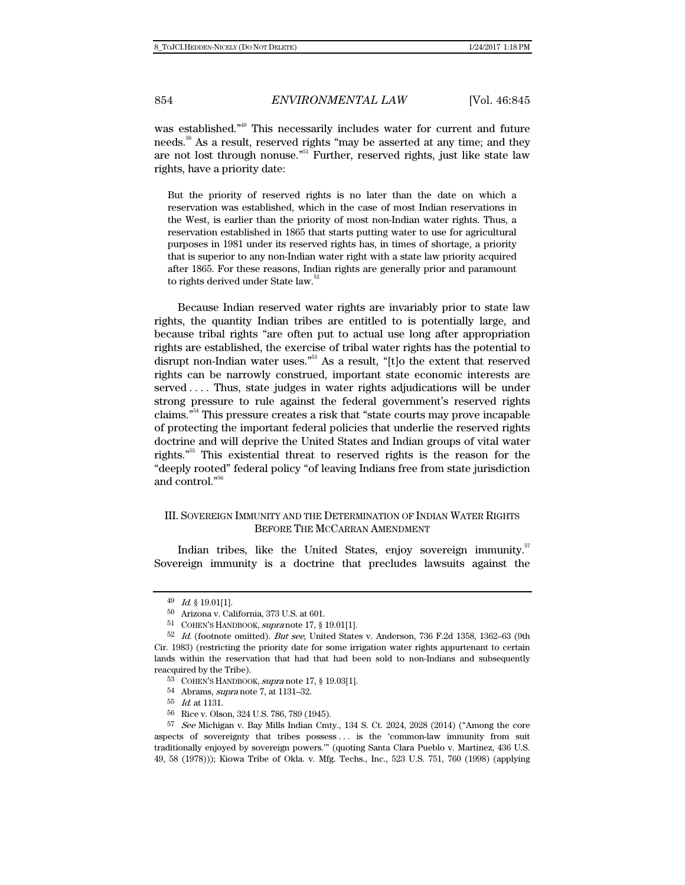was established."<sup>49</sup> This necessarily includes water for current and future needs.<sup>50</sup> As a result, reserved rights "may be asserted at any time; and they are not lost through nonuse."51 Further, reserved rights, just like state law rights, have a priority date:

But the priority of reserved rights is no later than the date on which a reservation was established, which in the case of most Indian reservations in the West, is earlier than the priority of most non-Indian water rights. Thus, a reservation established in 1865 that starts putting water to use for agricultural purposes in 1981 under its reserved rights has, in times of shortage, a priority that is superior to any non-Indian water right with a state law priority acquired after 1865. For these reasons, Indian rights are generally prior and paramount to rights derived under State law.<sup>52</sup>

Because Indian reserved water rights are invariably prior to state law rights, the quantity Indian tribes are entitled to is potentially large, and because tribal rights "are often put to actual use long after appropriation rights are established, the exercise of tribal water rights has the potential to disrupt non-Indian water uses."<sup>53</sup> As a result, "[t]o the extent that reserved rights can be narrowly construed, important state economic interests are served .... Thus, state judges in water rights adjudications will be under strong pressure to rule against the federal government's reserved rights claims."54 This pressure creates a risk that "state courts may prove incapable of protecting the important federal policies that underlie the reserved rights doctrine and will deprive the United States and Indian groups of vital water rights."55 This existential threat to reserved rights is the reason for the "deeply rooted" federal policy "of leaving Indians free from state jurisdiction and control."56

## III. SOVEREIGN IMMUNITY AND THE DETERMINATION OF INDIAN WATER RIGHTS BEFORE THE MCCARRAN AMENDMENT

Indian tribes, like the United States, enjoy sovereign immunity.<sup>57</sup> Sovereign immunity is a doctrine that precludes lawsuits against the

<sup>49</sup> Id. § 19.01[1].

<sup>50</sup> Arizona v. California, 373 U.S. at 601.

<sup>51</sup> COHEN'S HANDBOOK, supra note 17, § 19.01[1].

 $52$  Id. (footnote omitted). But see, United States v. Anderson, 736 F.2d 1358, 1362–63 (9th Cir. 1983) (restricting the priority date for some irrigation water rights appurtenant to certain lands within the reservation that had that had been sold to non-Indians and subsequently reacquired by the Tribe).

<sup>53</sup> COHEN'S HANDBOOK, supra note 17, § 19.03[1].

<sup>54</sup> Abrams, supra note 7, at 1131–32.

<sup>55</sup> Id. at 1131.

<sup>56</sup> Rice v. Olson, 324 U.S. 786, 789 (1945).

 $57$  See Michigan v. Bay Mills Indian Cmty., 134 S. Ct. 2024, 2028 (2014) ("Among the core aspects of sovereignty that tribes possess . . . is the 'common-law immunity from suit traditionally enjoyed by sovereign powers.'" (quoting Santa Clara Pueblo v. Martinez, 436 U.S. 49, 58 (1978))); Kiowa Tribe of Okla. v. Mfg. Techs., Inc., 523 U.S. 751, 760 (1998) (applying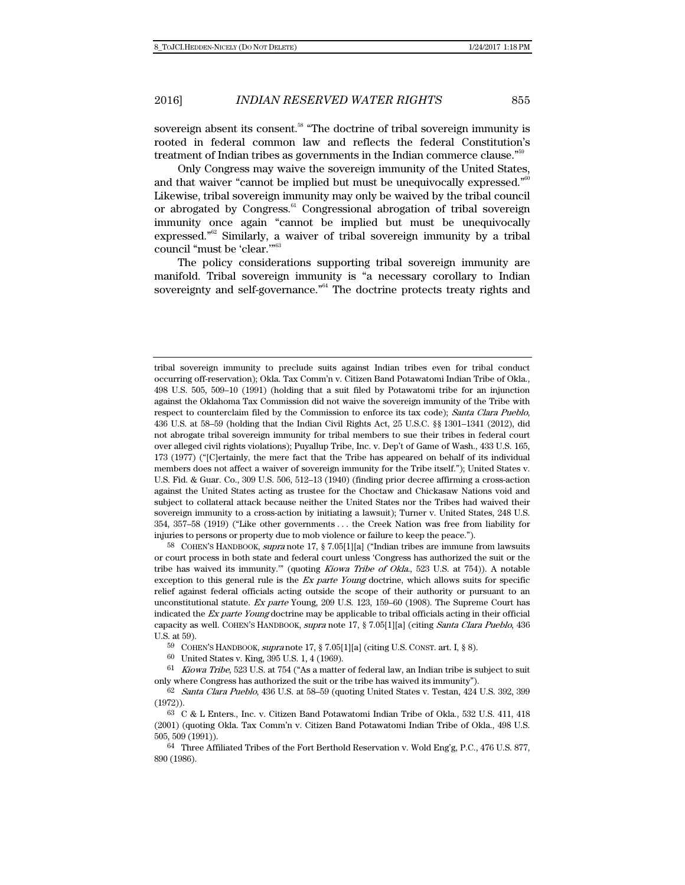sovereign absent its consent.<sup>58</sup> "The doctrine of tribal sovereign immunity is rooted in federal common law and reflects the federal Constitution's treatment of Indian tribes as governments in the Indian commerce clause."<sup>55</sup>

Only Congress may waive the sovereign immunity of the United States, and that waiver "cannot be implied but must be unequivocally expressed." $60$ Likewise, tribal sovereign immunity may only be waived by the tribal council or abrogated by Congress.<sup>61</sup> Congressional abrogation of tribal sovereign immunity once again "cannot be implied but must be unequivocally expressed."62 Similarly, a waiver of tribal sovereign immunity by a tribal council "must be 'clear.'"63

The policy considerations supporting tribal sovereign immunity are manifold. Tribal sovereign immunity is "a necessary corollary to Indian sovereignty and self-governance."<sup>64</sup> The doctrine protects treaty rights and

58 COHEN'S HANDBOOK, supra note 17, § 7.05[1][a] ("Indian tribes are immune from lawsuits or court process in both state and federal court unless 'Congress has authorized the suit or the tribe has waived its immunity.'" (quoting Kiowa Tribe of Okla., 523 U.S. at 754)). A notable exception to this general rule is the Ex parte Young doctrine, which allows suits for specific relief against federal officials acting outside the scope of their authority or pursuant to an unconstitutional statute. Ex parte Young, 209 U.S. 123, 159–60 (1908). The Supreme Court has indicated the Ex parte Young doctrine may be applicable to tribal officials acting in their official capacity as well. COHEN'S HANDBOOK, supra note 17, § 7.05[1][a] (citing Santa Clara Pueblo, 436 U.S. at 59).

59 COHEN'S HANDBOOK, supra note 17, § 7.05[1][a] (citing U.S. CONST. art. I, § 8).

tribal sovereign immunity to preclude suits against Indian tribes even for tribal conduct occurring off-reservation); Okla. Tax Comm'n v. Citizen Band Potawatomi Indian Tribe of Okla., 498 U.S. 505, 509–10 (1991) (holding that a suit filed by Potawatomi tribe for an injunction against the Oklahoma Tax Commission did not waive the sovereign immunity of the Tribe with respect to counterclaim filed by the Commission to enforce its tax code); Santa Clara Pueblo, 436 U.S. at 58–59 (holding that the Indian Civil Rights Act, 25 U.S.C. §§ 1301–1341 (2012), did not abrogate tribal sovereign immunity for tribal members to sue their tribes in federal court over alleged civil rights violations); Puyallup Tribe, Inc. v. Dep't of Game of Wash., 433 U.S. 165, 173 (1977) ("[C]ertainly, the mere fact that the Tribe has appeared on behalf of its individual members does not affect a waiver of sovereign immunity for the Tribe itself."); United States v. U.S. Fid. & Guar. Co., 309 U.S. 506, 512–13 (1940) (finding prior decree affirming a cross-action against the United States acting as trustee for the Choctaw and Chickasaw Nations void and subject to collateral attack because neither the United States nor the Tribes had waived their sovereign immunity to a cross-action by initiating a lawsuit); Turner v. United States, 248 U.S. 354, 357–58 (1919) ("Like other governments . . . the Creek Nation was free from liability for injuries to persons or property due to mob violence or failure to keep the peace.").

<sup>60</sup> United States v. King, 395 U.S. 1, 4 (1969).

 $61$  Kiowa Tribe, 523 U.S. at 754 ("As a matter of federal law, an Indian tribe is subject to suit only where Congress has authorized the suit or the tribe has waived its immunity").

<sup>62</sup> Santa Clara Pueblo, 436 U.S. at 58–59 (quoting United States v. Testan, 424 U.S. 392, 399 (1972)).

<sup>63</sup> C & L Enters., Inc. v. Citizen Band Potawatomi Indian Tribe of Okla., 532 U.S. 411, 418 (2001) (quoting Okla. Tax Comm'n v. Citizen Band Potawatomi Indian Tribe of Okla., 498 U.S. 505, 509 (1991)).

<sup>64</sup> Three Affiliated Tribes of the Fort Berthold Reservation v. Wold Eng'g, P.C., 476 U.S. 877, 890 (1986).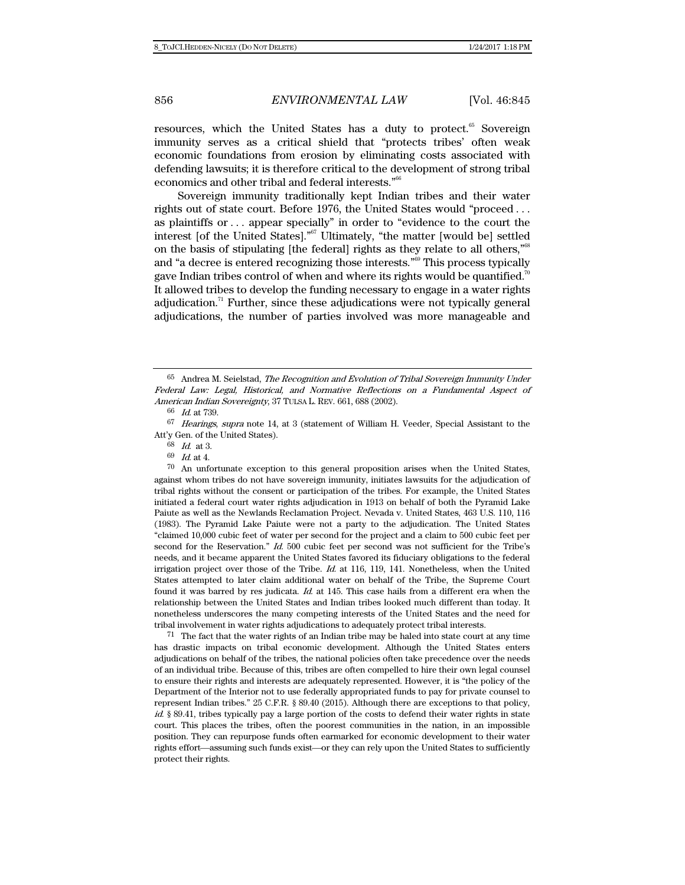resources, which the United States has a duty to protect.<sup>65</sup> Sovereign immunity serves as a critical shield that "protects tribes' often weak economic foundations from erosion by eliminating costs associated with defending lawsuits; it is therefore critical to the development of strong tribal economics and other tribal and federal interests."66

Sovereign immunity traditionally kept Indian tribes and their water rights out of state court. Before 1976, the United States would "proceed . . . as plaintiffs or . . . appear specially" in order to "evidence to the court the interest [of the United States]."67 Ultimately, "the matter [would be] settled on the basis of stipulating [the federal] rights as they relate to all others," $68$ and "a decree is entered recognizing those interests."69 This process typically gave Indian tribes control of when and where its rights would be quantified.<sup>7</sup> It allowed tribes to develop the funding necessary to engage in a water rights adjudication.<sup>71</sup> Further, since these adjudications were not typically general adjudications, the number of parties involved was more manageable and

70 An unfortunate exception to this general proposition arises when the United States, against whom tribes do not have sovereign immunity, initiates lawsuits for the adjudication of tribal rights without the consent or participation of the tribes. For example, the United States initiated a federal court water rights adjudication in 1913 on behalf of both the Pyramid Lake Paiute as well as the Newlands Reclamation Project. Nevada v. United States, 463 U.S. 110, 116 (1983). The Pyramid Lake Paiute were not a party to the adjudication. The United States "claimed 10,000 cubic feet of water per second for the project and a claim to 500 cubic feet per second for the Reservation." Id. 500 cubic feet per second was not sufficient for the Tribe's needs, and it became apparent the United States favored its fiduciary obligations to the federal irrigation project over those of the Tribe.  $Id$ . at 116, 119, 141. Nonetheless, when the United States attempted to later claim additional water on behalf of the Tribe, the Supreme Court found it was barred by res judicata.  $Id$  at 145. This case hails from a different era when the relationship between the United States and Indian tribes looked much different than today. It nonetheless underscores the many competing interests of the United States and the need for tribal involvement in water rights adjudications to adequately protect tribal interests.

71 The fact that the water rights of an Indian tribe may be haled into state court at any time has drastic impacts on tribal economic development. Although the United States enters adjudications on behalf of the tribes, the national policies often take precedence over the needs of an individual tribe. Because of this, tribes are often compelled to hire their own legal counsel to ensure their rights and interests are adequately represented. However, it is "the policy of the Department of the Interior not to use federally appropriated funds to pay for private counsel to represent Indian tribes." 25 C.F.R. § 89.40 (2015). Although there are exceptions to that policy, id. § 89.41, tribes typically pay a large portion of the costs to defend their water rights in state court. This places the tribes, often the poorest communities in the nation, in an impossible position. They can repurpose funds often earmarked for economic development to their water rights effort—assuming such funds exist—or they can rely upon the United States to sufficiently protect their rights.

<sup>65</sup> Andrea M. Seielstad, The Recognition and Evolution of Tribal Sovereign Immunity Under Federal Law: Legal, Historical, and Normative Reflections on a Fundamental Aspect of American Indian Sovereignty, 37 TULSA L. REV. 661, 688 (2002).

<sup>66</sup> Id. at 739.

<sup>67</sup> Hearings, supra note 14, at 3 (statement of William H. Veeder, Special Assistant to the Att'y Gen. of the United States).

<sup>68</sup> Id. at 3.

<sup>69</sup> Id. at 4.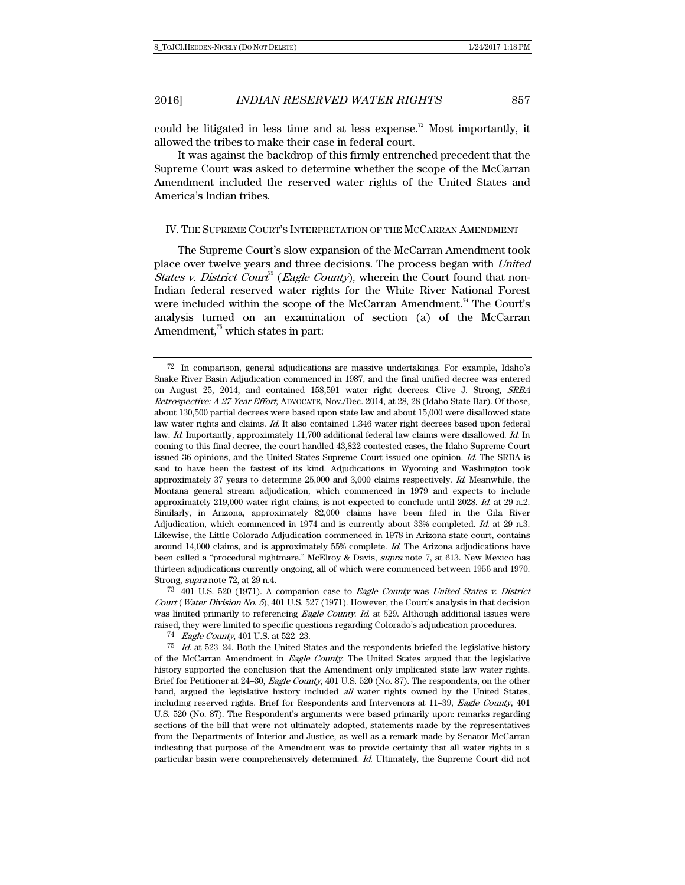could be litigated in less time and at less expense.<sup>72</sup> Most importantly, it allowed the tribes to make their case in federal court.

It was against the backdrop of this firmly entrenched precedent that the Supreme Court was asked to determine whether the scope of the McCarran Amendment included the reserved water rights of the United States and America's Indian tribes.

#### IV. THE SUPREME COURT'S INTERPRETATION OF THE MCCARRAN AMENDMENT

The Supreme Court's slow expansion of the McCarran Amendment took place over twelve years and three decisions. The process began with United *States v. District Court*<sup>3</sup> (*Eagle County*), wherein the Court found that non-Indian federal reserved water rights for the White River National Forest were included within the scope of the McCarran Amendment.<sup>74</sup> The Court's analysis turned on an examination of section (a) of the McCarran Amendment, $75$  which states in part:

<sup>72</sup> In comparison, general adjudications are massive undertakings. For example, Idaho's Snake River Basin Adjudication commenced in 1987, and the final unified decree was entered on August 25, 2014, and contained 158,591 water right decrees. Clive J. Strong, SRBA Retrospective: A 27-Year Effort, ADVOCATE, Nov./Dec. 2014, at 28, 28 (Idaho State Bar). Of those, about 130,500 partial decrees were based upon state law and about 15,000 were disallowed state law water rights and claims. Id. It also contained 1,346 water right decrees based upon federal law. Id. Importantly, approximately 11,700 additional federal law claims were disallowed. Id. In coming to this final decree, the court handled 43,822 contested cases, the Idaho Supreme Court issued 36 opinions, and the United States Supreme Court issued one opinion. Id. The SRBA is said to have been the fastest of its kind. Adjudications in Wyoming and Washington took approximately 37 years to determine 25,000 and 3,000 claims respectively. Id. Meanwhile, the Montana general stream adjudication, which commenced in 1979 and expects to include approximately 219,000 water right claims, is not expected to conclude until 2028. Id. at 29 n.2. Similarly, in Arizona, approximately 82,000 claims have been filed in the Gila River Adjudication, which commenced in 1974 and is currently about 33% completed. Id. at 29 n.3. Likewise, the Little Colorado Adjudication commenced in 1978 in Arizona state court, contains around 14,000 claims, and is approximately 55% complete. Id. The Arizona adjudications have been called a "procedural nightmare." McElroy & Davis, supra note 7, at 613. New Mexico has thirteen adjudications currently ongoing, all of which were commenced between 1956 and 1970. Strong, supra note 72, at 29 n.4.

<sup>73 401</sup> U.S. 520 (1971). A companion case to Eagle County was United States v. District Court (Water Division No. 5), 401 U.S. 527 (1971). However, the Court's analysis in that decision was limited primarily to referencing Eagle County. Id. at 529. Although additional issues were raised, they were limited to specific questions regarding Colorado's adjudication procedures.

<sup>74</sup> Eagle County, 401 U.S. at 522–23.

 $75$  Id. at 523–24. Both the United States and the respondents briefed the legislative history of the McCarran Amendment in Eagle County. The United States argued that the legislative history supported the conclusion that the Amendment only implicated state law water rights. Brief for Petitioner at 24–30, Eagle County, 401 U.S. 520 (No. 87). The respondents, on the other hand, argued the legislative history included all water rights owned by the United States, including reserved rights. Brief for Respondents and Intervenors at 11–39, Eagle County, 401 U.S. 520 (No. 87). The Respondent's arguments were based primarily upon: remarks regarding sections of the bill that were not ultimately adopted, statements made by the representatives from the Departments of Interior and Justice, as well as a remark made by Senator McCarran indicating that purpose of the Amendment was to provide certainty that all water rights in a particular basin were comprehensively determined. Id. Ultimately, the Supreme Court did not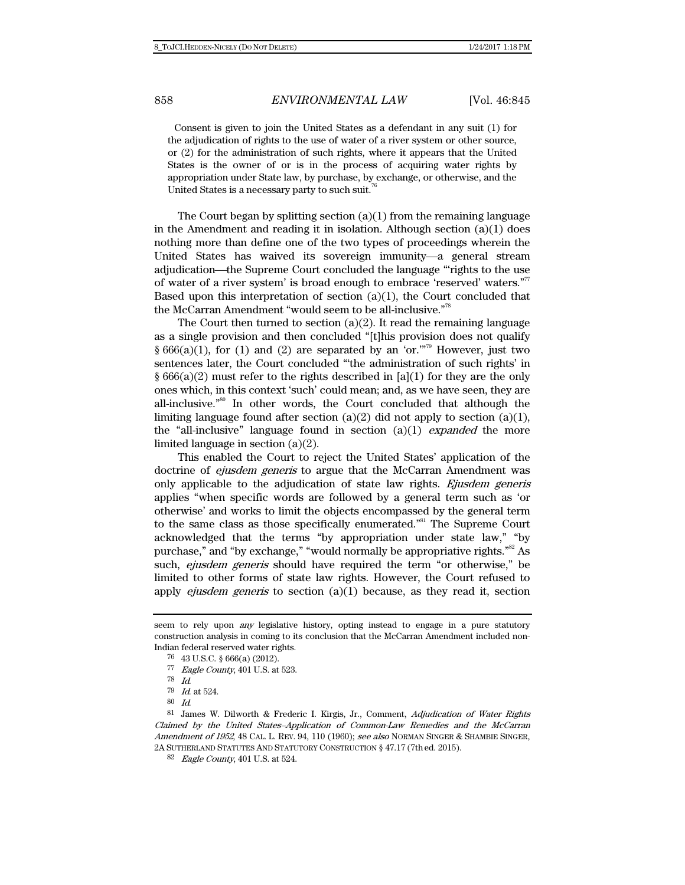Consent is given to join the United States as a defendant in any suit (1) for the adjudication of rights to the use of water of a river system or other source, or (2) for the administration of such rights, where it appears that the United States is the owner of or is in the process of acquiring water rights by appropriation under State law, by purchase, by exchange, or otherwise, and the United States is a necessary party to such suit.<sup>7</sup>

The Court began by splitting section  $(a)(1)$  from the remaining language in the Amendment and reading it in isolation. Although section  $(a)(1)$  does nothing more than define one of the two types of proceedings wherein the United States has waived its sovereign immunity—a general stream adjudication—the Supreme Court concluded the language "rights to the use of water of a river system' is broad enough to embrace 'reserved' waters."77 Based upon this interpretation of section  $(a)(1)$ , the Court concluded that the McCarran Amendment "would seem to be all-inclusive."78

The Court then turned to section  $(a)(2)$ . It read the remaining language as a single provision and then concluded "[t]his provision does not qualify § 666(a)(1), for (1) and (2) are separated by an 'or."<sup>79</sup> However, just two sentences later, the Court concluded "'the administration of such rights' in  $\S 666(a)(2)$  must refer to the rights described in [a](1) for they are the only ones which, in this context 'such' could mean; and, as we have seen, they are all-inclusive."80 In other words, the Court concluded that although the limiting language found after section  $(a)(2)$  did not apply to section  $(a)(1)$ , the "all-inclusive" language found in section  $(a)(1)$  *expanded* the more limited language in section (a)(2).

This enabled the Court to reject the United States' application of the doctrine of ejusdem generis to argue that the McCarran Amendment was only applicable to the adjudication of state law rights. Ejusdem generis applies "when specific words are followed by a general term such as 'or otherwise' and works to limit the objects encompassed by the general term to the same class as those specifically enumerated."81 The Supreme Court acknowledged that the terms "by appropriation under state law," "by purchase," and "by exchange," "would normally be appropriative rights."<sup>82</sup> As such, *ejusdem generis* should have required the term "or otherwise," be limited to other forms of state law rights. However, the Court refused to apply *ejusdem generis* to section (a)(1) because, as they read it, section

seem to rely upon any legislative history, opting instead to engage in a pure statutory construction analysis in coming to its conclusion that the McCarran Amendment included non-Indian federal reserved water rights.

<sup>76 43</sup> U.S.C. § 666(a) (2012).

<sup>77</sup> Eagle County, 401 U.S. at 523.<br> $\frac{78}{16}$  Id.

 $79$  *Id.* at 524.

<sup>80</sup> Id.

<sup>81</sup> James W. Dilworth & Frederic I. Kirgis, Jr., Comment, Adjudication of Water Rights Claimed by the United States–Application of Common-Law Remedies and the McCarran Amendment of 1952, 48 CAL. L. REV. 94, 110 (1960); see also NORMAN SINGER & SHAMBIE SINGER, 2A SUTHERLAND STATUTES AND STATUTORY CONSTRUCTION § 47.17 (7thed. 2015).

<sup>82</sup> Eagle County, 401 U.S. at 524.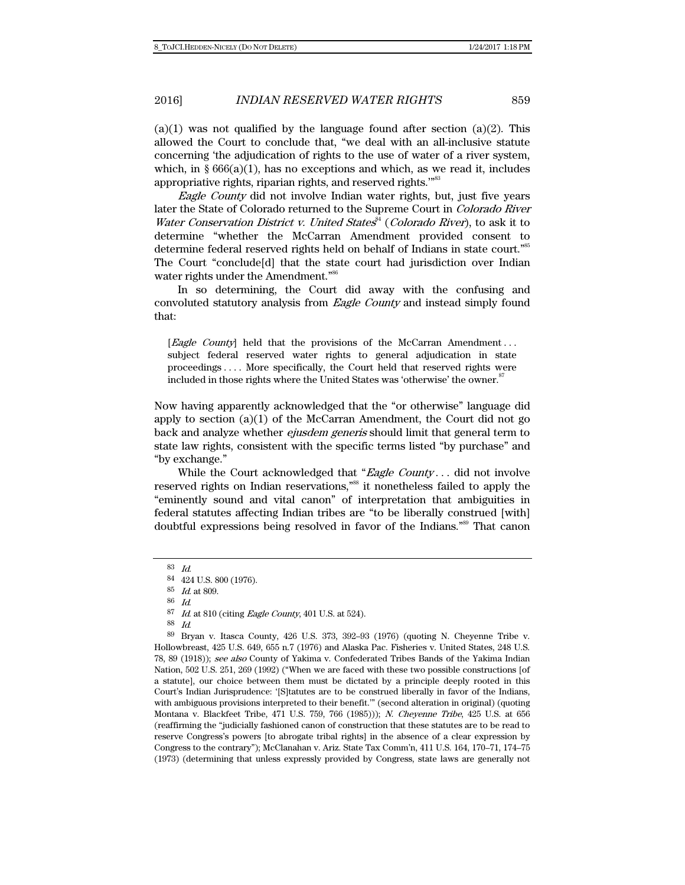$(a)(1)$  was not qualified by the language found after section  $(a)(2)$ . This allowed the Court to conclude that, "we deal with an all-inclusive statute concerning 'the adjudication of rights to the use of water of a river system, which, in  $\S 666(a)(1)$ , has no exceptions and which, as we read it, includes appropriative rights, riparian rights, and reserved rights."<sup>83</sup>

Eagle County did not involve Indian water rights, but, just five years later the State of Colorado returned to the Supreme Court in Colorado River Water Conservation District v. United States $*$  (Colorado River), to ask it to determine "whether the McCarran Amendment provided consent to determine federal reserved rights held on behalf of Indians in state court."<sup>85</sup> The Court "conclude[d] that the state court had jurisdiction over Indian water rights under the Amendment."<sup>86</sup>

In so determining, the Court did away with the confusing and convoluted statutory analysis from Eagle County and instead simply found that:

[Eagle County] held that the provisions of the McCarran Amendment... subject federal reserved water rights to general adjudication in state proceedings . . . . More specifically, the Court held that reserved rights were included in those rights where the United States was 'otherwise' the owner.<sup>87</sup>

Now having apparently acknowledged that the "or otherwise" language did apply to section  $(a)(1)$  of the McCarran Amendment, the Court did not go back and analyze whether *ejusdem generis* should limit that general term to state law rights, consistent with the specific terms listed "by purchase" and "by exchange."

While the Court acknowledged that "Eagle County... did not involve reserved rights on Indian reservations,"<sup>88</sup> it nonetheless failed to apply the "eminently sound and vital canon" of interpretation that ambiguities in federal statutes affecting Indian tribes are "to be liberally construed [with] doubtful expressions being resolved in favor of the Indians."89 That canon

<sup>83</sup> Id.

<sup>84 424</sup> U.S. 800 (1976).

<sup>85</sup> Id. at 809.

<sup>86</sup> Id.

<sup>87</sup> Id. at 810 (citing Eagle County, 401 U.S. at 524).

<sup>88</sup> Id.

<sup>89</sup> Bryan v. Itasca County, 426 U.S. 373, 392–93 (1976) (quoting N. Cheyenne Tribe v. Hollowbreast, 425 U.S. 649, 655 n.7 (1976) and Alaska Pac. Fisheries v. United States, 248 U.S. 78, 89 (1918)); see also County of Yakima v. Confederated Tribes Bands of the Yakima Indian Nation, 502 U.S. 251, 269 (1992) ("When we are faced with these two possible constructions [of a statute], our choice between them must be dictated by a principle deeply rooted in this Court's Indian Jurisprudence: '[S]tatutes are to be construed liberally in favor of the Indians, with ambiguous provisions interpreted to their benefit.'" (second alteration in original) (quoting Montana v. Blackfeet Tribe, 471 U.S. 759, 766 (1985))); N. Cheyenne Tribe, 425 U.S. at 656 (reaffirming the "judicially fashioned canon of construction that these statutes are to be read to reserve Congress's powers [to abrogate tribal rights] in the absence of a clear expression by Congress to the contrary"); McClanahan v. Ariz. State Tax Comm'n, 411 U.S. 164, 170–71, 174–75 (1973) (determining that unless expressly provided by Congress, state laws are generally not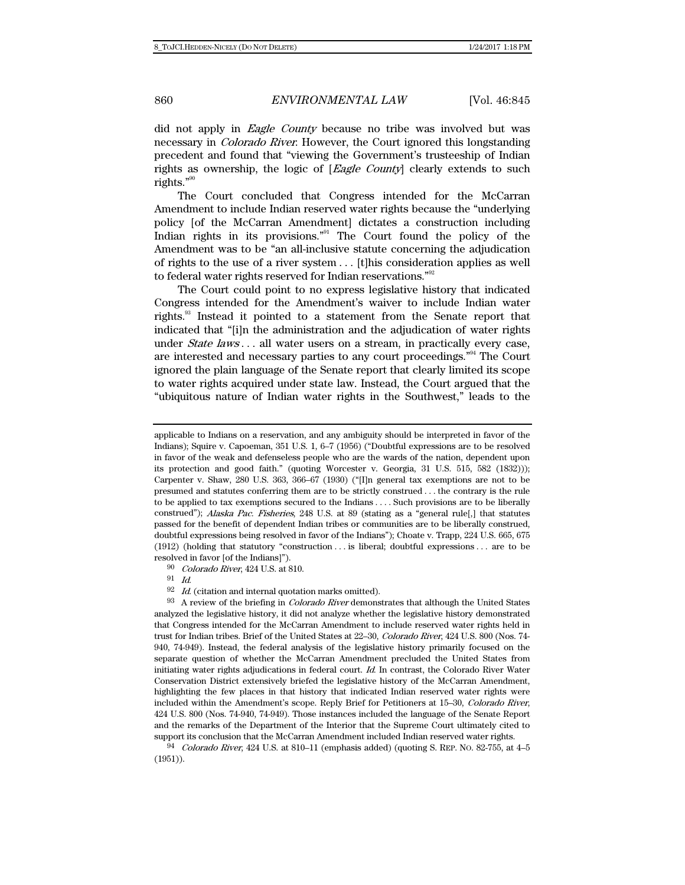did not apply in *Eagle County* because no tribe was involved but was necessary in Colorado River. However, the Court ignored this longstanding precedent and found that "viewing the Government's trusteeship of Indian rights as ownership, the logic of [Eagle County] clearly extends to such rights."<sup>90</sup>

The Court concluded that Congress intended for the McCarran Amendment to include Indian reserved water rights because the "underlying policy [of the McCarran Amendment] dictates a construction including Indian rights in its provisions."91 The Court found the policy of the Amendment was to be "an all-inclusive statute concerning the adjudication of rights to the use of a river system . . . [t]his consideration applies as well to federal water rights reserved for Indian reservations."<sup>92</sup>

The Court could point to no express legislative history that indicated Congress intended for the Amendment's waiver to include Indian water rights.93 Instead it pointed to a statement from the Senate report that indicated that "[i]n the administration and the adjudication of water rights under *State laws* . . . all water users on a stream, in practically every case, are interested and necessary parties to any court proceedings."94 The Court ignored the plain language of the Senate report that clearly limited its scope to water rights acquired under state law. Instead, the Court argued that the "ubiquitous nature of Indian water rights in the Southwest," leads to the

90 Colorado River, 424 U.S. at 810.

 $\frac{91}{92}$  *Id.* 

Id. (citation and internal quotation marks omitted).

93 A review of the briefing in *Colorado River* demonstrates that although the United States analyzed the legislative history, it did not analyze whether the legislative history demonstrated that Congress intended for the McCarran Amendment to include reserved water rights held in trust for Indian tribes. Brief of the United States at 22–30, Colorado River, 424 U.S. 800 (Nos. 74- 940, 74-949). Instead, the federal analysis of the legislative history primarily focused on the separate question of whether the McCarran Amendment precluded the United States from initiating water rights adjudications in federal court. Id. In contrast, the Colorado River Water Conservation District extensively briefed the legislative history of the McCarran Amendment, highlighting the few places in that history that indicated Indian reserved water rights were included within the Amendment's scope. Reply Brief for Petitioners at 15–30, Colorado River, 424 U.S. 800 (Nos. 74-940, 74-949). Those instances included the language of the Senate Report and the remarks of the Department of the Interior that the Supreme Court ultimately cited to support its conclusion that the McCarran Amendment included Indian reserved water rights.

94 Colorado River, 424 U.S. at 810–11 (emphasis added) (quoting S. REP. NO. 82-755, at 4–5 (1951)).

applicable to Indians on a reservation, and any ambiguity should be interpreted in favor of the Indians); Squire v. Capoeman, 351 U.S. 1, 6–7 (1956) ("Doubtful expressions are to be resolved in favor of the weak and defenseless people who are the wards of the nation, dependent upon its protection and good faith." (quoting Worcester v. Georgia, 31 U.S. 515, 582 (1832))); Carpenter v. Shaw, 280 U.S. 363, 366–67 (1930) ("[I]n general tax exemptions are not to be presumed and statutes conferring them are to be strictly construed . . . the contrary is the rule to be applied to tax exemptions secured to the Indians . . . . Such provisions are to be liberally construed"); Alaska Pac. Fisheries, 248 U.S. at 89 (stating as a "general rule[,] that statutes passed for the benefit of dependent Indian tribes or communities are to be liberally construed, doubtful expressions being resolved in favor of the Indians"); Choate v. Trapp, 224 U.S. 665, 675 (1912) (holding that statutory "construction . . . is liberal; doubtful expressions . . . are to be resolved in favor [of the Indians]").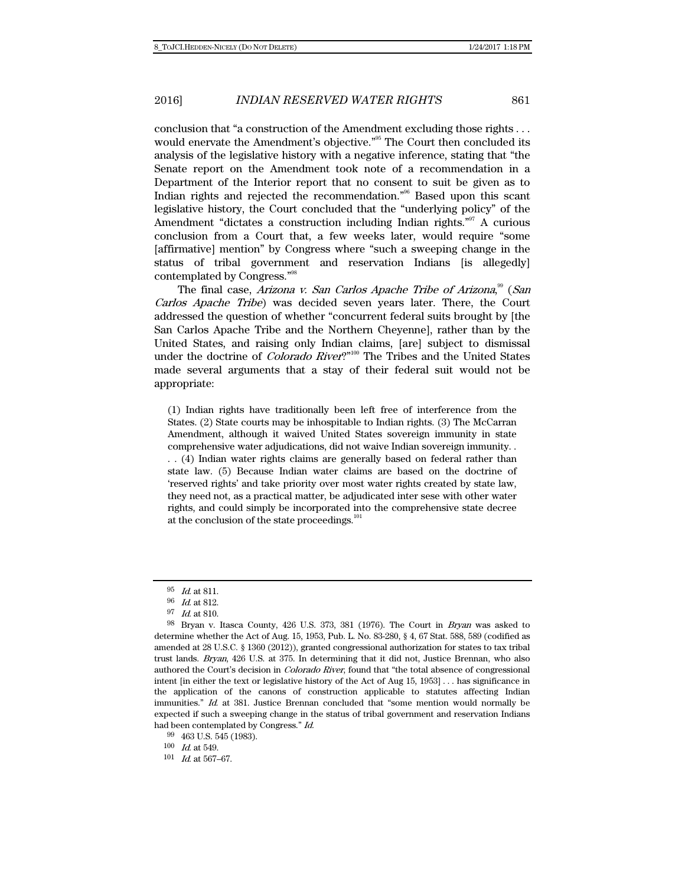conclusion that "a construction of the Amendment excluding those rights . . . would enervate the Amendment's objective."<sup>95</sup> The Court then concluded its analysis of the legislative history with a negative inference, stating that "the Senate report on the Amendment took note of a recommendation in a Department of the Interior report that no consent to suit be given as to Indian rights and rejected the recommendation."96 Based upon this scant legislative history, the Court concluded that the "underlying policy" of the Amendment "dictates a construction including Indian rights."<sup>97</sup> A curious conclusion from a Court that, a few weeks later, would require "some [affirmative] mention" by Congress where "such a sweeping change in the status of tribal government and reservation Indians [is allegedly] contemplated by Congress."98

The final case, Arizona v. San Carlos Apache Tribe of Arizona,<sup>99</sup> (San Carlos Apache Tribe) was decided seven years later. There, the Court addressed the question of whether "concurrent federal suits brought by [the San Carlos Apache Tribe and the Northern Cheyenne], rather than by the United States, and raising only Indian claims, [are] subject to dismissal under the doctrine of *Colorado River*?"<sup>100</sup> The Tribes and the United States made several arguments that a stay of their federal suit would not be appropriate:

(1) Indian rights have traditionally been left free of interference from the States. (2) State courts may be inhospitable to Indian rights. (3) The McCarran Amendment, although it waived United States sovereign immunity in state comprehensive water adjudications, did not waive Indian sovereign immunity. .

. . (4) Indian water rights claims are generally based on federal rather than state law. (5) Because Indian water claims are based on the doctrine of 'reserved rights' and take priority over most water rights created by state law, they need not, as a practical matter, be adjudicated inter sese with other water rights, and could simply be incorporated into the comprehensive state decree at the conclusion of the state proceedings.<sup>101</sup>

<sup>95</sup> Id. at 811.

<sup>96</sup> Id. at 812.

<sup>97</sup> Id. at 810.

<sup>98</sup> Bryan v. Itasca County, 426 U.S. 373, 381 (1976). The Court in Bryan was asked to determine whether the Act of Aug. 15, 1953, Pub. L. No. 83-280, § 4, 67 Stat. 588, 589 (codified as amended at 28 U.S.C. § 1360 (2012)), granted congressional authorization for states to tax tribal trust lands. Bryan, 426 U.S. at 375. In determining that it did not, Justice Brennan, who also authored the Court's decision in Colorado River, found that "the total absence of congressional intent [in either the text or legislative history of the Act of Aug 15, 1953] . . . has significance in the application of the canons of construction applicable to statutes affecting Indian immunities." Id. at 381. Justice Brennan concluded that "some mention would normally be expected if such a sweeping change in the status of tribal government and reservation Indians had been contemplated by Congress." Id.

<sup>99 463</sup> U.S. 545 (1983).

 $100\quad$   $Id.$  at 549.

 $101$  *Id.* at 567–67.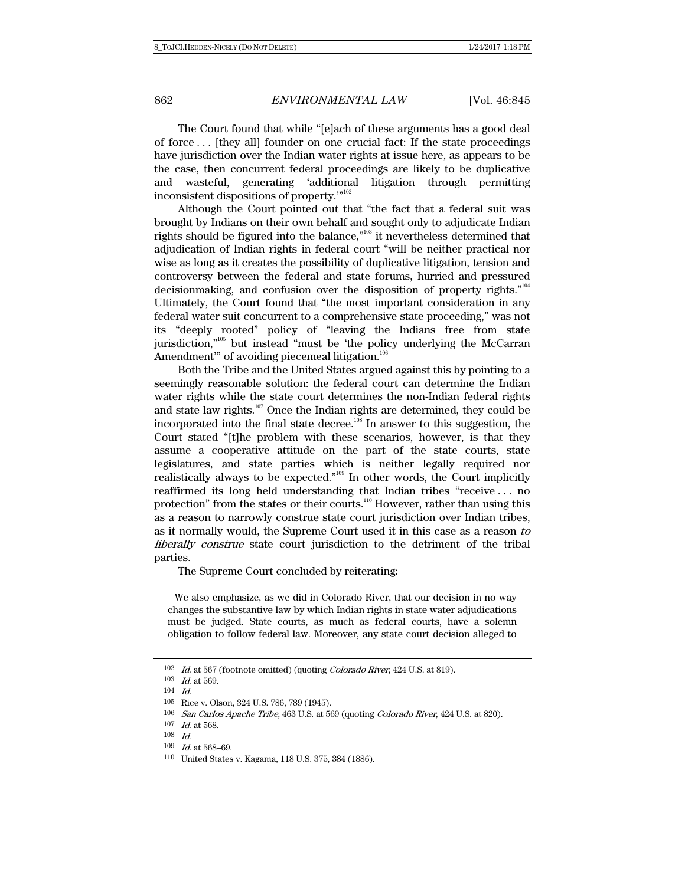The Court found that while "[e]ach of these arguments has a good deal of force . . . [they all] founder on one crucial fact: If the state proceedings have jurisdiction over the Indian water rights at issue here, as appears to be the case, then concurrent federal proceedings are likely to be duplicative and wasteful, generating 'additional litigation through permitting inconsistent dispositions of property.'"102

Although the Court pointed out that "the fact that a federal suit was brought by Indians on their own behalf and sought only to adjudicate Indian rights should be figured into the balance,"103 it nevertheless determined that adjudication of Indian rights in federal court "will be neither practical nor wise as long as it creates the possibility of duplicative litigation, tension and controversy between the federal and state forums, hurried and pressured decisionmaking, and confusion over the disposition of property rights."104 Ultimately, the Court found that "the most important consideration in any federal water suit concurrent to a comprehensive state proceeding," was not its "deeply rooted" policy of "leaving the Indians free from state jurisdiction,"105 but instead "must be 'the policy underlying the McCarran Amendment" of avoiding piecemeal litigation.<sup>106</sup>

Both the Tribe and the United States argued against this by pointing to a seemingly reasonable solution: the federal court can determine the Indian water rights while the state court determines the non-Indian federal rights and state law rights.<sup>107</sup> Once the Indian rights are determined, they could be incorporated into the final state decree.<sup>108</sup> In answer to this suggestion, the Court stated "[t]he problem with these scenarios, however, is that they assume a cooperative attitude on the part of the state courts, state legislatures, and state parties which is neither legally required nor realistically always to be expected."109 In other words, the Court implicitly reaffirmed its long held understanding that Indian tribes "receive . . . no protection" from the states or their courts.<sup>110</sup> However, rather than using this as a reason to narrowly construe state court jurisdiction over Indian tribes, as it normally would, the Supreme Court used it in this case as a reason to liberally construe state court jurisdiction to the detriment of the tribal parties.

The Supreme Court concluded by reiterating:

 We also emphasize, as we did in Colorado River, that our decision in no way changes the substantive law by which Indian rights in state water adjudications must be judged. State courts, as much as federal courts, have a solemn obligation to follow federal law. Moreover, any state court decision alleged to

 $109$  *Id.* at 568–69.

 $102$  *Id.* at 567 (footnote omitted) (quoting *Colorado River*, 424 U.S. at 819).

 $103\quad$   $Id.$  at 569.

<sup>104</sup> Id.

<sup>105</sup> Rice v. Olson, 324 U.S. 786, 789 (1945).

<sup>106</sup> San Carlos Apache Tribe, 463 U.S. at 569 (quoting Colorado River, 424 U.S. at 820).

 $107$  *Id.* at 568.

<sup>108</sup> Id.

<sup>110</sup> United States v. Kagama, 118 U.S. 375, 384 (1886).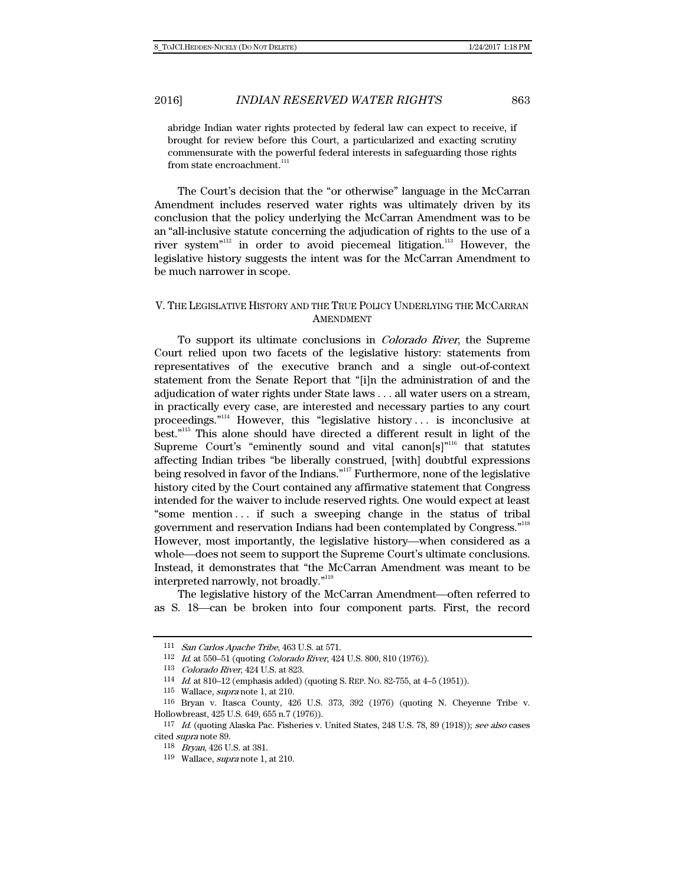abridge Indian water rights protected by federal law can expect to receive, if brought for review before this Court, a particularized and exacting scrutiny commensurate with the powerful federal interests in safeguarding those rights from state encroachment.<sup>111</sup>

The Court's decision that the "or otherwise" language in the McCarran Amendment includes reserved water rights was ultimately driven by its conclusion that the policy underlying the McCarran Amendment was to be an "all-inclusive statute concerning the adjudication of rights to the use of a river system $"$ <sup>112</sup> in order to avoid piecemeal litigation.<sup>113</sup> However, the legislative history suggests the intent was for the McCarran Amendment to be much narrower in scope.

## V. THE LEGISLATIVE HISTORY AND THE TRUE POLICY UNDERLYING THE MCCARRAN AMENDMENT

To support its ultimate conclusions in Colorado River, the Supreme Court relied upon two facets of the legislative history: statements from representatives of the executive branch and a single out-of-context statement from the Senate Report that "[i]n the administration of and the adjudication of water rights under State laws . . . all water users on a stream, in practically every case, are interested and necessary parties to any court proceedings. $n<sup>114</sup>$  However, this "legislative history ... is inconclusive at best."115 This alone should have directed a different result in light of the Supreme Court's "eminently sound and vital canon[s]"<sup>116</sup> that statutes affecting Indian tribes "be liberally construed, [with] doubtful expressions being resolved in favor of the Indians."117 Furthermore, none of the legislative history cited by the Court contained any affirmative statement that Congress intended for the waiver to include reserved rights. One would expect at least "some mention . . . if such a sweeping change in the status of tribal government and reservation Indians had been contemplated by Congress."118 However, most importantly, the legislative history—when considered as a whole—does not seem to support the Supreme Court's ultimate conclusions. Instead, it demonstrates that "the McCarran Amendment was meant to be interpreted narrowly, not broadly."119

The legislative history of the McCarran Amendment-often referred to as S. 18—can be broken into four component parts. First, the record

<sup>111</sup> San Carlos Apache Tribe, 463 U.S. at 571.

<sup>112</sup> Id. at 550–51 (quoting Colorado River, 424 U.S. 800, 810 (1976)).

<sup>113</sup> Colorado River, 424 U.S. at 823.

<sup>114</sup> Id. at 810–12 (emphasis added) (quoting S. REP. NO. 82-755, at 4–5 (1951)).

<sup>115</sup> Wallace, supra note 1, at 210.

<sup>116</sup> Bryan v. Itasca County, 426 U.S. 373, 392 (1976) (quoting N. Cheyenne Tribe v. Hollowbreast, 425 U.S. 649, 655 n.7 (1976)).

<sup>117</sup> Id. (quoting Alaska Pac. Fisheries v. United States, 248 U.S. 78, 89 (1918)); see also cases cited supra note 89.

<sup>118</sup> Bryan, 426 U.S. at 381.

<sup>119</sup> Wallace, supra note 1, at 210.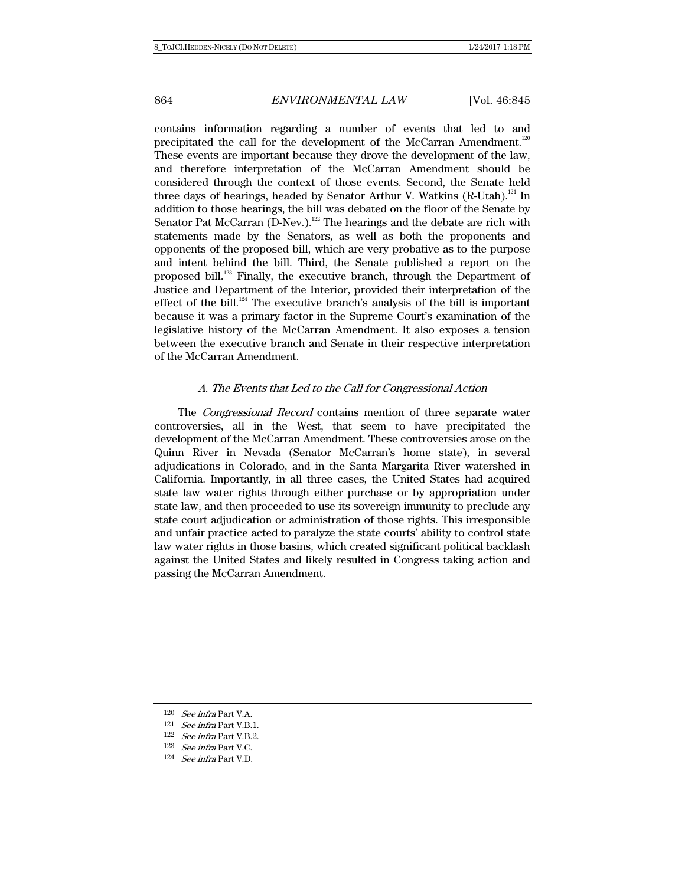contains information regarding a number of events that led to and precipitated the call for the development of the McCarran Amendment.<sup>120</sup> These events are important because they drove the development of the law, and therefore interpretation of the McCarran Amendment should be considered through the context of those events. Second, the Senate held three days of hearings, headed by Senator Arthur V. Watkins (R-Utah).<sup>121</sup> In addition to those hearings, the bill was debated on the floor of the Senate by Senator Pat McCarran (D-Nev.).<sup>122</sup> The hearings and the debate are rich with statements made by the Senators, as well as both the proponents and opponents of the proposed bill, which are very probative as to the purpose and intent behind the bill. Third, the Senate published a report on the proposed bill.123 Finally, the executive branch, through the Department of Justice and Department of the Interior, provided their interpretation of the effect of the bill.<sup>124</sup> The executive branch's analysis of the bill is important because it was a primary factor in the Supreme Court's examination of the legislative history of the McCarran Amendment. It also exposes a tension between the executive branch and Senate in their respective interpretation of the McCarran Amendment.

#### A. The Events that Led to the Call for Congressional Action

The *Congressional Record* contains mention of three separate water controversies, all in the West, that seem to have precipitated the development of the McCarran Amendment. These controversies arose on the Quinn River in Nevada (Senator McCarran's home state), in several adjudications in Colorado, and in the Santa Margarita River watershed in California. Importantly, in all three cases, the United States had acquired state law water rights through either purchase or by appropriation under state law, and then proceeded to use its sovereign immunity to preclude any state court adjudication or administration of those rights. This irresponsible and unfair practice acted to paralyze the state courts' ability to control state law water rights in those basins, which created significant political backlash against the United States and likely resulted in Congress taking action and passing the McCarran Amendment.

<sup>120</sup> See infra Part V.A.

 $121$  See infra Part V.B.1.

 $122$   $\,$   $\,$  *infra Part V.B.2.* 

 $123$   $\,$   $\,$  *infra Part V.C.* 

 $124$  See infra Part V.D.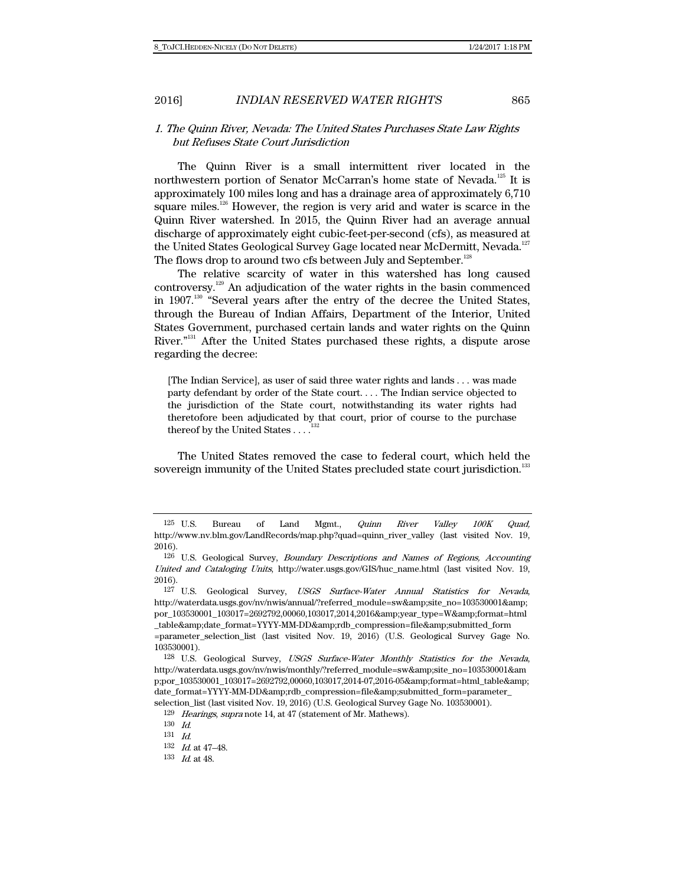## 1. The Quinn River, Nevada: The United States Purchases State Law Rights but Refuses State Court Jurisdiction

The Quinn River is a small intermittent river located in the northwestern portion of Senator McCarran's home state of Nevada.<sup>125</sup> It is approximately 100 miles long and has a drainage area of approximately 6,710 square miles.<sup>126</sup> However, the region is very arid and water is scarce in the Quinn River watershed. In 2015, the Quinn River had an average annual discharge of approximately eight cubic-feet-per-second (cfs), as measured at the United States Geological Survey Gage located near McDermitt, Nevada.<sup>127</sup> The flows drop to around two cfs between July and September.<sup>128</sup>

The relative scarcity of water in this watershed has long caused controversy.129 An adjudication of the water rights in the basin commenced in 1907.<sup>130</sup> "Several years after the entry of the decree the United States, through the Bureau of Indian Affairs, Department of the Interior, United States Government, purchased certain lands and water rights on the Quinn River."131 After the United States purchased these rights, a dispute arose regarding the decree:

[The Indian Service], as user of said three water rights and lands . . . was made party defendant by order of the State court. . . . The Indian service objected to the jurisdiction of the State court, notwithstanding its water rights had theretofore been adjudicated by that court, prior of course to the purchase thereof by the United States . . . .<sup>1</sup>

The United States removed the case to federal court, which held the sovereign immunity of the United States precluded state court jurisdiction.<sup>133</sup>

 $^{125}$  U.S. Bureau of Land Mgmt., *Quinn River Valley 100K Quad,* http://www.nv.blm.gov/LandRecords/map.php?quad=quinn\_river\_valley (last visited Nov. 19, 2016).

<sup>126</sup> U.S. Geological Survey, Boundary Descriptions and Names of Regions, Accounting United and Cataloging Units, http://water.usgs.gov/GIS/huc\_name.html (last visited Nov. 19, 2016).

<sup>127</sup> U.S. Geological Survey, USGS Surface-Water Annual Statistics for Nevada, http://waterdata.usgs.gov/nv/nwis/annual/?referred\_module=sw&site\_no=103530001& por\_103530001\_103017=2692792,00060,103017,2014,2016&year\_type=W&format=html \_table&date\_format=YYYY-MM-DD&rdb\_compression=file&submitted\_form

<sup>=</sup>parameter\_selection\_list (last visited Nov. 19, 2016) (U.S. Geological Survey Gage No. 103530001).

<sup>128</sup> U.S. Geological Survey, USGS Surface-Water Monthly Statistics for the Nevada, http://waterdata.usgs.gov/nv/nwis/monthly/?referred\_module=sw&site\_no=103530001&am p;por\_103530001\_103017=2692792,00060,103017,2014-07,2016-05&format=html\_table& date\_format=YYYY-MM-DD&rdb\_compression=file&submitted\_form=parameter\_ selection\_list (last visited Nov. 19, 2016) (U.S. Geological Survey Gage No. 103530001).

<sup>129</sup> Hearings, supra note 14, at 47 (statement of Mr. Mathews).

<sup>130</sup> Id. 131 Id.

<sup>132</sup> Id. at 47–48.

<sup>133</sup> Id. at 48.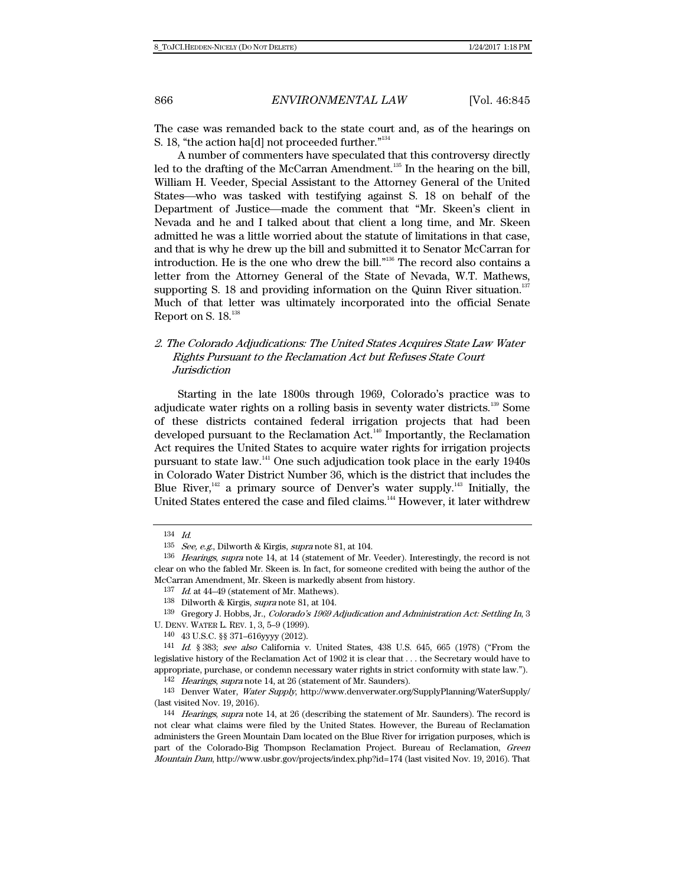The case was remanded back to the state court and, as of the hearings on S. 18, "the action ha[d] not proceeded further."<sup>134</sup>

A number of commenters have speculated that this controversy directly led to the drafting of the McCarran Amendment.<sup>135</sup> In the hearing on the bill, William H. Veeder, Special Assistant to the Attorney General of the United States—who was tasked with testifying against S. 18 on behalf of the Department of Justice—made the comment that "Mr. Skeen's client in Nevada and he and I talked about that client a long time, and Mr. Skeen admitted he was a little worried about the statute of limitations in that case, and that is why he drew up the bill and submitted it to Senator McCarran for introduction. He is the one who drew the bill."136 The record also contains a letter from the Attorney General of the State of Nevada, W.T. Mathews, supporting S. 18 and providing information on the Quinn River situation. $137$ Much of that letter was ultimately incorporated into the official Senate Report on S. 18.<sup>138</sup>

# 2. The Colorado Adjudications: The United States Acquires State Law Water Rights Pursuant to the Reclamation Act but Refuses State Court **Jurisdiction**

Starting in the late 1800s through 1969, Colorado's practice was to adjudicate water rights on a rolling basis in seventy water districts.139 Some of these districts contained federal irrigation projects that had been developed pursuant to the Reclamation Act.<sup>140</sup> Importantly, the Reclamation Act requires the United States to acquire water rights for irrigation projects pursuant to state law.141 One such adjudication took place in the early 1940s in Colorado Water District Number 36, which is the district that includes the Blue River, $142$  a primary source of Denver's water supply.<sup>143</sup> Initially, the United States entered the case and filed claims.<sup>144</sup> However, it later withdrew

139 Gregory J. Hobbs, Jr., Colorado's 1969 Adjudication and Administration Act: Settling In, 3 U. DENV. WATER L. REV. 1, 3, 5–9 (1999).

140 43 U.S.C. §§ 371–616yyyy (2012).

141 Id. § 383; see also California v. United States, 438 U.S. 645, 665 (1978) ("From the legislative history of the Reclamation Act of 1902 it is clear that . . . the Secretary would have to appropriate, purchase, or condemn necessary water rights in strict conformity with state law.").

142 Hearings, supra note 14, at 26 (statement of Mr. Saunders).

143 Denver Water, Water Supply, http://www.denverwater.org/SupplyPlanning/WaterSupply/ (last visited Nov. 19, 2016).

144 Hearings, supra note 14, at 26 (describing the statement of Mr. Saunders). The record is not clear what claims were filed by the United States. However, the Bureau of Reclamation administers the Green Mountain Dam located on the Blue River for irrigation purposes, which is part of the Colorado-Big Thompson Reclamation Project. Bureau of Reclamation, Green Mountain Dam, http://www.usbr.gov/projects/index.php?id=174 (last visited Nov. 19, 2016). That

<sup>134</sup> Id.

<sup>135</sup> See, e.g., Dilworth & Kirgis, supra note 81, at 104.

<sup>&</sup>lt;sup>136</sup> Hearings, supra note 14, at 14 (statement of Mr. Veeder). Interestingly, the record is not clear on who the fabled Mr. Skeen is. In fact, for someone credited with being the author of the McCarran Amendment, Mr. Skeen is markedly absent from history.

 $137$  *Id.* at 44–49 (statement of Mr. Mathews).

<sup>138</sup> Dilworth & Kirgis, supra note 81, at 104.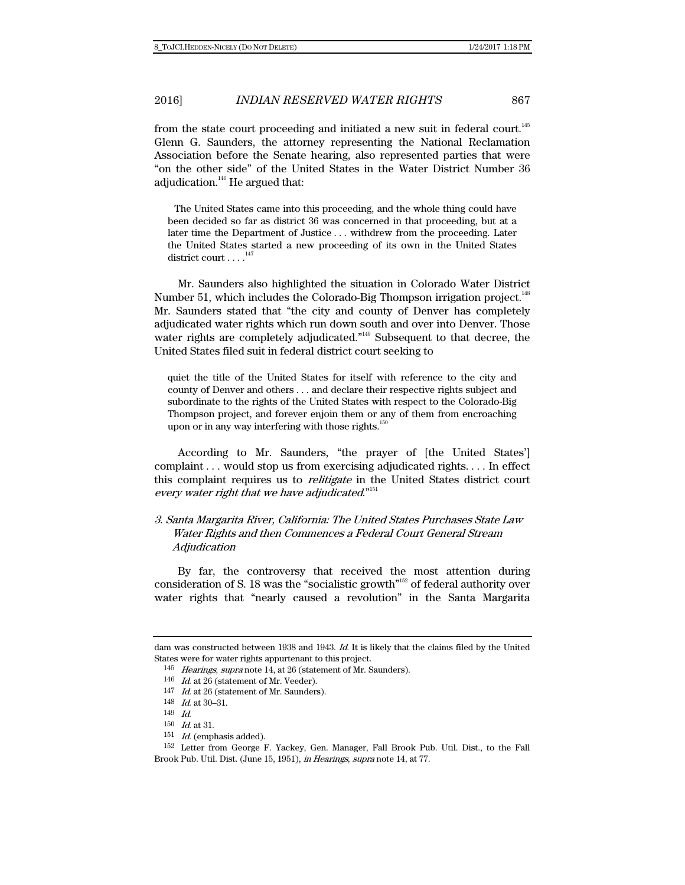from the state court proceeding and initiated a new suit in federal court.<sup>145</sup> Glenn G. Saunders, the attorney representing the National Reclamation Association before the Senate hearing, also represented parties that were "on the other side" of the United States in the Water District Number 36 adjudication. $146$  He argued that:

 The United States came into this proceeding, and the whole thing could have been decided so far as district 36 was concerned in that proceeding, but at a later time the Department of Justice . . . withdrew from the proceeding. Later the United States started a new proceeding of its own in the United States district court  $\dots$ .<sup>147</sup>

Mr. Saunders also highlighted the situation in Colorado Water District Number 51, which includes the Colorado-Big Thompson irrigation project.<sup>148</sup> Mr. Saunders stated that "the city and county of Denver has completely adjudicated water rights which run down south and over into Denver. Those water rights are completely adjudicated."<sup>149</sup> Subsequent to that decree, the United States filed suit in federal district court seeking to

quiet the title of the United States for itself with reference to the city and county of Denver and others . . . and declare their respective rights subject and subordinate to the rights of the United States with respect to the Colorado-Big Thompson project, and forever enjoin them or any of them from encroaching upon or in any way interfering with those rights. $\frac{1}{10}$ 

According to Mr. Saunders, "the prayer of [the United States'] complaint . . . would stop us from exercising adjudicated rights. . . . In effect this complaint requires us to *relitigate* in the United States district court every water right that we have adjudicated."<sup>151</sup>

# 3. Santa Margarita River, California: The United States Purchases State Law Water Rights and then Commences a Federal Court General Stream **Adjudication**

By far, the controversy that received the most attention during consideration of S. 18 was the "socialistic growth"<sup>152</sup> of federal authority over water rights that "nearly caused a revolution" in the Santa Margarita

dam was constructed between 1938 and 1943. Id. It is likely that the claims filed by the United States were for water rights appurtenant to this project.

<sup>145</sup> Hearings, supra note 14, at 26 (statement of Mr. Saunders).

<sup>146</sup> Id. at 26 (statement of Mr. Veeder).

 $147$  *Id.* at 26 (statement of Mr. Saunders).

<sup>148</sup> Id. at 30–31.

<sup>149</sup> Id.

<sup>150</sup> Id. at 31.

<sup>151</sup> Id. (emphasis added).

<sup>152</sup> Letter from George F. Yackey, Gen. Manager, Fall Brook Pub. Util. Dist., to the Fall Brook Pub. Util. Dist. (June 15, 1951), in Hearings, supra note 14, at 77.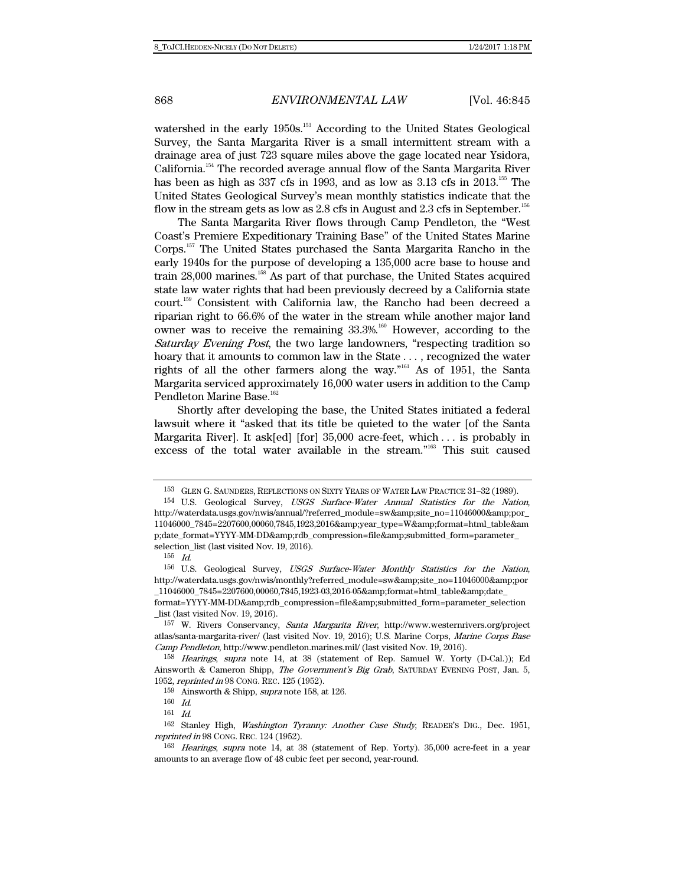watershed in the early 1950s.<sup>153</sup> According to the United States Geological Survey, the Santa Margarita River is a small intermittent stream with a drainage area of just 723 square miles above the gage located near Ysidora, California.154 The recorded average annual flow of the Santa Margarita River has been as high as  $337$  cfs in 1993, and as low as  $3.13$  cfs in  $2013$ .<sup>155</sup> The United States Geological Survey's mean monthly statistics indicate that the flow in the stream gets as low as 2.8 cfs in August and 2.3 cfs in September.<sup>156</sup>

The Santa Margarita River flows through Camp Pendleton, the "West Coast's Premiere Expeditionary Training Base" of the United States Marine Corps.157 The United States purchased the Santa Margarita Rancho in the early 1940s for the purpose of developing a 135,000 acre base to house and train  $28,000$  marines.<sup>158</sup> As part of that purchase, the United States acquired state law water rights that had been previously decreed by a California state court.159 Consistent with California law, the Rancho had been decreed a riparian right to 66.6% of the water in the stream while another major land owner was to receive the remaining  $33.3\%$ .<sup>160</sup> However, according to the Saturday Evening Post, the two large landowners, "respecting tradition so hoary that it amounts to common law in the State . . . , recognized the water rights of all the other farmers along the way."<sup>161</sup> As of 1951, the Santa Margarita serviced approximately 16,000 water users in addition to the Camp Pendleton Marine Base.<sup>162</sup>

Shortly after developing the base, the United States initiated a federal lawsuit where it "asked that its title be quieted to the water [of the Santa Margarita River]. It ask[ed] [for] 35,000 acre-feet, which . . . is probably in excess of the total water available in the stream."163 This suit caused

<sup>153</sup> GLEN G. SAUNDERS, REFLECTIONS ON SIXTY YEARS OF WATER LAW PRACTICE 31–32 (1989).

<sup>154</sup> U.S. Geological Survey, USGS Surface-Water Annual Statistics for the Nation, http://waterdata.usgs.gov/nwis/annual/?referred\_module=sw&site\_no=11046000&por\_ 11046000\_7845=2207600,00060,7845,1923,2016&year\_type=W&format=html\_table&am p;date\_format=YYYY-MM-DD&rdb\_compression=file&submitted\_form=parameter\_ selection\_list (last visited Nov. 19, 2016).

 $155$  Id.

<sup>156</sup> U.S. Geological Survey, USGS Surface-Water Monthly Statistics for the Nation, http://waterdata.usgs.gov/nwis/monthly?referred\_module=sw&site\_no=11046000&por \_11046000\_7845=2207600,00060,7845,1923-03,2016-05&format=html\_table&date\_

format=YYYY-MM-DD&rdb\_compression=file&submitted\_form=parameter\_selection \_list (last visited Nov. 19, 2016).

<sup>157</sup> W. Rivers Conservancy, Santa Margarita River, http://www.westernrivers.org/project atlas/santa-margarita-river/ (last visited Nov. 19, 2016); U.S. Marine Corps, Marine Corps Base Camp Pendleton, http://www.pendleton.marines.mil/ (last visited Nov. 19, 2016).

<sup>158</sup> Hearings, supra note 14, at 38 (statement of Rep. Samuel W. Yorty (D-Cal.)); Ed Ainsworth & Cameron Shipp, The Government's Big Grab, SATURDAY EVENING POST, Jan. 5, 1952, reprinted in 98 CONG. REC. 125 (1952).

<sup>&</sup>lt;sup>159</sup> Ainsworth & Shipp, *supra* note 158, at 126.

<sup>160</sup> Id.

<sup>161</sup> Id.

<sup>162</sup> Stanley High, Washington Tyranny: Another Case Study, READER'S DIG., Dec. 1951, reprinted in 98 CONG. REC. 124 (1952).

<sup>163</sup> Hearings, supra note 14, at 38 (statement of Rep. Yorty). 35,000 acre-feet in a year amounts to an average flow of 48 cubic feet per second, year-round.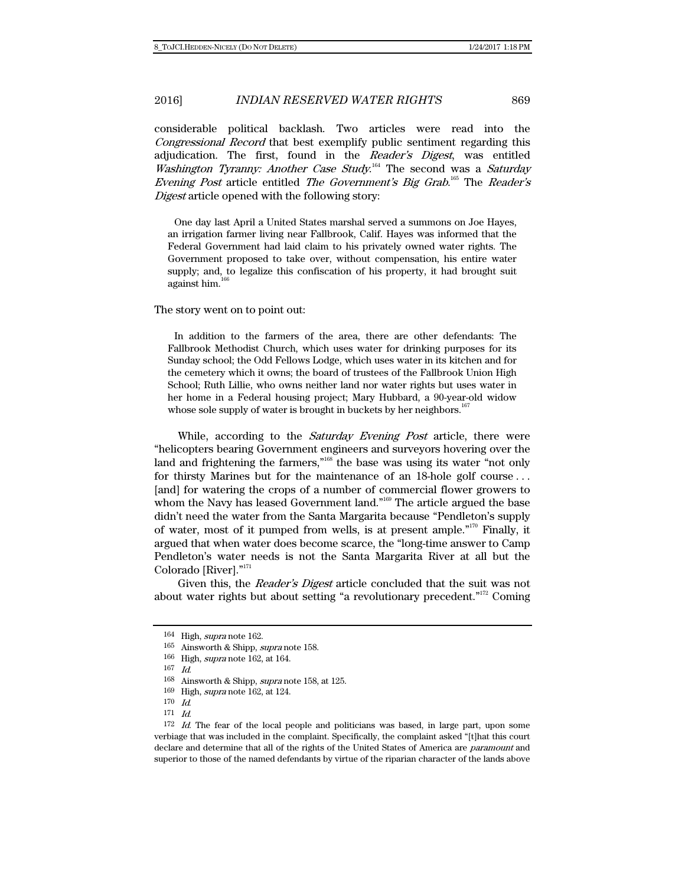considerable political backlash. Two articles were read into the Congressional Record that best exemplify public sentiment regarding this adjudication. The first, found in the Reader's Digest, was entitled Washington Tyranny: Another Case Study.<sup>164</sup> The second was a Saturday Evening Post article entitled The Government's Big Grab.<sup>165</sup> The Reader's Digest article opened with the following story:

 One day last April a United States marshal served a summons on Joe Hayes, an irrigation farmer living near Fallbrook, Calif. Hayes was informed that the Federal Government had laid claim to his privately owned water rights. The Government proposed to take over, without compensation, his entire water supply; and, to legalize this confiscation of his property, it had brought suit against him.

#### The story went on to point out:

 In addition to the farmers of the area, there are other defendants: The Fallbrook Methodist Church, which uses water for drinking purposes for its Sunday school; the Odd Fellows Lodge, which uses water in its kitchen and for the cemetery which it owns; the board of trustees of the Fallbrook Union High School; Ruth Lillie, who owns neither land nor water rights but uses water in her home in a Federal housing project; Mary Hubbard, a 90-year-old widow whose sole supply of water is brought in buckets by her neighbors.<sup>16</sup>

While, according to the *Saturday Evening Post* article, there were "helicopters bearing Government engineers and surveyors hovering over the land and frightening the farmers,"<sup>168</sup> the base was using its water "not only for thirsty Marines but for the maintenance of an 18-hole golf course . . . [and] for watering the crops of a number of commercial flower growers to whom the Navy has leased Government land."<sup>169</sup> The article argued the base didn't need the water from the Santa Margarita because "Pendleton's supply of water, most of it pumped from wells, is at present ample."170 Finally, it argued that when water does become scarce, the "long-time answer to Camp Pendleton's water needs is not the Santa Margarita River at all but the Colorado [River]."171

Given this, the Reader's Digest article concluded that the suit was not about water rights but about setting "a revolutionary precedent."172 Coming

<sup>164</sup> High, supra note 162.

<sup>165</sup> Ainsworth & Shipp, supra note 158.

<sup>166</sup> High, supra note 162, at 164.

<sup>167</sup> Id.

<sup>168</sup> Ainsworth & Shipp, supra note 158, at 125.

<sup>169</sup> High, supra note 162, at 124.

 $170$  Id.

<sup>171</sup> Id.

 $172$  *Id.* The fear of the local people and politicians was based, in large part, upon some verbiage that was included in the complaint. Specifically, the complaint asked "[t]hat this court declare and determine that all of the rights of the United States of America are paramount and superior to those of the named defendants by virtue of the riparian character of the lands above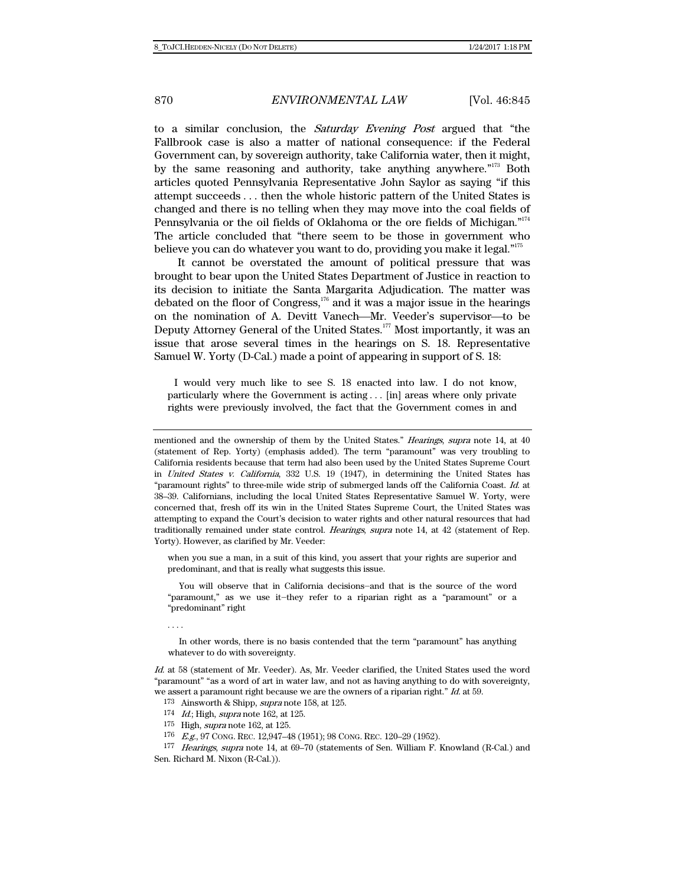to a similar conclusion, the Saturday Evening Post argued that "the Fallbrook case is also a matter of national consequence: if the Federal Government can, by sovereign authority, take California water, then it might, by the same reasoning and authority, take anything anywhere."<sup>173</sup> Both articles quoted Pennsylvania Representative John Saylor as saying "if this attempt succeeds . . . then the whole historic pattern of the United States is changed and there is no telling when they may move into the coal fields of Pennsylvania or the oil fields of Oklahoma or the ore fields of Michigan."174 The article concluded that "there seem to be those in government who believe you can do whatever you want to do, providing you make it legal."<sup>175</sup>

It cannot be overstated the amount of political pressure that was brought to bear upon the United States Department of Justice in reaction to its decision to initiate the Santa Margarita Adjudication. The matter was debated on the floor of Congress,<sup>176</sup> and it was a major issue in the hearings on the nomination of A. Devitt Vanech—Mr. Veeder's supervisor—to be Deputy Attorney General of the United States.<sup>177</sup> Most importantly, it was an issue that arose several times in the hearings on S. 18. Representative Samuel W. Yorty (D-Cal.) made a point of appearing in support of S. 18:

 I would very much like to see S. 18 enacted into law. I do not know, particularly where the Government is acting . . . [in] areas where only private rights were previously involved, the fact that the Government comes in and

when you sue a man, in a suit of this kind, you assert that your rights are superior and predominant, and that is really what suggests this issue.

 You will observe that in California decisions―and that is the source of the word "paramount," as we use it―they refer to a riparian right as a "paramount" or a "predominant" right

. . . .

 In other words, there is no basis contended that the term "paramount" has anything whatever to do with sovereignty.

Id. at 58 (statement of Mr. Veeder). As, Mr. Veeder clarified, the United States used the word "paramount" "as a word of art in water law, and not as having anything to do with sovereignty, we assert a paramount right because we are the owners of a riparian right." Id. at 59.

- 173 Ainsworth & Shipp, supra note 158, at 125.
- 174 Id.; High, supra note 162, at 125.
- 175 High, supra note 162, at 125.
- 176 E.g., 97 CONG. REC. 12,947–48 (1951); 98 CONG. REC. 120–29 (1952).

177 Hearings, supra note 14, at 69–70 (statements of Sen. William F. Knowland (R-Cal.) and Sen. Richard M. Nixon (R-Cal.)).

mentioned and the ownership of them by the United States." Hearings, supra note 14, at 40 (statement of Rep. Yorty) (emphasis added). The term "paramount" was very troubling to California residents because that term had also been used by the United States Supreme Court in United States v. California, 332 U.S. 19 (1947), in determining the United States has "paramount rights" to three-mile wide strip of submerged lands off the California Coast. Id. at 38–39. Californians, including the local United States Representative Samuel W. Yorty, were concerned that, fresh off its win in the United States Supreme Court, the United States was attempting to expand the Court's decision to water rights and other natural resources that had traditionally remained under state control. Hearings, supra note 14, at 42 (statement of Rep. Yorty). However, as clarified by Mr. Veeder: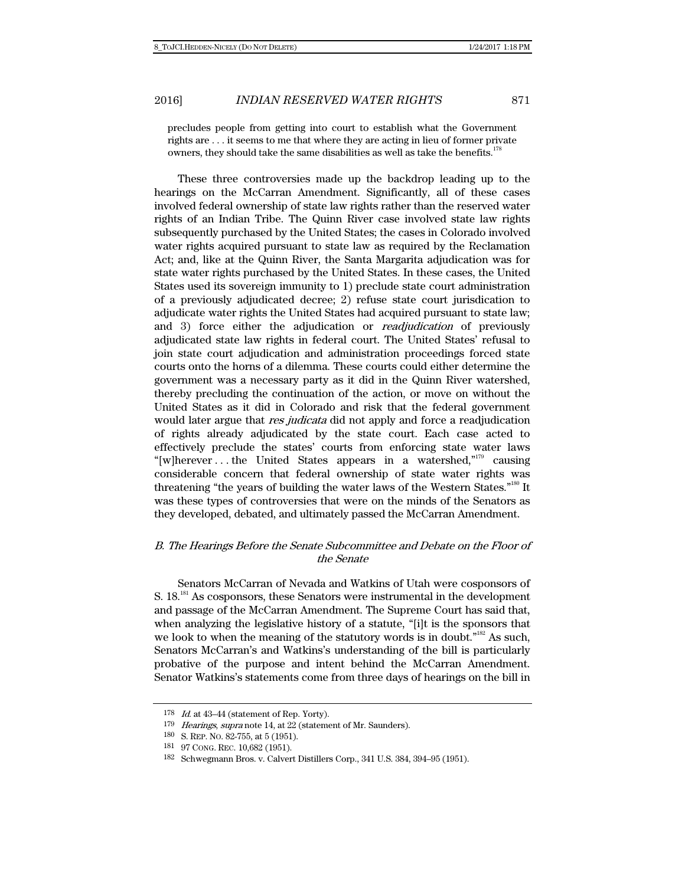precludes people from getting into court to establish what the Government rights are . . . it seems to me that where they are acting in lieu of former private owners, they should take the same disabilities as well as take the benefits.<sup>17</sup>

These three controversies made up the backdrop leading up to the hearings on the McCarran Amendment. Significantly, all of these cases involved federal ownership of state law rights rather than the reserved water rights of an Indian Tribe. The Quinn River case involved state law rights subsequently purchased by the United States; the cases in Colorado involved water rights acquired pursuant to state law as required by the Reclamation Act; and, like at the Quinn River, the Santa Margarita adjudication was for state water rights purchased by the United States. In these cases, the United States used its sovereign immunity to 1) preclude state court administration of a previously adjudicated decree; 2) refuse state court jurisdication to adjudicate water rights the United States had acquired pursuant to state law; and 3) force either the adjudication or *readjudication* of previously adjudicated state law rights in federal court. The United States' refusal to join state court adjudication and administration proceedings forced state courts onto the horns of a dilemma. These courts could either determine the government was a necessary party as it did in the Quinn River watershed, thereby precluding the continuation of the action, or move on without the United States as it did in Colorado and risk that the federal government would later argue that *res judicata* did not apply and force a readjudication of rights already adjudicated by the state court. Each case acted to effectively preclude the states' courts from enforcing state water laws "[w]herever . . . the United States appears in a watershed,"179 causing considerable concern that federal ownership of state water rights was threatening "the years of building the water laws of the Western States."180 It was these types of controversies that were on the minds of the Senators as they developed, debated, and ultimately passed the McCarran Amendment.

## B. The Hearings Before the Senate Subcommittee and Debate on the Floor of the Senate

Senators McCarran of Nevada and Watkins of Utah were cosponsors of S.  $18.^{181}$  As cosponsors, these Senators were instrumental in the development and passage of the McCarran Amendment. The Supreme Court has said that, when analyzing the legislative history of a statute, "[i]t is the sponsors that we look to when the meaning of the statutory words is in doubt."<sup>182</sup> As such, Senators McCarran's and Watkins's understanding of the bill is particularly probative of the purpose and intent behind the McCarran Amendment. Senator Watkins's statements come from three days of hearings on the bill in

 $178$  *Id.* at  $43-44$  (statement of Rep. Yorty).

<sup>179</sup> Hearings, supra note 14, at 22 (statement of Mr. Saunders).

<sup>180</sup> S. REP. NO. 82-755, at 5 (1951).

<sup>181 97</sup> CONG. REC. 10,682 (1951).

<sup>182</sup> Schwegmann Bros. v. Calvert Distillers Corp., 341 U.S. 384, 394–95 (1951).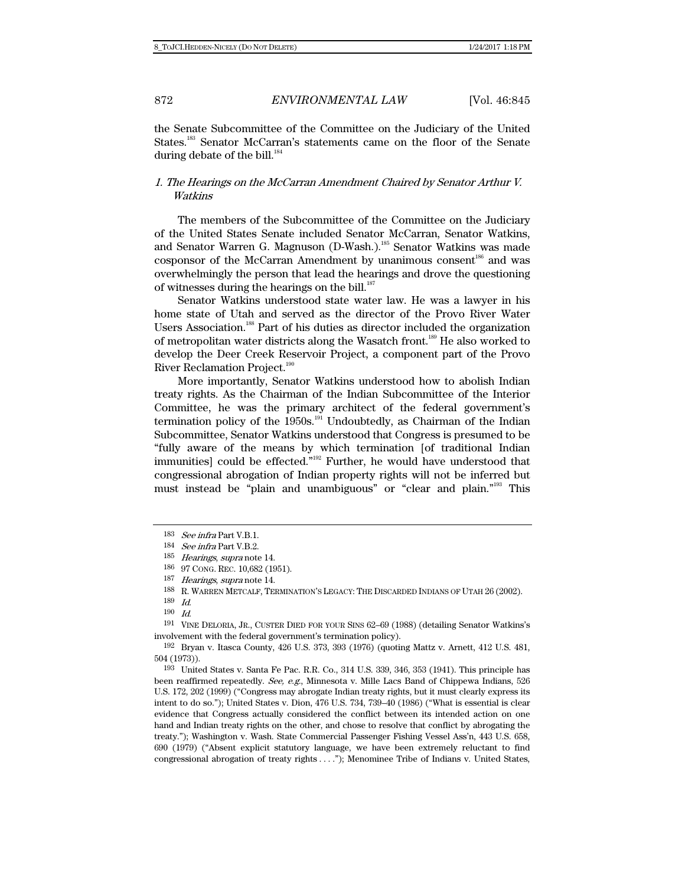the Senate Subcommittee of the Committee on the Judiciary of the United States.<sup>183</sup> Senator McCarran's statements came on the floor of the Senate during debate of the bill.<sup>184</sup>

## 1. The Hearings on the McCarran Amendment Chaired by Senator Arthur V. Watkins

The members of the Subcommittee of the Committee on the Judiciary of the United States Senate included Senator McCarran, Senator Watkins, and Senator Warren G. Magnuson (D-Wash.).185 Senator Watkins was made cosponsor of the McCarran Amendment by unanimous consent<sup>186</sup> and was overwhelmingly the person that lead the hearings and drove the questioning of witnesses during the hearings on the bill. $187$ 

Senator Watkins understood state water law. He was a lawyer in his home state of Utah and served as the director of the Provo River Water Users Association.<sup>188</sup> Part of his duties as director included the organization of metropolitan water districts along the Wasatch front.189 He also worked to develop the Deer Creek Reservoir Project, a component part of the Provo River Reclamation Project.<sup>190</sup>

More importantly, Senator Watkins understood how to abolish Indian treaty rights. As the Chairman of the Indian Subcommittee of the Interior Committee, he was the primary architect of the federal government's termination policy of the  $1950s$ <sup>191</sup> Undoubtedly, as Chairman of the Indian Subcommittee, Senator Watkins understood that Congress is presumed to be "fully aware of the means by which termination [of traditional Indian immunities] could be effected."192 Further, he would have understood that congressional abrogation of Indian property rights will not be inferred but must instead be "plain and unambiguous" or "clear and plain."193 This

191 VINE DELORIA, JR., CUSTER DIED FOR YOUR SINS 62–69 (1988) (detailing Senator Watkins's involvement with the federal government's termination policy).

192 Bryan v. Itasca County, 426 U.S. 373, 393 (1976) (quoting Mattz v. Arnett, 412 U.S. 481, 504 (1973)).

193 United States v. Santa Fe Pac. R.R. Co., 314 U.S. 339, 346, 353 (1941). This principle has been reaffirmed repeatedly. See, e.g., Minnesota v. Mille Lacs Band of Chippewa Indians, 526 U.S. 172, 202 (1999) ("Congress may abrogate Indian treaty rights, but it must clearly express its intent to do so."); United States v. Dion, 476 U.S. 734, 739–40 (1986) ("What is essential is clear evidence that Congress actually considered the conflict between its intended action on one hand and Indian treaty rights on the other, and chose to resolve that conflict by abrogating the treaty."); Washington v. Wash. State Commercial Passenger Fishing Vessel Ass'n, 443 U.S. 658, 690 (1979) ("Absent explicit statutory language, we have been extremely reluctant to find congressional abrogation of treaty rights . . . ."); Menominee Tribe of Indians v. United States,

<sup>183</sup> See infra Part V.B.1.

<sup>184</sup> See infra Part V.B.2.

<sup>185</sup> Hearings, supra note 14.

<sup>186 97</sup> CONG. REC. 10,682 (1951).

<sup>187</sup> Hearings, supra note 14.

<sup>188</sup> R. WARREN METCALF, TERMINATION'S LEGACY: THE DISCARDED INDIANS OF UTAH 26 (2002).

<sup>189</sup> Id.

<sup>190</sup> Id.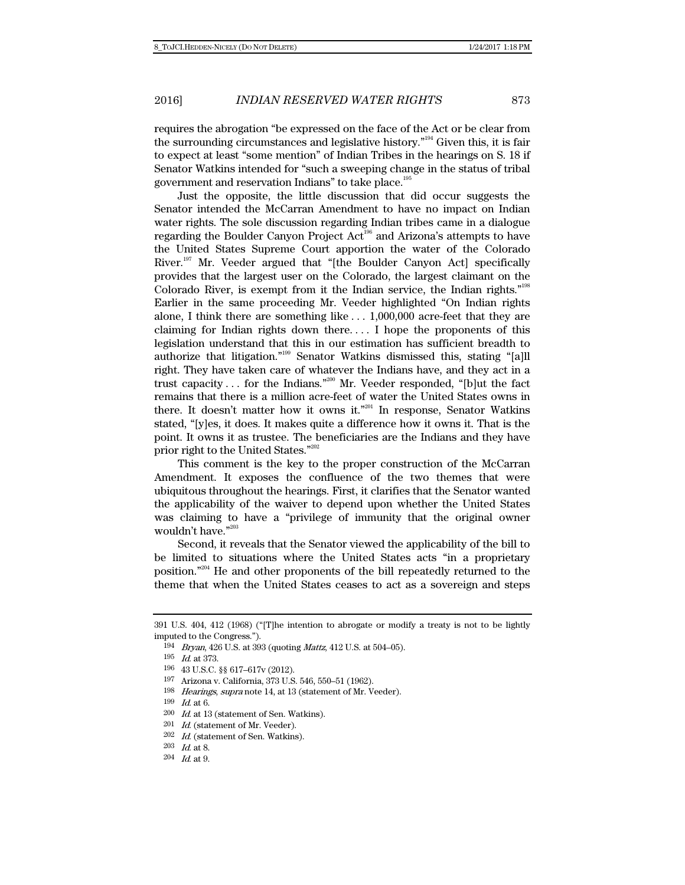requires the abrogation "be expressed on the face of the Act or be clear from the surrounding circumstances and legislative history."194 Given this, it is fair to expect at least "some mention" of Indian Tribes in the hearings on S. 18 if Senator Watkins intended for "such a sweeping change in the status of tribal government and reservation Indians" to take place.195

Just the opposite, the little discussion that did occur suggests the Senator intended the McCarran Amendment to have no impact on Indian water rights. The sole discussion regarding Indian tribes came in a dialogue regarding the Boulder Canyon Project Act<sup>196</sup> and Arizona's attempts to have the United States Supreme Court apportion the water of the Colorado River.197 Mr. Veeder argued that "[the Boulder Canyon Act] specifically provides that the largest user on the Colorado, the largest claimant on the Colorado River, is exempt from it the Indian service, the Indian rights."198 Earlier in the same proceeding Mr. Veeder highlighted "On Indian rights alone, I think there are something like . . . 1,000,000 acre-feet that they are claiming for Indian rights down there. . . . I hope the proponents of this legislation understand that this in our estimation has sufficient breadth to authorize that litigation."199 Senator Watkins dismissed this, stating "[a]ll right. They have taken care of whatever the Indians have, and they act in a trust capacity . . . for the Indians."200 Mr. Veeder responded, "[b]ut the fact remains that there is a million acre-feet of water the United States owns in there. It doesn't matter how it owns it."201 In response, Senator Watkins stated, "[y]es, it does. It makes quite a difference how it owns it. That is the point. It owns it as trustee. The beneficiaries are the Indians and they have prior right to the United States."202

This comment is the key to the proper construction of the McCarran Amendment. It exposes the confluence of the two themes that were ubiquitous throughout the hearings. First, it clarifies that the Senator wanted the applicability of the waiver to depend upon whether the United States was claiming to have a "privilege of immunity that the original owner wouldn't have."<sup>203</sup>

Second, it reveals that the Senator viewed the applicability of the bill to be limited to situations where the United States acts "in a proprietary position."204 He and other proponents of the bill repeatedly returned to the theme that when the United States ceases to act as a sovereign and steps

<sup>391</sup> U.S. 404, 412 (1968) ("[T]he intention to abrogate or modify a treaty is not to be lightly imputed to the Congress.").

<sup>194</sup> Bryan, 426 U.S. at 393 (quoting Mattz, 412 U.S. at 504–05).

<sup>195</sup> Id. at 373.

<sup>196 43</sup> U.S.C. §§ 617–617v (2012).

<sup>197</sup> Arizona v. California, 373 U.S. 546, 550–51 (1962).

<sup>198</sup> Hearings, supra note 14, at 13 (statement of Mr. Veeder).

<sup>199</sup> Id. at 6.

 $200$  *Id.* at 13 (statement of Sen. Watkins).

 $201$  *Id.* (statement of Mr. Veeder).

 $202$  *Id.* (statement of Sen. Watkins).

<sup>203</sup> Id. at 8.

 $204$  *Id.* at 9.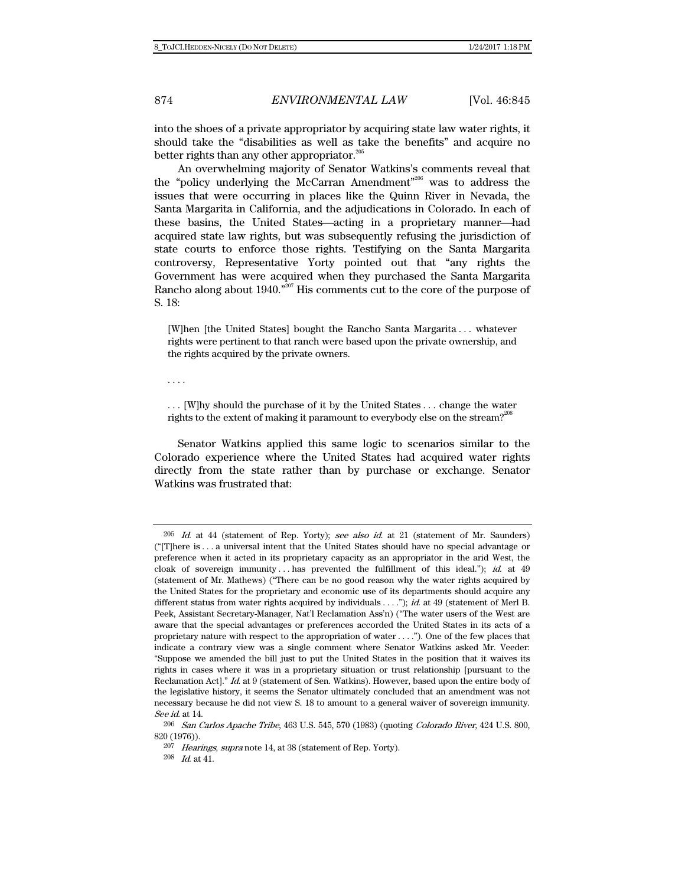into the shoes of a private appropriator by acquiring state law water rights, it should take the "disabilities as well as take the benefits" and acquire no better rights than any other appropriator.<sup>205</sup>

An overwhelming majority of Senator Watkins's comments reveal that the "policy underlying the McCarran Amendment"206 was to address the issues that were occurring in places like the Quinn River in Nevada, the Santa Margarita in California, and the adjudications in Colorado. In each of these basins, the United States—acting in a proprietary manner—had acquired state law rights, but was subsequently refusing the jurisdiction of state courts to enforce those rights. Testifying on the Santa Margarita controversy, Representative Yorty pointed out that "any rights the Government has were acquired when they purchased the Santa Margarita Rancho along about 1940."<sup>207</sup> His comments cut to the core of the purpose of S. 18:

[W]hen [the United States] bought the Rancho Santa Margarita . . . whatever rights were pertinent to that ranch were based upon the private ownership, and the rights acquired by the private owners.

. . . .

. . . [W]hy should the purchase of it by the United States . . . change the water rights to the extent of making it paramount to everybody else on the stream?<sup>2</sup>

Senator Watkins applied this same logic to scenarios similar to the Colorado experience where the United States had acquired water rights directly from the state rather than by purchase or exchange. Senator Watkins was frustrated that:

 $205$  *Id.* at 44 (statement of Rep. Yorty); see also id. at 21 (statement of Mr. Saunders) ("[T]here is . . . a universal intent that the United States should have no special advantage or preference when it acted in its proprietary capacity as an appropriator in the arid West, the cloak of sovereign immunity ... has prevented the fulfillment of this ideal."); id. at  $49$ (statement of Mr. Mathews) ("There can be no good reason why the water rights acquired by the United States for the proprietary and economic use of its departments should acquire any different status from water rights acquired by individuals . . . ."); id. at 49 (statement of Merl B. Peek, Assistant Secretary-Manager, Nat'l Reclamation Ass'n) ("The water users of the West are aware that the special advantages or preferences accorded the United States in its acts of a proprietary nature with respect to the appropriation of water . . . ."). One of the few places that indicate a contrary view was a single comment where Senator Watkins asked Mr. Veeder: "Suppose we amended the bill just to put the United States in the position that it waives its rights in cases where it was in a proprietary situation or trust relationship [pursuant to the Reclamation Act]." Id. at 9 (statement of Sen. Watkins). However, based upon the entire body of the legislative history, it seems the Senator ultimately concluded that an amendment was not necessary because he did not view S. 18 to amount to a general waiver of sovereign immunity. See id. at 14.

<sup>206</sup> San Carlos Apache Tribe, 463 U.S. 545, 570 (1983) (quoting Colorado River, 424 U.S. 800, 820 (1976)).

<sup>207</sup> Hearings, supra note 14, at 38 (statement of Rep. Yorty).

 $208$  *Id.* at 41.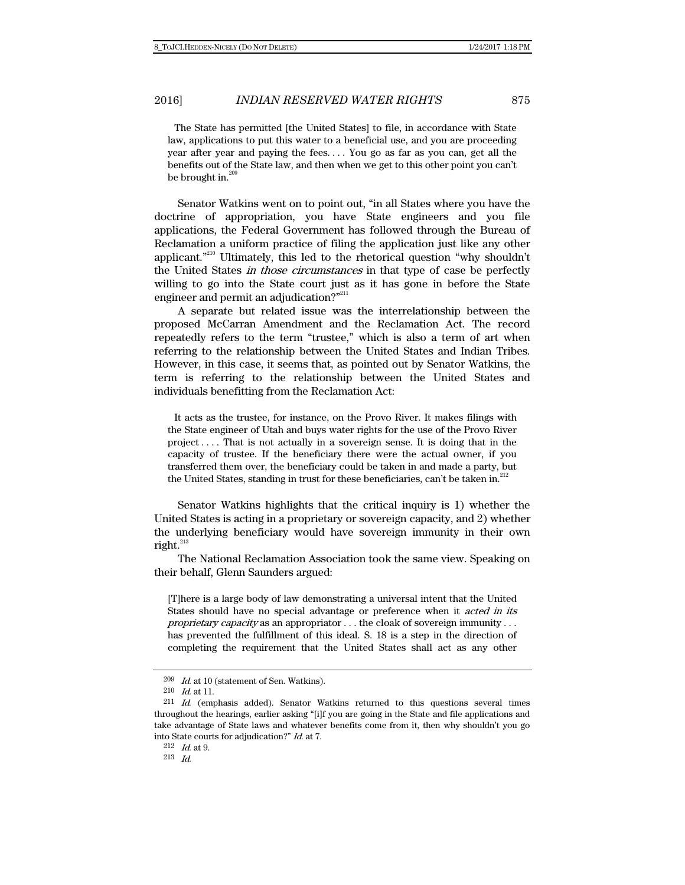The State has permitted [the United States] to file, in accordance with State law, applications to put this water to a beneficial use, and you are proceeding year after year and paying the fees. . . . You go as far as you can, get all the benefits out of the State law, and then when we get to this other point you can't be brought in. $^{20}$ 

Senator Watkins went on to point out, "in all States where you have the doctrine of appropriation, you have State engineers and you file applications, the Federal Government has followed through the Bureau of Reclamation a uniform practice of filing the application just like any other applicant."<sup>210</sup> Ultimately, this led to the rhetorical question "why shouldn't the United States in those circumstances in that type of case be perfectly willing to go into the State court just as it has gone in before the State engineer and permit an adjudication?"<sup>211</sup>

A separate but related issue was the interrelationship between the proposed McCarran Amendment and the Reclamation Act. The record repeatedly refers to the term "trustee," which is also a term of art when referring to the relationship between the United States and Indian Tribes. However, in this case, it seems that, as pointed out by Senator Watkins, the term is referring to the relationship between the United States and individuals benefitting from the Reclamation Act:

 It acts as the trustee, for instance, on the Provo River. It makes filings with the State engineer of Utah and buys water rights for the use of the Provo River project . . . . That is not actually in a sovereign sense. It is doing that in the capacity of trustee. If the beneficiary there were the actual owner, if you transferred them over, the beneficiary could be taken in and made a party, but the United States, standing in trust for these beneficiaries, can't be taken in.<sup>212</sup>

Senator Watkins highlights that the critical inquiry is 1) whether the United States is acting in a proprietary or sovereign capacity, and 2) whether the underlying beneficiary would have sovereign immunity in their own right. $^{213}$ 

The National Reclamation Association took the same view. Speaking on their behalf, Glenn Saunders argued:

[T]here is a large body of law demonstrating a universal intent that the United States should have no special advantage or preference when it acted in its proprietary capacity as an appropriator . . . the cloak of sovereign immunity . . . has prevented the fulfillment of this ideal. S. 18 is a step in the direction of completing the requirement that the United States shall act as any other

 $212$  *Id.* at 9.

 $209$  *Id.* at 10 (statement of Sen. Watkins).

<sup>210</sup> Id. at 11.

<sup>211</sup> Id. (emphasis added). Senator Watkins returned to this questions several times throughout the hearings, earlier asking "[i]f you are going in the State and file applications and take advantage of State laws and whatever benefits come from it, then why shouldn't you go into State courts for adjudication?" Id. at 7.

<sup>213</sup> Id.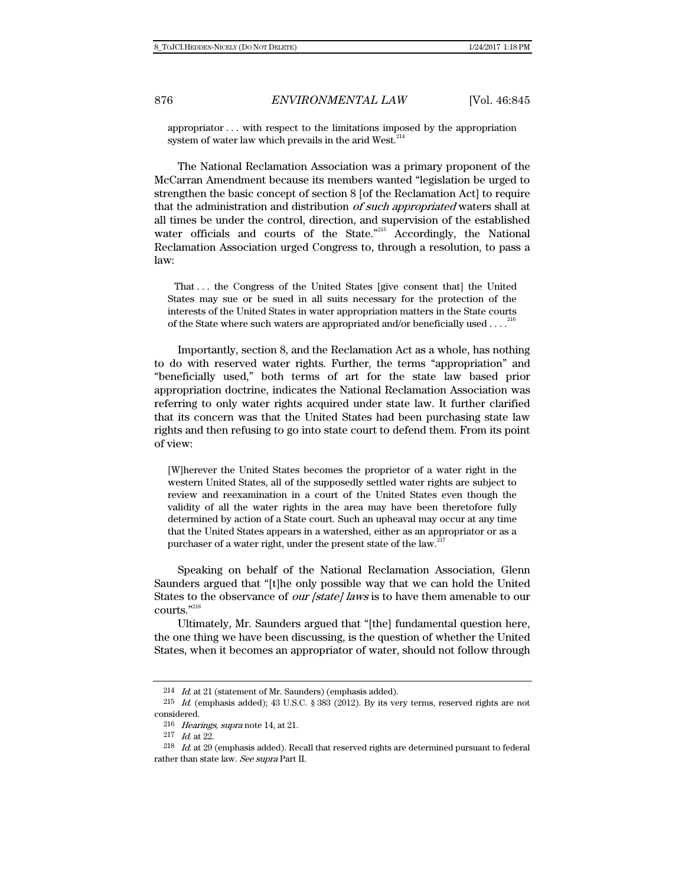appropriator . . . with respect to the limitations imposed by the appropriation system of water law which prevails in the arid West. $214$ 

The National Reclamation Association was a primary proponent of the McCarran Amendment because its members wanted "legislation be urged to strengthen the basic concept of section 8 [of the Reclamation Act] to require that the administration and distribution of such appropriated waters shall at all times be under the control, direction, and supervision of the established water officials and courts of the State."<sup>215</sup> Accordingly, the National Reclamation Association urged Congress to, through a resolution, to pass a law:

 That . . . the Congress of the United States [give consent that] the United States may sue or be sued in all suits necessary for the protection of the interests of the United States in water appropriation matters in the State courts of the State where such waters are appropriated and/or beneficially used . . . .<sup>2</sup>

Importantly, section 8, and the Reclamation Act as a whole, has nothing to do with reserved water rights. Further, the terms "appropriation" and "beneficially used," both terms of art for the state law based prior appropriation doctrine, indicates the National Reclamation Association was referring to only water rights acquired under state law. It further clarified that its concern was that the United States had been purchasing state law rights and then refusing to go into state court to defend them. From its point of view:

[W]herever the United States becomes the proprietor of a water right in the western United States, all of the supposedly settled water rights are subject to review and reexamination in a court of the United States even though the validity of all the water rights in the area may have been theretofore fully determined by action of a State court. Such an upheaval may occur at any time that the United States appears in a watershed, either as an appropriator or as a purchaser of a water right, under the present state of the law.<sup>2</sup>

Speaking on behalf of the National Reclamation Association, Glenn Saunders argued that "[t]he only possible way that we can hold the United States to the observance of *our [state] laws* is to have them amenable to our courts."218

Ultimately, Mr. Saunders argued that "[the] fundamental question here, the one thing we have been discussing, is the question of whether the United States, when it becomes an appropriator of water, should not follow through

 $214$  *Id.* at 21 (statement of Mr. Saunders) (emphasis added).

 $^{215}$   $\,$   $Id.$  (emphasis added); 43 U.S.C. § 383 (2012). By its very terms, reserved rights are not considered.

<sup>216</sup> Hearings, supra note 14, at 21.

<sup>217</sup> Id. at 22.

 $^{218}\;$   $\;ld$  at 29 (emphasis added). Recall that reserved rights are determined pursuant to federal rather than state law. See supra Part II.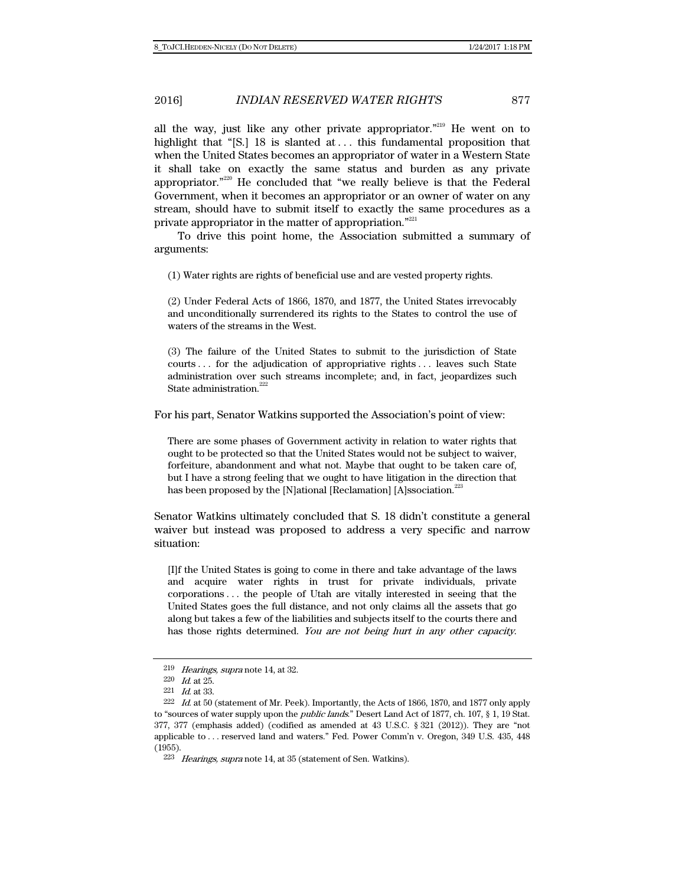all the way, just like any other private appropriator. $"^{219}$  He went on to highlight that "[S.] 18 is slanted at ... this fundamental proposition that when the United States becomes an appropriator of water in a Western State it shall take on exactly the same status and burden as any private appropriator."220 He concluded that "we really believe is that the Federal Government, when it becomes an appropriator or an owner of water on any stream, should have to submit itself to exactly the same procedures as a private appropriator in the matter of appropriation."<sup>221</sup>

To drive this point home, the Association submitted a summary of arguments:

(1) Water rights are rights of beneficial use and are vested property rights.

(2) Under Federal Acts of 1866, 1870, and 1877, the United States irrevocably and unconditionally surrendered its rights to the States to control the use of waters of the streams in the West.

(3) The failure of the United States to submit to the jurisdiction of State courts . . . for the adjudication of appropriative rights . . . leaves such State administration over such streams incomplete; and, in fact, jeopardizes such State administration.<sup>222</sup>

For his part, Senator Watkins supported the Association's point of view:

There are some phases of Government activity in relation to water rights that ought to be protected so that the United States would not be subject to waiver, forfeiture, abandonment and what not. Maybe that ought to be taken care of, but I have a strong feeling that we ought to have litigation in the direction that has been proposed by the [N]ational [Reclamation] [A]ssociation.<sup>2</sup>

Senator Watkins ultimately concluded that S. 18 didn't constitute a general waiver but instead was proposed to address a very specific and narrow situation:

[I]f the United States is going to come in there and take advantage of the laws and acquire water rights in trust for private individuals, private corporations . . . the people of Utah are vitally interested in seeing that the United States goes the full distance, and not only claims all the assets that go along but takes a few of the liabilities and subjects itself to the courts there and has those rights determined. You are not being hurt in any other capacity.

<sup>219</sup> Hearings, supra note 14, at 32.

<sup>220</sup>  $Id.$  at 25.

<sup>221</sup> Id. at 33.

 $222$  *Id.* at 50 (statement of Mr. Peek). Importantly, the Acts of 1866, 1870, and 1877 only apply to "sources of water supply upon the *public lands*." Desert Land Act of 1877, ch. 107, § 1, 19 Stat. 377, 377 (emphasis added) (codified as amended at 43 U.S.C. § 321 (2012)). They are "not applicable to . . . reserved land and waters." Fed. Power Comm'n v. Oregon, 349 U.S. 435, 448 (1955).

 $223$  Hearings, supra note 14, at 35 (statement of Sen. Watkins).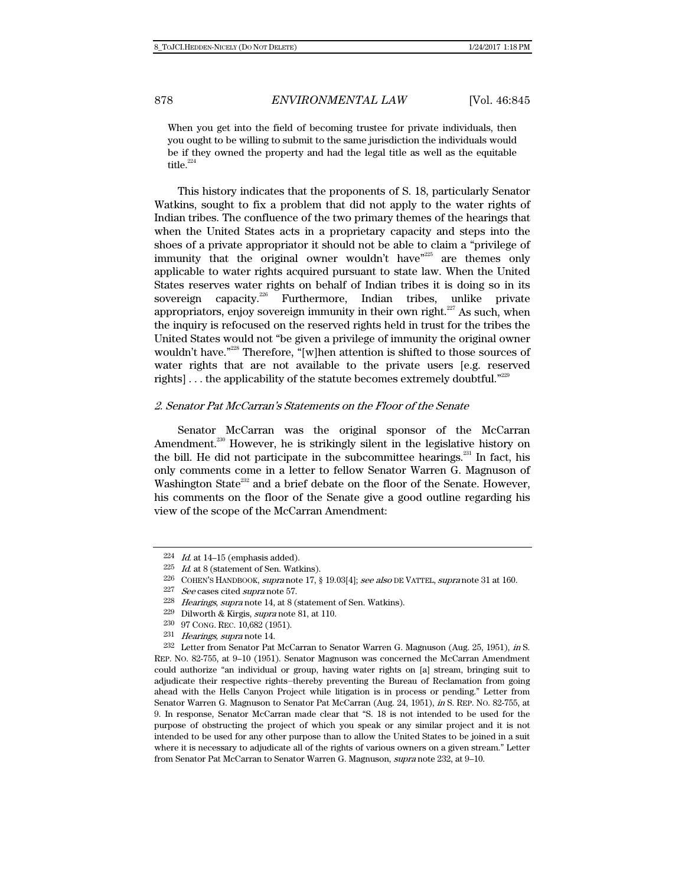When you get into the field of becoming trustee for private individuals, then you ought to be willing to submit to the same jurisdiction the individuals would be if they owned the property and had the legal title as well as the equitable title.<sup>224</sup>

This history indicates that the proponents of S. 18, particularly Senator Watkins, sought to fix a problem that did not apply to the water rights of Indian tribes. The confluence of the two primary themes of the hearings that when the United States acts in a proprietary capacity and steps into the shoes of a private appropriator it should not be able to claim a "privilege of immunity that the original owner wouldn't have"<sup>225</sup> are themes only applicable to water rights acquired pursuant to state law. When the United States reserves water rights on behalf of Indian tribes it is doing so in its sovereign capacity.<sup>226</sup> Furthermore, Indian tribes, unlike private appropriators, enjoy sovereign immunity in their own right. $227$  As such, when the inquiry is refocused on the reserved rights held in trust for the tribes the United States would not "be given a privilege of immunity the original owner wouldn't have."<sup>228</sup> Therefore, "[w]hen attention is shifted to those sources of water rights that are not available to the private users [e.g. reserved rights] . . . the applicability of the statute becomes extremely doubtful."229

#### 2. Senator Pat McCarran's Statements on the Floor of the Senate

Senator McCarran was the original sponsor of the McCarran Amendment.<sup>230</sup> However, he is strikingly silent in the legislative history on the bill. He did not participate in the subcommittee hearings. $^{231}$  In fact, his only comments come in a letter to fellow Senator Warren G. Magnuson of Washington State $^{232}$  and a brief debate on the floor of the Senate. However, his comments on the floor of the Senate give a good outline regarding his view of the scope of the McCarran Amendment:

232 Letter from Senator Pat McCarran to Senator Warren G. Magnuson (Aug. 25, 1951), in S. REP. NO. 82-755, at 9–10 (1951). Senator Magnuson was concerned the McCarran Amendment could authorize "an individual or group, having water rights on [a] stream, bringing suit to adjudicate their respective rights―thereby preventing the Bureau of Reclamation from going ahead with the Hells Canyon Project while litigation is in process or pending." Letter from Senator Warren G. Magnuson to Senator Pat McCarran (Aug. 24, 1951), in S. REP. NO. 82-755, at 9. In response, Senator McCarran made clear that "S. 18 is not intended to be used for the purpose of obstructing the project of which you speak or any similar project and it is not intended to be used for any other purpose than to allow the United States to be joined in a suit where it is necessary to adjudicate all of the rights of various owners on a given stream." Letter from Senator Pat McCarran to Senator Warren G. Magnuson, supra note 232, at 9–10.

 $224$  *Id.* at 14–15 (emphasis added).

<sup>225</sup> Id. at 8 (statement of Sen. Watkins).

<sup>226</sup> COHEN'S HANDBOOK, supra note 17, § 19.03[4]; see also DE VATTEL, supra note 31 at 160.

 $227$  See cases cited supra note 57.

<sup>228</sup> Hearings, supra note 14, at 8 (statement of Sen. Watkins).

<sup>229</sup> Dilworth & Kirgis, supra note 81, at 110.

<sup>230 97</sup> CONG. REC. 10,682 (1951).

<sup>231</sup> Hearings, supra note 14.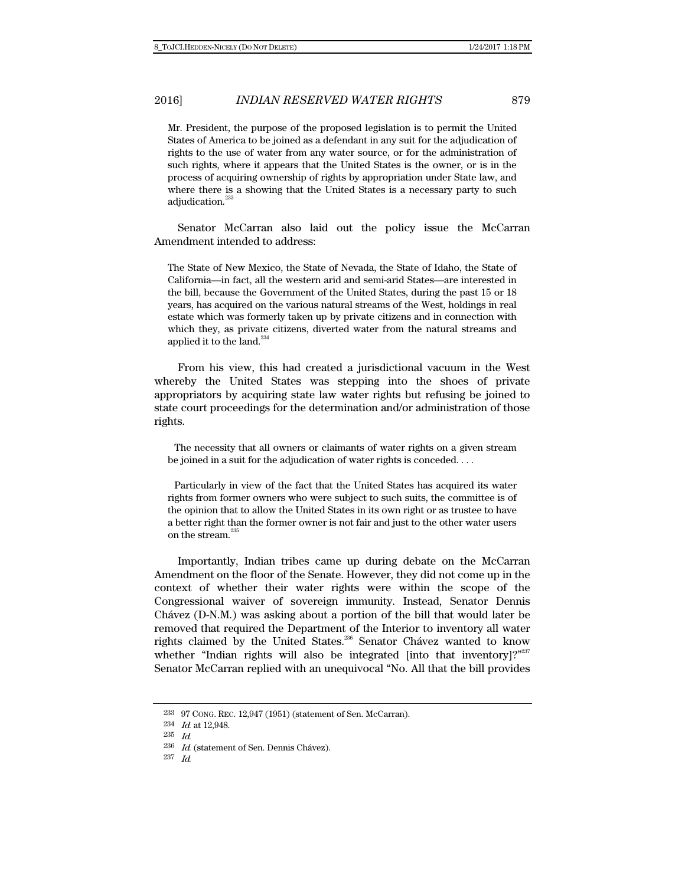Mr. President, the purpose of the proposed legislation is to permit the United States of America to be joined as a defendant in any suit for the adjudication of rights to the use of water from any water source, or for the administration of such rights, where it appears that the United States is the owner, or is in the process of acquiring ownership of rights by appropriation under State law, and where there is a showing that the United States is a necessary party to such adjudication.<sup>233</sup>

Senator McCarran also laid out the policy issue the McCarran Amendment intended to address:

The State of New Mexico, the State of Nevada, the State of Idaho, the State of California—in fact, all the western arid and semi-arid States—are interested in the bill, because the Government of the United States, during the past 15 or 18 years, has acquired on the various natural streams of the West, holdings in real estate which was formerly taken up by private citizens and in connection with which they, as private citizens, diverted water from the natural streams and applied it to the land.<sup>234</sup>

From his view, this had created a jurisdictional vacuum in the West whereby the United States was stepping into the shoes of private appropriators by acquiring state law water rights but refusing be joined to state court proceedings for the determination and/or administration of those rights.

 The necessity that all owners or claimants of water rights on a given stream be joined in a suit for the adjudication of water rights is conceded. . . .

 Particularly in view of the fact that the United States has acquired its water rights from former owners who were subject to such suits, the committee is of the opinion that to allow the United States in its own right or as trustee to have a better right than the former owner is not fair and just to the other water users on the stream.<sup>235</sup>

Importantly, Indian tribes came up during debate on the McCarran Amendment on the floor of the Senate. However, they did not come up in the context of whether their water rights were within the scope of the Congressional waiver of sovereign immunity. Instead, Senator Dennis Chávez (D-N.M.) was asking about a portion of the bill that would later be removed that required the Department of the Interior to inventory all water rights claimed by the United States.<sup>236</sup> Senator Chávez wanted to know whether "Indian rights will also be integrated [into that inventory]?"<sup>237</sup> Senator McCarran replied with an unequivocal "No. All that the bill provides

<sup>233 97</sup> CONG. REC. 12,947 (1951) (statement of Sen. McCarran).

<sup>234</sup> Id. at 12,948.

<sup>235</sup> Id.

 $^{236}\;$   $\emph{Id}$  (statement of Sen. Dennis Chávez).

<sup>237</sup> Id.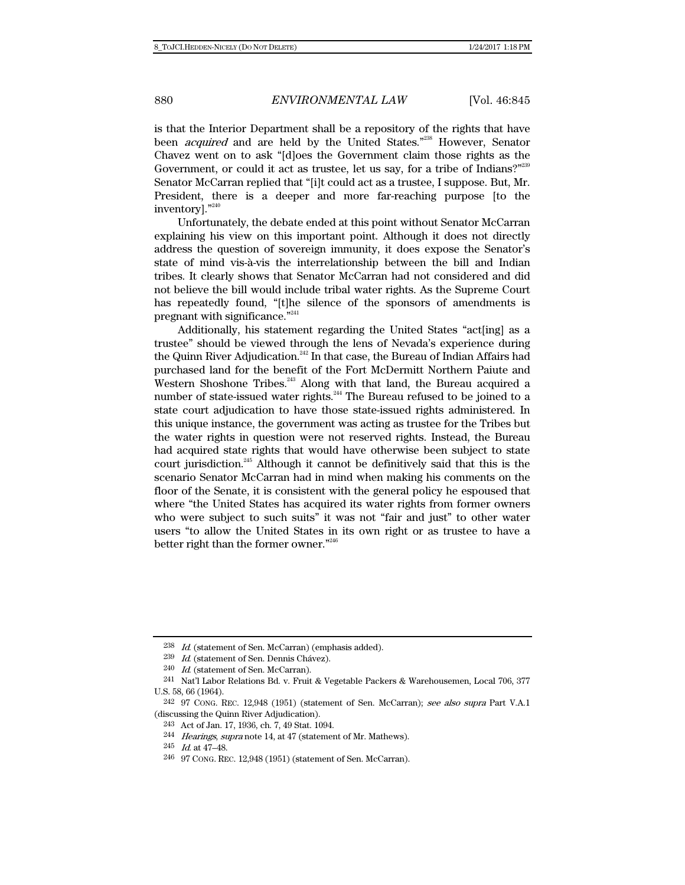is that the Interior Department shall be a repository of the rights that have been *acquired* and are held by the United States."<sup>238</sup> However, Senator Chavez went on to ask "[d]oes the Government claim those rights as the Government, or could it act as trustee, let us say, for a tribe of Indians?"<sup>239</sup> Senator McCarran replied that "[i]t could act as a trustee, I suppose. But, Mr. President, there is a deeper and more far-reaching purpose [to the inventory]."240

Unfortunately, the debate ended at this point without Senator McCarran explaining his view on this important point. Although it does not directly address the question of sovereign immunity, it does expose the Senator's state of mind vis-à-vis the interrelationship between the bill and Indian tribes. It clearly shows that Senator McCarran had not considered and did not believe the bill would include tribal water rights. As the Supreme Court has repeatedly found, "[t]he silence of the sponsors of amendments is pregnant with significance."<sup>241</sup>

Additionally, his statement regarding the United States "act[ing] as a trustee" should be viewed through the lens of Nevada's experience during the Quinn River Adjudication.<sup>242</sup> In that case, the Bureau of Indian Affairs had purchased land for the benefit of the Fort McDermitt Northern Paiute and Western Shoshone Tribes.<sup>243</sup> Along with that land, the Bureau acquired a number of state-issued water rights.<sup>244</sup> The Bureau refused to be joined to a state court adjudication to have those state-issued rights administered. In this unique instance, the government was acting as trustee for the Tribes but the water rights in question were not reserved rights. Instead, the Bureau had acquired state rights that would have otherwise been subject to state court jurisdiction.245 Although it cannot be definitively said that this is the scenario Senator McCarran had in mind when making his comments on the floor of the Senate, it is consistent with the general policy he espoused that where "the United States has acquired its water rights from former owners who were subject to such suits" it was not "fair and just" to other water users "to allow the United States in its own right or as trustee to have a better right than the former owner."246

<sup>238</sup> Id. (statement of Sen. McCarran) (emphasis added).

<sup>239</sup> Id. (statement of Sen. Dennis Chávez).

<sup>240</sup> Id. (statement of Sen. McCarran).

<sup>241</sup> Nat'l Labor Relations Bd. v. Fruit & Vegetable Packers & Warehousemen, Local 706, 377 U.S. 58, 66 (1964).

<sup>242 97</sup> CONG. REC. 12,948 (1951) (statement of Sen. McCarran); see also supra Part V.A.1 (discussing the Quinn River Adjudication).

<sup>243</sup> Act of Jan. 17, 1936, ch. 7, 49 Stat. 1094.

<sup>244</sup> Hearings, supra note 14, at 47 (statement of Mr. Mathews).

 $245$  *Id.* at  $47-48$ .

<sup>246 97</sup> CONG. REC. 12,948 (1951) (statement of Sen. McCarran).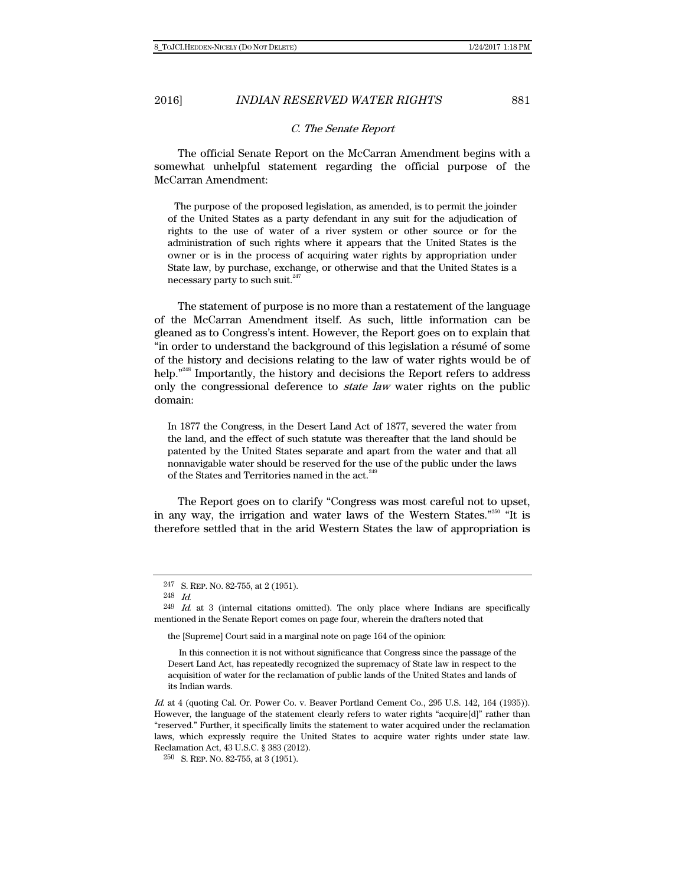## C. The Senate Report

The official Senate Report on the McCarran Amendment begins with a somewhat unhelpful statement regarding the official purpose of the McCarran Amendment:

 The purpose of the proposed legislation, as amended, is to permit the joinder of the United States as a party defendant in any suit for the adjudication of rights to the use of water of a river system or other source or for the administration of such rights where it appears that the United States is the owner or is in the process of acquiring water rights by appropriation under State law, by purchase, exchange, or otherwise and that the United States is a necessary party to such suit. $^{247}$ 

The statement of purpose is no more than a restatement of the language of the McCarran Amendment itself. As such, little information can be gleaned as to Congress's intent. However, the Report goes on to explain that "in order to understand the background of this legislation a résumé of some of the history and decisions relating to the law of water rights would be of help.<sup>"248</sup> Importantly, the history and decisions the Report refers to address only the congressional deference to *state law* water rights on the public domain:

In 1877 the Congress, in the Desert Land Act of 1877, severed the water from the land, and the effect of such statute was thereafter that the land should be patented by the United States separate and apart from the water and that all nonnavigable water should be reserved for the use of the public under the laws of the States and Territories named in the act.<sup>249</sup>

The Report goes on to clarify "Congress was most careful not to upset, in any way, the irrigation and water laws of the Western States."250 "It is therefore settled that in the arid Western States the law of appropriation is

the [Supreme] Court said in a marginal note on page 164 of the opinion:

<sup>247</sup> S. REP. NO. 82-755, at 2 (1951).

<sup>248</sup> Id.

 $^{249}$  *Id.* at 3 (internal citations omitted). The only place where Indians are specifically mentioned in the Senate Report comes on page four, wherein the drafters noted that

In this connection it is not without significance that Congress since the passage of the Desert Land Act, has repeatedly recognized the supremacy of State law in respect to the acquisition of water for the reclamation of public lands of the United States and lands of its Indian wards.

Id. at 4 (quoting Cal. Or. Power Co. v. Beaver Portland Cement Co., 295 U.S. 142, 164 (1935)). However, the language of the statement clearly refers to water rights "acquire[d]" rather than "reserved." Further, it specifically limits the statement to water acquired under the reclamation laws, which expressly require the United States to acquire water rights under state law. Reclamation Act, 43 U.S.C. § 383 (2012).

<sup>250</sup> S. REP. NO. 82-755, at 3 (1951).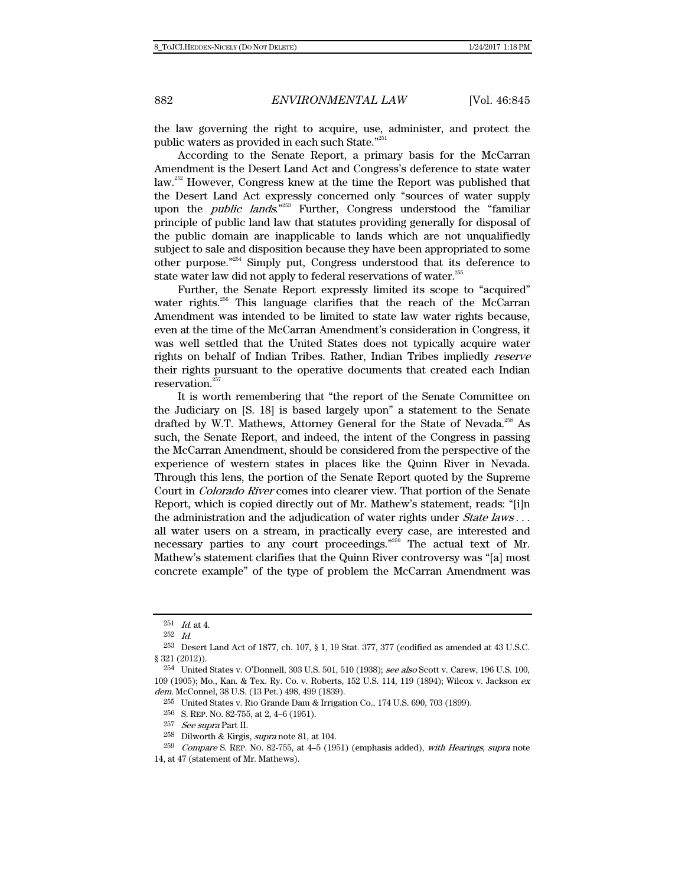the law governing the right to acquire, use, administer, and protect the public waters as provided in each such State."<sup>25</sup>

According to the Senate Report, a primary basis for the McCarran Amendment is the Desert Land Act and Congress's deference to state water law.<sup>252</sup> However, Congress knew at the time the Report was published that the Desert Land Act expressly concerned only "sources of water supply upon the *public lands*."<sup>253</sup> Further, Congress understood the "familiar principle of public land law that statutes providing generally for disposal of the public domain are inapplicable to lands which are not unqualifiedly subject to sale and disposition because they have been appropriated to some other purpose."254 Simply put, Congress understood that its deference to state water law did not apply to federal reservations of water.<sup>255</sup>

Further, the Senate Report expressly limited its scope to "acquired" water rights.<sup>256</sup> This language clarifies that the reach of the McCarran Amendment was intended to be limited to state law water rights because, even at the time of the McCarran Amendment's consideration in Congress, it was well settled that the United States does not typically acquire water rights on behalf of Indian Tribes. Rather, Indian Tribes impliedly reserve their rights pursuant to the operative documents that created each Indian reservation.<sup>25</sup>

It is worth remembering that "the report of the Senate Committee on the Judiciary on [S. 18] is based largely upon" a statement to the Senate drafted by W.T. Mathews, Attorney General for the State of Nevada.<sup>258</sup> As such, the Senate Report, and indeed, the intent of the Congress in passing the McCarran Amendment, should be considered from the perspective of the experience of western states in places like the Quinn River in Nevada. Through this lens, the portion of the Senate Report quoted by the Supreme Court in Colorado River comes into clearer view. That portion of the Senate Report, which is copied directly out of Mr. Mathew's statement, reads: "[i]n the administration and the adjudication of water rights under *State laws* ... all water users on a stream, in practically every case, are interested and necessary parties to any court proceedings."259 The actual text of Mr. Mathew's statement clarifies that the Quinn River controversy was "[a] most concrete example" of the type of problem the McCarran Amendment was

258 Dilworth & Kirgis, supra note 81, at 104.

 $^{251}$  *Id.* at 4.

<sup>252</sup> Id.

<sup>253</sup> Desert Land Act of 1877, ch. 107, § 1, 19 Stat. 377, 377 (codified as amended at 43 U.S.C. § 321 (2012)).

<sup>254</sup> United States v. O'Donnell, 303 U.S. 501, 510 (1938); see also Scott v. Carew, 196 U.S. 100, 109 (1905); Mo., Kan. & Tex. Ry. Co. v. Roberts, 152 U.S. 114, 119 (1894); Wilcox v. Jackson ex dem. McConnel, 38 U.S. (13 Pet.) 498, 499 (1839).

<sup>255</sup> United States v. Rio Grande Dam & Irrigation Co., 174 U.S. 690, 703 (1899).

<sup>256</sup> S. REP. NO. 82-755, at 2, 4–6 (1951).

<sup>257</sup> See supra Part II.

<sup>259</sup> Compare S. REP. NO. 82-755, at 4–5 (1951) (emphasis added), with Hearings, supra note 14, at 47 (statement of Mr. Mathews).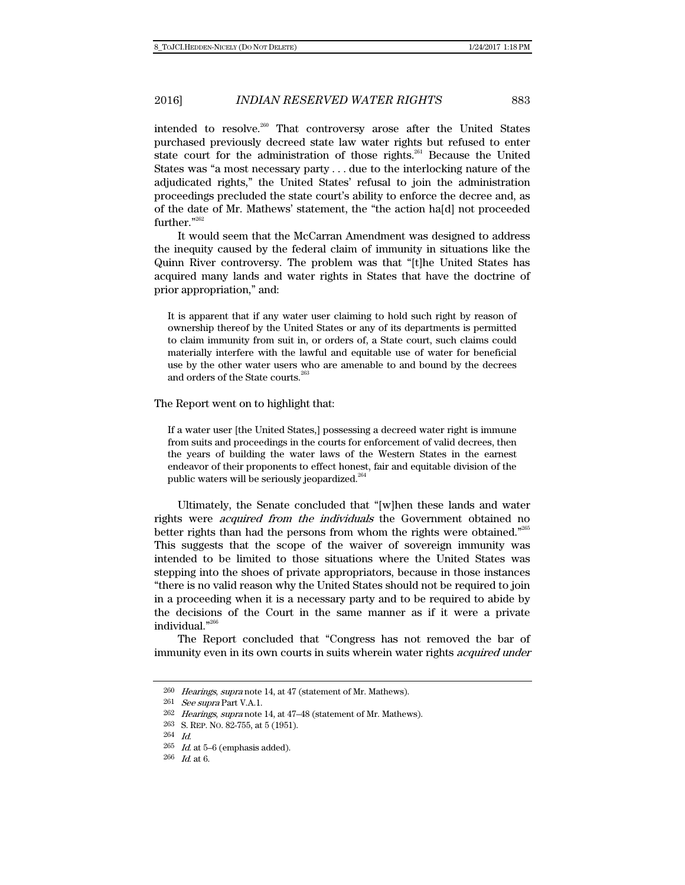intended to resolve.<sup>260</sup> That controversy arose after the United States purchased previously decreed state law water rights but refused to enter state court for the administration of those rights.<sup>261</sup> Because the United States was "a most necessary party . . . due to the interlocking nature of the adjudicated rights," the United States' refusal to join the administration proceedings precluded the state court's ability to enforce the decree and, as of the date of Mr. Mathews' statement, the "the action ha[d] not proceeded further."262

It would seem that the McCarran Amendment was designed to address the inequity caused by the federal claim of immunity in situations like the Quinn River controversy. The problem was that "[t]he United States has acquired many lands and water rights in States that have the doctrine of prior appropriation," and:

It is apparent that if any water user claiming to hold such right by reason of ownership thereof by the United States or any of its departments is permitted to claim immunity from suit in, or orders of, a State court, such claims could materially interfere with the lawful and equitable use of water for beneficial use by the other water users who are amenable to and bound by the decrees and orders of the State courts.<sup>263</sup>

#### The Report went on to highlight that:

If a water user [the United States,] possessing a decreed water right is immune from suits and proceedings in the courts for enforcement of valid decrees, then the years of building the water laws of the Western States in the earnest endeavor of their proponents to effect honest, fair and equitable division of the public waters will be seriously jeopardized.<sup>26</sup>

Ultimately, the Senate concluded that "[w]hen these lands and water rights were *acquired from the individuals* the Government obtained no better rights than had the persons from whom the rights were obtained."<sup>265</sup> This suggests that the scope of the waiver of sovereign immunity was intended to be limited to those situations where the United States was stepping into the shoes of private appropriators, because in those instances "there is no valid reason why the United States should not be required to join in a proceeding when it is a necessary party and to be required to abide by the decisions of the Court in the same manner as if it were a private individual."266

The Report concluded that "Congress has not removed the bar of immunity even in its own courts in suits wherein water rights *acquired under* 

 $260$  *Hearings, supra* note 14, at 47 (statement of Mr. Mathews).

<sup>261</sup> See supra Part V.A.1.

<sup>262</sup> Hearings, supra note 14, at 47–48 (statement of Mr. Mathews).

<sup>263</sup> S. REP. NO. 82-755, at 5 (1951).

<sup>264</sup> Id.

 $^{265}$   $\,$   $\!ld$  at 5–6 (emphasis added).

 $266$  *Id.* at 6.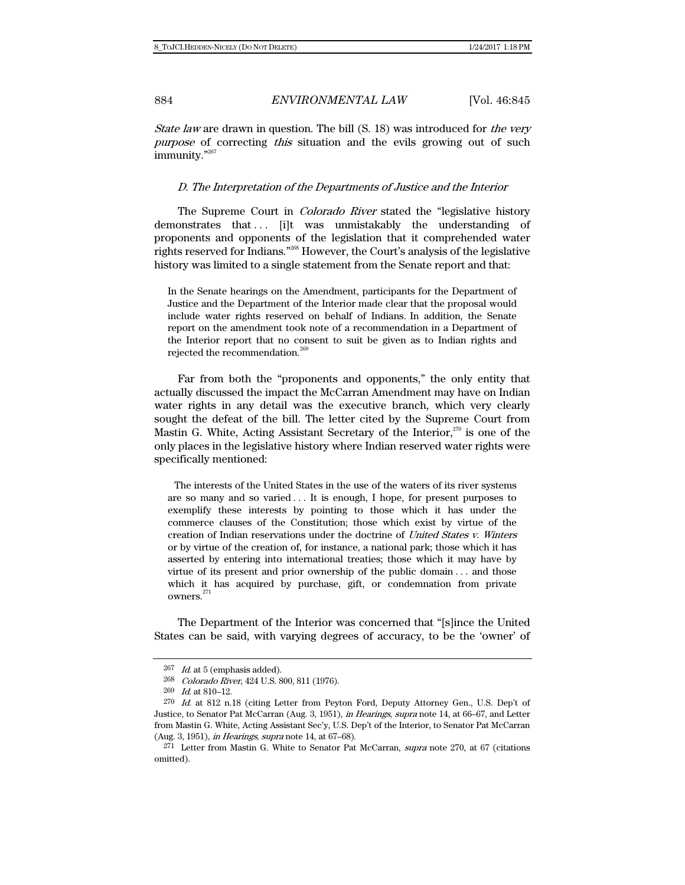State law are drawn in question. The bill (S. 18) was introduced for the very purpose of correcting this situation and the evils growing out of such immunity."<sup>267</sup>

#### D. The Interpretation of the Departments of Justice and the Interior

The Supreme Court in *Colorado River* stated the "legislative history" demonstrates that . . . [i]t was unmistakably the understanding of proponents and opponents of the legislation that it comprehended water rights reserved for Indians."268 However, the Court's analysis of the legislative history was limited to a single statement from the Senate report and that:

In the Senate hearings on the Amendment, participants for the Department of Justice and the Department of the Interior made clear that the proposal would include water rights reserved on behalf of Indians. In addition, the Senate report on the amendment took note of a recommendation in a Department of the Interior report that no consent to suit be given as to Indian rights and rejected the recommendation.<sup>26</sup>

Far from both the "proponents and opponents," the only entity that actually discussed the impact the McCarran Amendment may have on Indian water rights in any detail was the executive branch, which very clearly sought the defeat of the bill. The letter cited by the Supreme Court from Mastin G. White, Acting Assistant Secretary of the Interior, $270$  is one of the only places in the legislative history where Indian reserved water rights were specifically mentioned:

 The interests of the United States in the use of the waters of its river systems are so many and so varied . . . It is enough, I hope, for present purposes to exemplify these interests by pointing to those which it has under the commerce clauses of the Constitution; those which exist by virtue of the creation of Indian reservations under the doctrine of United States v. Winters or by virtue of the creation of, for instance, a national park; those which it has asserted by entering into international treaties; those which it may have by virtue of its present and prior ownership of the public domain . . . and those which it has acquired by purchase, gift, or condemnation from private  $_{\rm{owners.}}^{271}$ 

The Department of the Interior was concerned that "[s]ince the United States can be said, with varying degrees of accuracy, to be the 'owner' of

 $267$  *Id.* at 5 (emphasis added).

<sup>268</sup> Colorado River, 424 U.S. 800, 811 (1976).

<sup>269</sup> Id. at 810–12.

<sup>270</sup> Id. at 812 n.18 (citing Letter from Peyton Ford, Deputy Attorney Gen., U.S. Dep't of Justice, to Senator Pat McCarran (Aug. 3, 1951), in Hearings, supra note 14, at 66–67, and Letter from Mastin G. White, Acting Assistant Sec'y, U.S. Dep't of the Interior, to Senator Pat McCarran (Aug. 3, 1951), in Hearings, supra note 14, at 67–68).

<sup>271</sup> Letter from Mastin G. White to Senator Pat McCarran, supra note 270, at 67 (citations omitted).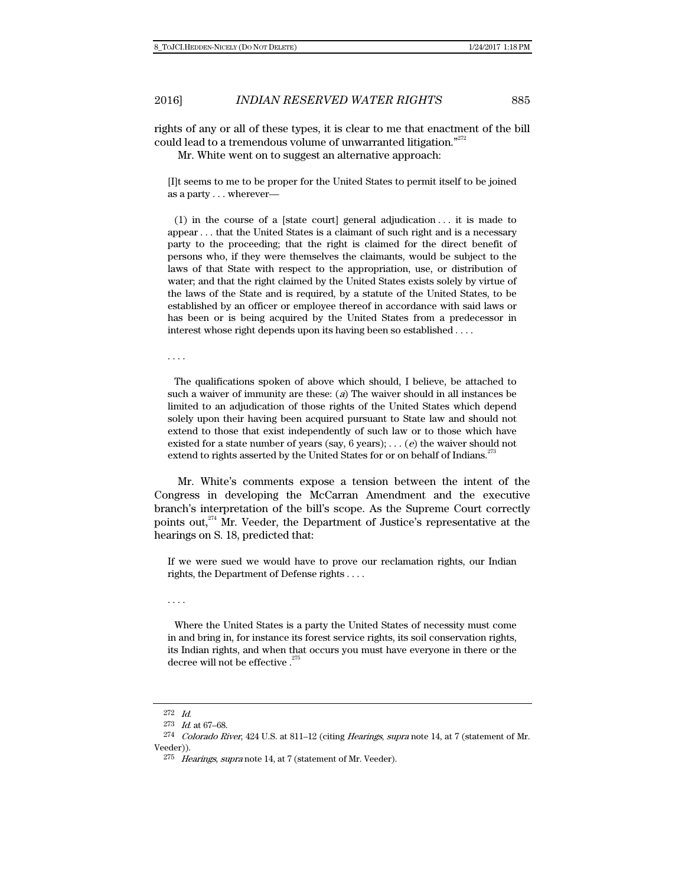rights of any or all of these types, it is clear to me that enactment of the bill could lead to a tremendous volume of unwarranted litigation."<sup>272</sup>

Mr. White went on to suggest an alternative approach:

[I]t seems to me to be proper for the United States to permit itself to be joined as a party . . . wherever—

 (1) in the course of a [state court] general adjudication . . . it is made to appear . . . that the United States is a claimant of such right and is a necessary party to the proceeding; that the right is claimed for the direct benefit of persons who, if they were themselves the claimants, would be subject to the laws of that State with respect to the appropriation, use, or distribution of water; and that the right claimed by the United States exists solely by virtue of the laws of the State and is required, by a statute of the United States, to be established by an officer or employee thereof in accordance with said laws or has been or is being acquired by the United States from a predecessor in interest whose right depends upon its having been so established . . . .

. . . .

 The qualifications spoken of above which should, I believe, be attached to such a waiver of immunity are these:  $(a)$  The waiver should in all instances be limited to an adjudication of those rights of the United States which depend solely upon their having been acquired pursuant to State law and should not extend to those that exist independently of such law or to those which have existed for a state number of years (say, 6 years); . . . (e) the waiver should not extend to rights asserted by the United States for or on behalf of Indians.<sup>27</sup>

Mr. White's comments expose a tension between the intent of the Congress in developing the McCarran Amendment and the executive branch's interpretation of the bill's scope. As the Supreme Court correctly points out, $274$  Mr. Veeder, the Department of Justice's representative at the hearings on S. 18, predicted that:

If we were sued we would have to prove our reclamation rights, our Indian rights, the Department of Defense rights . . . .

. . . .

 Where the United States is a party the United States of necessity must come in and bring in, for instance its forest service rights, its soil conservation rights, its Indian rights, and when that occurs you must have everyone in there or the decree will not be effective. $27$ 

<sup>272</sup> Id.

<sup>273</sup> Id. at 67–68.

<sup>274</sup> Colorado River, 424 U.S. at 811–12 (citing Hearings, supra note 14, at 7 (statement of Mr. Veeder)).

<sup>275</sup> Hearings, supra note 14, at 7 (statement of Mr. Veeder).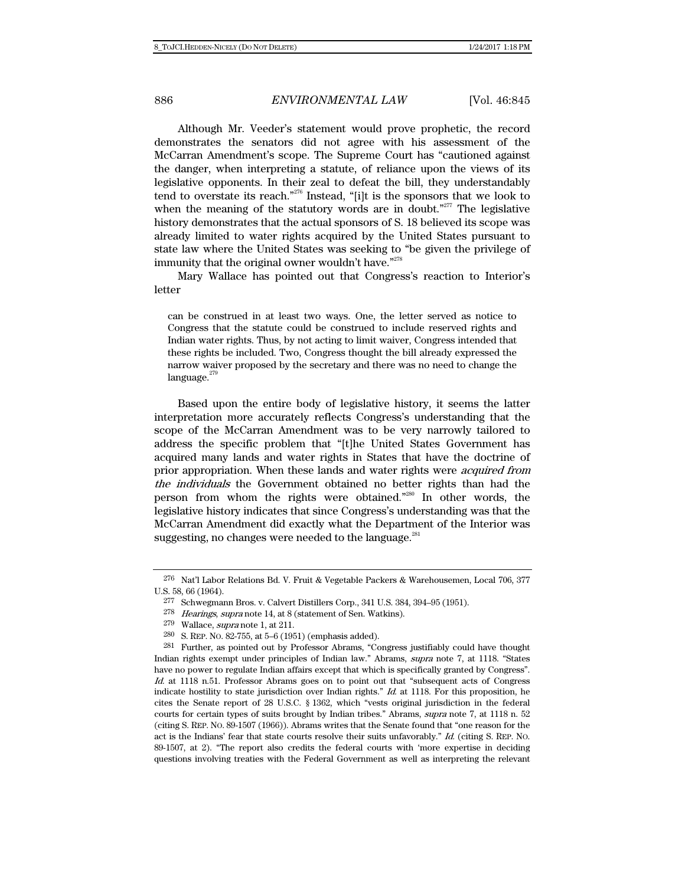Although Mr. Veeder's statement would prove prophetic, the record demonstrates the senators did not agree with his assessment of the McCarran Amendment's scope. The Supreme Court has "cautioned against the danger, when interpreting a statute, of reliance upon the views of its legislative opponents. In their zeal to defeat the bill, they understandably tend to overstate its reach."<sup>276</sup> Instead, "[i]t is the sponsors that we look to when the meaning of the statutory words are in doubt. $1277$  The legislative history demonstrates that the actual sponsors of S. 18 believed its scope was already limited to water rights acquired by the United States pursuant to state law where the United States was seeking to "be given the privilege of immunity that the original owner wouldn't have."<sup>278</sup>

Mary Wallace has pointed out that Congress's reaction to Interior's letter

can be construed in at least two ways. One, the letter served as notice to Congress that the statute could be construed to include reserved rights and Indian water rights. Thus, by not acting to limit waiver, Congress intended that these rights be included. Two, Congress thought the bill already expressed the narrow waiver proposed by the secretary and there was no need to change the  $language.$ <sup>279</sup>

Based upon the entire body of legislative history, it seems the latter interpretation more accurately reflects Congress's understanding that the scope of the McCarran Amendment was to be very narrowly tailored to address the specific problem that "[t]he United States Government has acquired many lands and water rights in States that have the doctrine of prior appropriation. When these lands and water rights were acquired from the individuals the Government obtained no better rights than had the person from whom the rights were obtained."280 In other words, the legislative history indicates that since Congress's understanding was that the McCarran Amendment did exactly what the Department of the Interior was suggesting, no changes were needed to the language.<sup>281</sup>

<sup>276</sup> Nat'l Labor Relations Bd. V. Fruit & Vegetable Packers & Warehousemen, Local 706, 377 U.S. 58, 66 (1964).

<sup>277</sup> Schwegmann Bros. v. Calvert Distillers Corp., 341 U.S. 384, 394–95 (1951).

<sup>278</sup> Hearings, supra note 14, at 8 (statement of Sen. Watkins).

<sup>279</sup> Wallace, supra note 1, at 211.

<sup>280</sup> S. REP. NO. 82-755, at 5–6 (1951) (emphasis added).

<sup>281</sup> Further, as pointed out by Professor Abrams, "Congress justifiably could have thought Indian rights exempt under principles of Indian law." Abrams, supra note 7, at 1118. "States have no power to regulate Indian affairs except that which is specifically granted by Congress". Id. at 1118 n.51. Professor Abrams goes on to point out that "subsequent acts of Congress indicate hostility to state jurisdiction over Indian rights."  $Id$  at 1118. For this proposition, he cites the Senate report of 28 U.S.C. § 1362, which "vests original jurisdiction in the federal courts for certain types of suits brought by Indian tribes." Abrams, supra note 7, at 1118 n. 52 (citing S. REP. NO. 89-1507 (1966)). Abrams writes that the Senate found that "one reason for the act is the Indians' fear that state courts resolve their suits unfavorably." Id. (citing S. REP. NO. 89-1507, at 2). "The report also credits the federal courts with 'more expertise in deciding questions involving treaties with the Federal Government as well as interpreting the relevant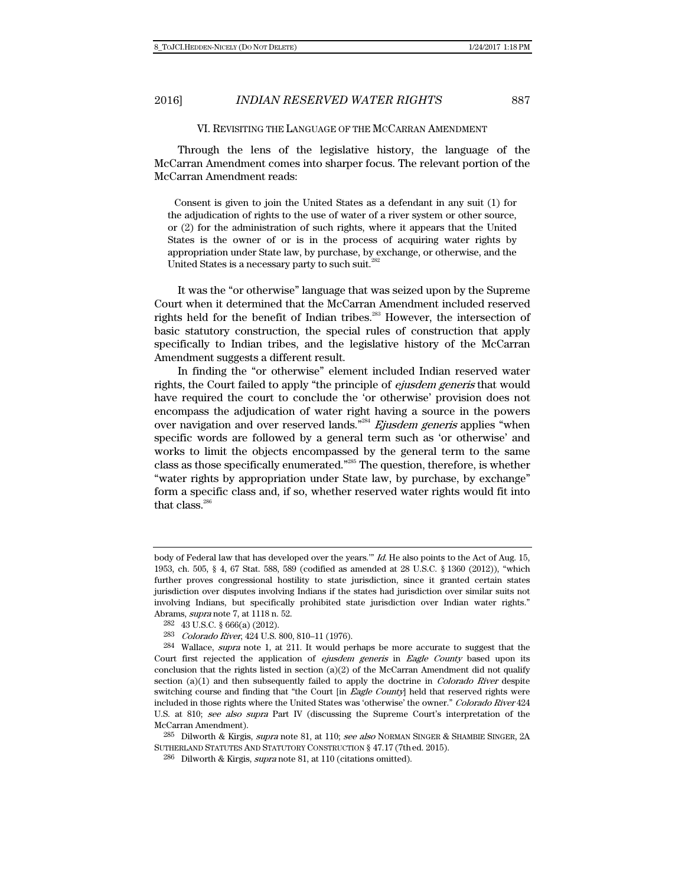### VI. REVISITING THE LANGUAGE OF THE MCCARRAN AMENDMENT

Through the lens of the legislative history, the language of the McCarran Amendment comes into sharper focus. The relevant portion of the McCarran Amendment reads:

 Consent is given to join the United States as a defendant in any suit (1) for the adjudication of rights to the use of water of a river system or other source, or (2) for the administration of such rights, where it appears that the United States is the owner of or is in the process of acquiring water rights by appropriation under State law, by purchase, by exchange, or otherwise, and the United States is a necessary party to such suit.<sup>282</sup>

It was the "or otherwise" language that was seized upon by the Supreme Court when it determined that the McCarran Amendment included reserved rights held for the benefit of Indian tribes.<sup>283</sup> However, the intersection of basic statutory construction, the special rules of construction that apply specifically to Indian tribes, and the legislative history of the McCarran Amendment suggests a different result.

In finding the "or otherwise" element included Indian reserved water rights, the Court failed to apply "the principle of ejusdem generis that would have required the court to conclude the 'or otherwise' provision does not encompass the adjudication of water right having a source in the powers over navigation and over reserved lands."<sup>284</sup> Ejusdem generis applies "when specific words are followed by a general term such as 'or otherwise' and works to limit the objects encompassed by the general term to the same class as those specifically enumerated."285 The question, therefore, is whether "water rights by appropriation under State law, by purchase, by exchange" form a specific class and, if so, whether reserved water rights would fit into that class. $286$ 

body of Federal law that has developed over the years." Id. He also points to the Act of Aug. 15, 1953, ch. 505, § 4, 67 Stat. 588, 589 (codified as amended at 28 U.S.C. § 1360 (2012)), "which further proves congressional hostility to state jurisdiction, since it granted certain states jurisdiction over disputes involving Indians if the states had jurisdiction over similar suits not involving Indians, but specifically prohibited state jurisdiction over Indian water rights." Abrams, supra note 7, at 1118 n. 52.

<sup>282 43</sup> U.S.C. § 666(a) (2012).

<sup>283</sup> Colorado River, 424 U.S. 800, 810–11 (1976).

<sup>284</sup> Wallace, supra note 1, at 211. It would perhaps be more accurate to suggest that the Court first rejected the application of *ejusdem generis* in *Eagle County* based upon its conclusion that the rights listed in section  $(a)(2)$  of the McCarran Amendment did not qualify section  $(a)(1)$  and then subsequently failed to apply the doctrine in *Colorado River* despite switching course and finding that "the Court [in *Eagle County*] held that reserved rights were included in those rights where the United States was 'otherwise' the owner." Colorado River 424 U.S. at 810; see also supra Part IV (discussing the Supreme Court's interpretation of the McCarran Amendment).

<sup>285</sup> Dilworth & Kirgis, supra note 81, at 110; see also NORMAN SINGER & SHAMBIE SINGER, 2A SUTHERLAND STATUTES AND STATUTORY CONSTRUCTION § 47.17 (7thed. 2015).

<sup>&</sup>lt;sup>286</sup> Dilworth & Kirgis, *supra* note 81, at 110 (citations omitted).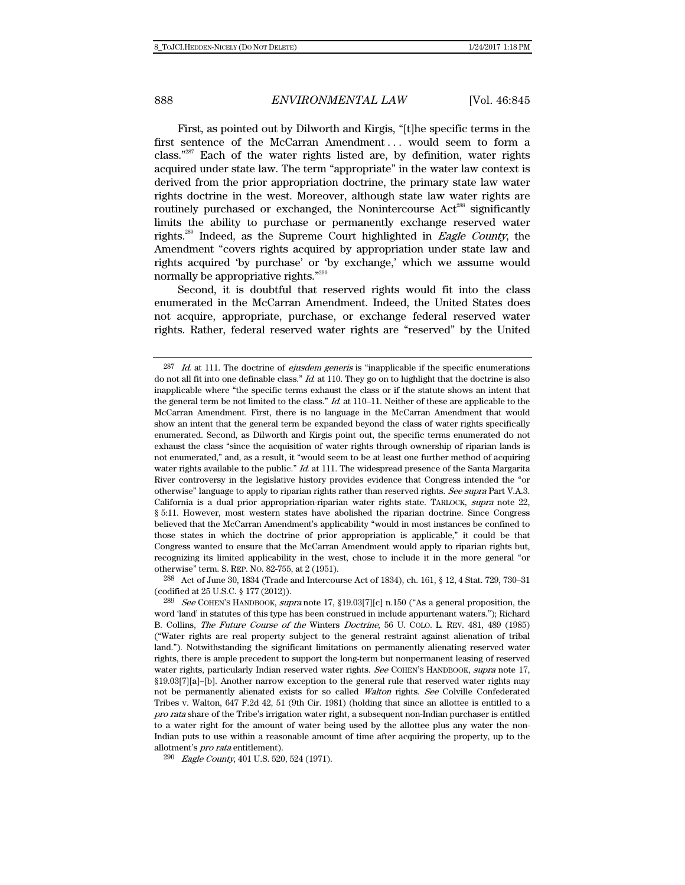First, as pointed out by Dilworth and Kirgis, "[t]he specific terms in the first sentence of the McCarran Amendment ... would seem to form a class."<sup>287</sup> Each of the water rights listed are, by definition, water rights acquired under state law. The term "appropriate" in the water law context is derived from the prior appropriation doctrine, the primary state law water rights doctrine in the west. Moreover, although state law water rights are routinely purchased or exchanged, the Nonintercourse Act<sup>288</sup> significantly limits the ability to purchase or permanently exchange reserved water rights.<sup>289</sup> Indeed, as the Supreme Court highlighted in Eagle County, the Amendment "covers rights acquired by appropriation under state law and rights acquired 'by purchase' or 'by exchange,' which we assume would normally be appropriative rights."290

Second, it is doubtful that reserved rights would fit into the class enumerated in the McCarran Amendment. Indeed, the United States does not acquire, appropriate, purchase, or exchange federal reserved water rights. Rather, federal reserved water rights are "reserved" by the United

288 Act of June 30, 1834 (Trade and Intercourse Act of 1834), ch. 161, § 12, 4 Stat. 729, 730–31 (codified at 25 U.S.C. § 177 (2012)).

 $287$  *Id.* at 111. The doctrine of *ejusdem generis* is "inapplicable if the specific enumerations do not all fit into one definable class." Id. at 110. They go on to highlight that the doctrine is also inapplicable where "the specific terms exhaust the class or if the statute shows an intent that the general term be not limited to the class."  $Id$  at  $110-11$ . Neither of these are applicable to the McCarran Amendment. First, there is no language in the McCarran Amendment that would show an intent that the general term be expanded beyond the class of water rights specifically enumerated. Second, as Dilworth and Kirgis point out, the specific terms enumerated do not exhaust the class "since the acquisition of water rights through ownership of riparian lands is not enumerated," and, as a result, it "would seem to be at least one further method of acquiring water rights available to the public." Id. at 111. The widespread presence of the Santa Margarita River controversy in the legislative history provides evidence that Congress intended the "or otherwise" language to apply to riparian rights rather than reserved rights. See supra Part V.A.3. California is a dual prior appropriation-riparian water rights state. TARLOCK, supra note 22, § 5:11. However, most western states have abolished the riparian doctrine. Since Congress believed that the McCarran Amendment's applicability "would in most instances be confined to those states in which the doctrine of prior appropriation is applicable," it could be that Congress wanted to ensure that the McCarran Amendment would apply to riparian rights but, recognizing its limited applicability in the west, chose to include it in the more general "or otherwise" term. S. REP. NO. 82-755, at 2 (1951).

<sup>289</sup> See COHEN'S HANDBOOK, supra note 17, §19.03[7][c] n.150 ("As a general proposition, the word 'land' in statutes of this type has been construed in include appurtenant waters."); Richard B. Collins, The Future Course of the Winters Doctrine, 56 U. COLO. L. REV. 481, 489 (1985) ("Water rights are real property subject to the general restraint against alienation of tribal land."). Notwithstanding the significant limitations on permanently alienating reserved water rights, there is ample precedent to support the long-term but nonpermanent leasing of reserved water rights, particularly Indian reserved water rights. See COHEN'S HANDBOOK, supra note 17, §19.03[7][a]–[b]. Another narrow exception to the general rule that reserved water rights may not be permanently alienated exists for so called Walton rights. See Colville Confederated Tribes v. Walton, 647 F.2d 42, 51 (9th Cir. 1981) (holding that since an allottee is entitled to a pro rata share of the Tribe's irrigation water right, a subsequent non-Indian purchaser is entitled to a water right for the amount of water being used by the allottee plus any water the non-Indian puts to use within a reasonable amount of time after acquiring the property, up to the allotment's pro rata entitlement).

<sup>290</sup> Eagle County, 401 U.S. 520, 524 (1971).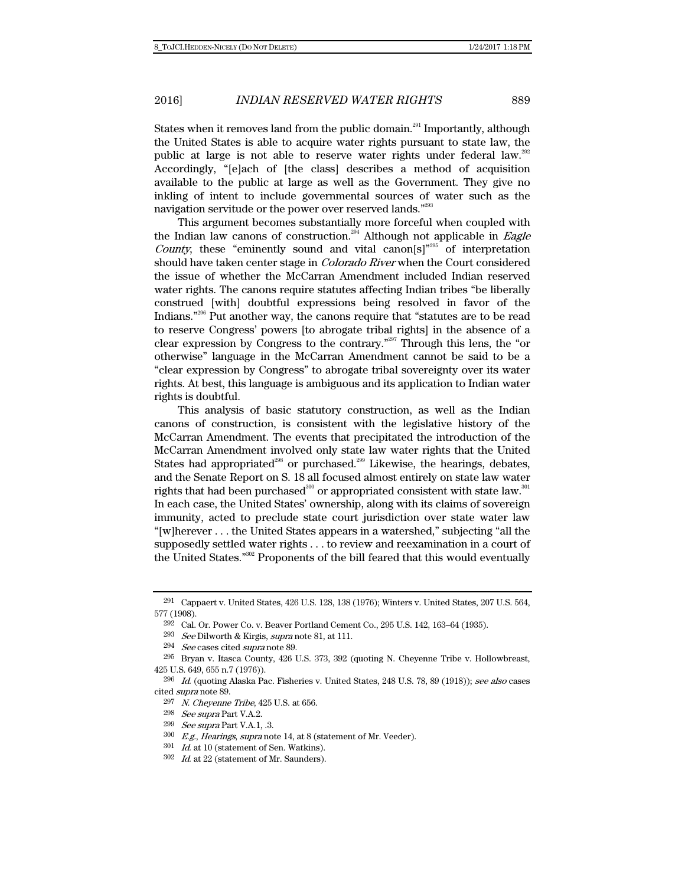States when it removes land from the public domain.<sup>291</sup> Importantly, although the United States is able to acquire water rights pursuant to state law, the public at large is not able to reserve water rights under federal law.<sup>292</sup> Accordingly, "[e]ach of [the class] describes a method of acquisition available to the public at large as well as the Government. They give no inkling of intent to include governmental sources of water such as the navigation servitude or the power over reserved lands."<sup>293</sup>

This argument becomes substantially more forceful when coupled with the Indian law canons of construction.<sup>294</sup> Although not applicable in *Eagle* County, these "eminently sound and vital canon[s]"<sup>295</sup> of interpretation should have taken center stage in Colorado River when the Court considered the issue of whether the McCarran Amendment included Indian reserved water rights. The canons require statutes affecting Indian tribes "be liberally construed [with] doubtful expressions being resolved in favor of the Indians."<sup>296</sup> Put another way, the canons require that "statutes are to be read to reserve Congress' powers [to abrogate tribal rights] in the absence of a clear expression by Congress to the contrary."297 Through this lens, the "or otherwise" language in the McCarran Amendment cannot be said to be a "clear expression by Congress" to abrogate tribal sovereignty over its water rights. At best, this language is ambiguous and its application to Indian water rights is doubtful.

This analysis of basic statutory construction, as well as the Indian canons of construction, is consistent with the legislative history of the McCarran Amendment. The events that precipitated the introduction of the McCarran Amendment involved only state law water rights that the United States had appropriated<sup>298</sup> or purchased.<sup>299</sup> Likewise, the hearings, debates, and the Senate Report on S. 18 all focused almost entirely on state law water rights that had been purchased<sup>300</sup> or appropriated consistent with state law.<sup>301</sup> In each case, the United States' ownership, along with its claims of sovereign immunity, acted to preclude state court jurisdiction over state water law "[w]herever . . . the United States appears in a watershed," subjecting "all the supposedly settled water rights . . . to review and reexamination in a court of the United States."302 Proponents of the bill feared that this would eventually

<sup>291</sup> Cappaert v. United States, 426 U.S. 128, 138 (1976); Winters v. United States, 207 U.S. 564, 577 (1908).

<sup>292</sup> Cal. Or. Power Co. v. Beaver Portland Cement Co., 295 U.S. 142, 163–64 (1935).

<sup>&</sup>lt;sup>293</sup> See Dilworth & Kirgis, supra note 81, at 111.

<sup>294</sup> See cases cited supra note 89.

<sup>295</sup> Bryan v. Itasca County, 426 U.S. 373, 392 (quoting N. Cheyenne Tribe v. Hollowbreast, 425 U.S. 649, 655 n.7 (1976)).

<sup>296</sup> Id. (quoting Alaska Pac. Fisheries v. United States, 248 U.S. 78, 89 (1918)); see also cases cited supra note 89.

<sup>297</sup> N. Cheyenne Tribe, 425 U.S. at 656.

<sup>298</sup> See supra Part V.A.2.

 $299$  See supra Part V.A.1, .3.

<sup>300</sup> E.g., Hearings, supra note 14, at 8 (statement of Mr. Veeder).

 $301$  *Id.* at 10 (statement of Sen. Watkins).

 $302$  *Id.* at 22 (statement of Mr. Saunders).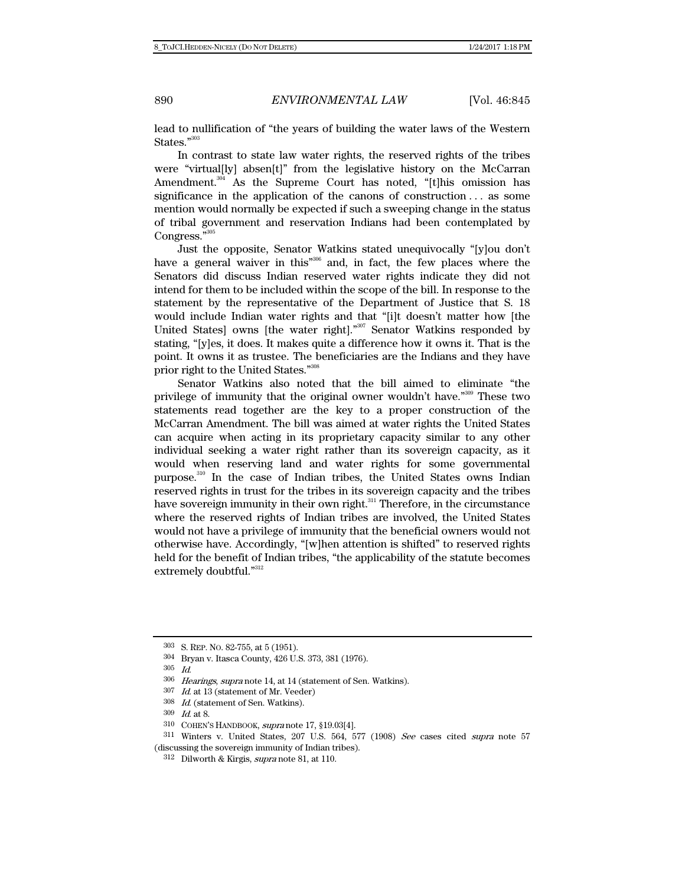lead to nullification of "the years of building the water laws of the Western States."<sup>303</sup>

In contrast to state law water rights, the reserved rights of the tribes were "virtual[ly] absen[t]" from the legislative history on the McCarran Amendment.<sup>304</sup> As the Supreme Court has noted, "[t]his omission has significance in the application of the canons of construction . . . as some mention would normally be expected if such a sweeping change in the status of tribal government and reservation Indians had been contemplated by Congress."<sup>305</sup>

Just the opposite, Senator Watkins stated unequivocally "[y]ou don't have a general waiver in this<sup>"306</sup> and, in fact, the few places where the Senators did discuss Indian reserved water rights indicate they did not intend for them to be included within the scope of the bill. In response to the statement by the representative of the Department of Justice that S. 18 would include Indian water rights and that "[i]t doesn't matter how [the United States] owns [the water right]."<sup>307</sup> Senator Watkins responded by stating, "[y]es, it does. It makes quite a difference how it owns it. That is the point. It owns it as trustee. The beneficiaries are the Indians and they have prior right to the United States."308

Senator Watkins also noted that the bill aimed to eliminate "the privilege of immunity that the original owner wouldn't have."309 These two statements read together are the key to a proper construction of the McCarran Amendment. The bill was aimed at water rights the United States can acquire when acting in its proprietary capacity similar to any other individual seeking a water right rather than its sovereign capacity, as it would when reserving land and water rights for some governmental purpose.310 In the case of Indian tribes, the United States owns Indian reserved rights in trust for the tribes in its sovereign capacity and the tribes have sovereign immunity in their own right.<sup>311</sup> Therefore, in the circumstance where the reserved rights of Indian tribes are involved, the United States would not have a privilege of immunity that the beneficial owners would not otherwise have. Accordingly, "[w]hen attention is shifted" to reserved rights held for the benefit of Indian tribes, "the applicability of the statute becomes extremely doubtful."312

<sup>303</sup> S. REP. NO. 82-755, at 5 (1951).

<sup>304</sup> Bryan v. Itasca County, 426 U.S. 373, 381 (1976).

 $305\quad \hbox{\it Id}.$ 

<sup>306</sup> Hearings, supra note 14, at 14 (statement of Sen. Watkins).

 $307$  *Id.* at 13 (statement of Mr. Veeder)

<sup>308</sup> Id. (statement of Sen. Watkins).

<sup>309</sup> Id. at 8.

<sup>310</sup> COHEN'S HANDBOOK, supra note 17, §19.03[4].

<sup>311</sup> Winters v. United States, 207 U.S. 564, 577 (1908) See cases cited supra note 57 (discussing the sovereign immunity of Indian tribes).

 $312$  Dilworth & Kirgis, *supra* note 81, at 110.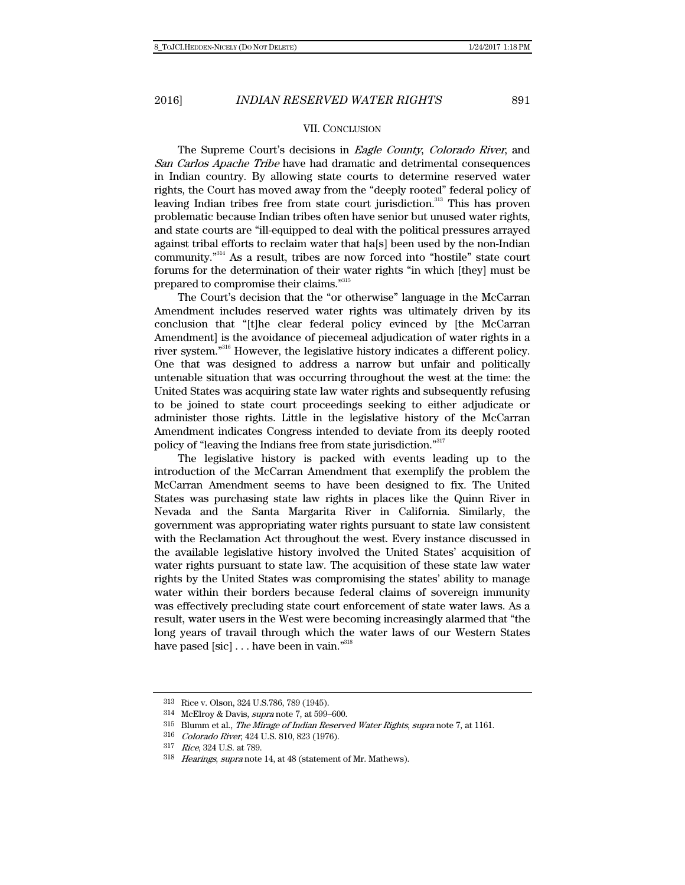### VII. CONCLUSION

The Supreme Court's decisions in Eagle County, Colorado River, and San Carlos Apache Tribe have had dramatic and detrimental consequences in Indian country. By allowing state courts to determine reserved water rights, the Court has moved away from the "deeply rooted" federal policy of leaving Indian tribes free from state court jurisdiction.<sup>313</sup> This has proven problematic because Indian tribes often have senior but unused water rights, and state courts are "ill-equipped to deal with the political pressures arrayed against tribal efforts to reclaim water that ha[s] been used by the non-Indian community."314 As a result, tribes are now forced into "hostile" state court forums for the determination of their water rights "in which [they] must be prepared to compromise their claims."<sup>315</sup>

The Court's decision that the "or otherwise" language in the McCarran Amendment includes reserved water rights was ultimately driven by its conclusion that "[t]he clear federal policy evinced by [the McCarran Amendment] is the avoidance of piecemeal adjudication of water rights in a river system."316 However, the legislative history indicates a different policy. One that was designed to address a narrow but unfair and politically untenable situation that was occurring throughout the west at the time: the United States was acquiring state law water rights and subsequently refusing to be joined to state court proceedings seeking to either adjudicate or administer those rights. Little in the legislative history of the McCarran Amendment indicates Congress intended to deviate from its deeply rooted policy of "leaving the Indians free from state jurisdiction."317

The legislative history is packed with events leading up to the introduction of the McCarran Amendment that exemplify the problem the McCarran Amendment seems to have been designed to fix. The United States was purchasing state law rights in places like the Quinn River in Nevada and the Santa Margarita River in California. Similarly, the government was appropriating water rights pursuant to state law consistent with the Reclamation Act throughout the west. Every instance discussed in the available legislative history involved the United States' acquisition of water rights pursuant to state law. The acquisition of these state law water rights by the United States was compromising the states' ability to manage water within their borders because federal claims of sovereign immunity was effectively precluding state court enforcement of state water laws. As a result, water users in the West were becoming increasingly alarmed that "the long years of travail through which the water laws of our Western States have pased [sic]  $\dots$  have been in vain."<sup>318</sup>

<sup>313</sup> Rice v. Olson, 324 U.S.786, 789 (1945).

<sup>314</sup> McElroy & Davis, supra note 7, at 599–600.

<sup>315</sup> Blumm et al., The Mirage of Indian Reserved Water Rights, supra note 7, at 1161.

<sup>316</sup> Colorado River, 424 U.S. 810, 823 (1976).

<sup>317</sup> Rice, 324 U.S. at 789.

<sup>318</sup> Hearings, supra note 14, at 48 (statement of Mr. Mathews).